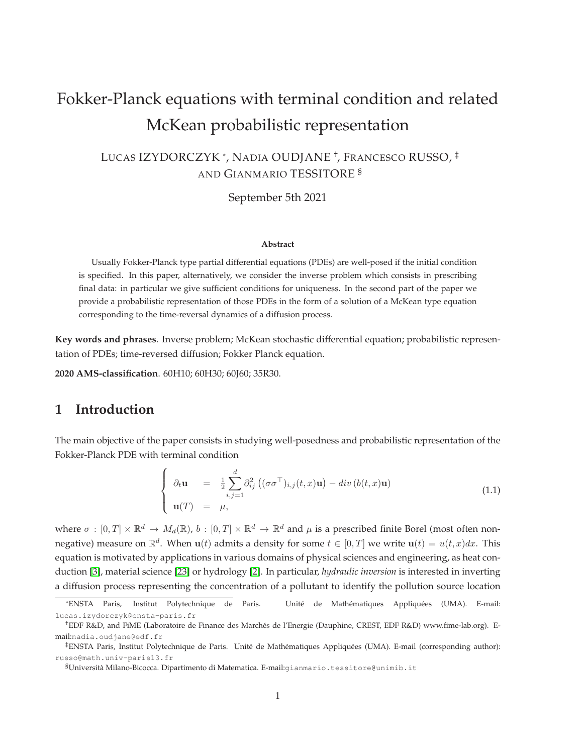# Fokker-Planck equations with terminal condition and related McKean probabilistic representation

LUCAS IZYDORCZYK \*, NADIA OUDJANE † , FRANCESCO RUSSO, ‡ AND GIANMARIO TESSITORE §

September 5th 2021

#### **Abstract**

Usually Fokker-Planck type partial differential equations (PDEs) are well-posed if the initial condition is specified. In this paper, alternatively, we consider the inverse problem which consists in prescribing final data: in particular we give sufficient conditions for uniqueness. In the second part of the paper we provide a probabilistic representation of those PDEs in the form of a solution of a McKean type equation corresponding to the time-reversal dynamics of a diffusion process.

**Key words and phrases**. Inverse problem; McKean stochastic differential equation; probabilistic representation of PDEs; time-reversed diffusion; Fokker Planck equation.

**2020 AMS-classification**. 60H10; 60H30; 60J60; 35R30.

# **1 Introduction**

The main objective of the paper consists in studying well-posedness and probabilistic representation of the Fokker-Planck PDE with terminal condition

<span id="page-0-0"></span>
$$
\begin{cases}\n\partial_t \mathbf{u} = \frac{1}{2} \sum_{i,j=1}^d \partial_{ij}^2 \left( (\sigma \sigma^\top)_{i,j}(t,x) \mathbf{u} \right) - div \left( b(t,x) \mathbf{u} \right) \\
\mathbf{u}(T) = \mu,\n\end{cases}
$$
\n(1.1)

where  $\sigma:[0,T]\times\mathbb{R}^d\to M_d(\mathbb{R})$ ,  $b:[0,T]\times\mathbb{R}^d\to\mathbb{R}^d$  and  $\mu$  is a prescribed finite Borel (most often nonnegative) measure on  $\mathbb{R}^d$ . When  $\mathbf{u}(t)$  admits a density for some  $t \in [0,T]$  we write  $\mathbf{u}(t) = u(t,x)dx$ . This equation is motivated by applications in various domains of physical sciences and engineering, as heat conduction [\[3\]](#page-31-0), material science [\[23\]](#page-33-0) or hydrology [\[2\]](#page-31-1). In particular, *hydraulic inversion* is interested in inverting a diffusion process representing the concentration of a pollutant to identify the pollution source location

<sup>\*</sup>ENSTA Paris, Institut Polytechnique de Paris. Unité de Mathématiques Appliquées (UMA). E-mail: lucas.izydorczyk@ensta-paris.fr

<sup>†</sup>EDF R&D, and FiME (Laboratoire de Finance des Marchés de l'Energie (Dauphine, CREST, EDF R&D) www.fime-lab.org). Email:nadia.oudjane@edf.fr

<sup>‡</sup>ENSTA Paris, Institut Polytechnique de Paris. Unité de Mathématiques Appliquées (UMA). E-mail (corresponding author): russo@math.univ-paris13.fr

<sup>§</sup>Università Milano-Bicocca. Dipartimento di Matematica. E-mail:gianmario.tessitore@unimib.it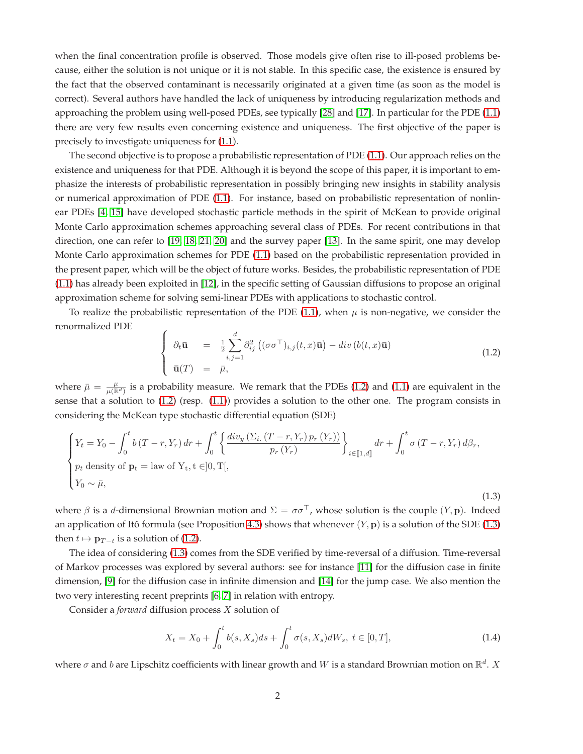when the final concentration profile is observed. Those models give often rise to ill-posed problems because, either the solution is not unique or it is not stable. In this specific case, the existence is ensured by the fact that the observed contaminant is necessarily originated at a given time (as soon as the model is correct). Several authors have handled the lack of uniqueness by introducing regularization methods and approaching the problem using well-posed PDEs, see typically [\[28\]](#page-33-1) and [\[17\]](#page-32-0). In particular for the PDE [\(1.1\)](#page-0-0) there are very few results even concerning existence and uniqueness. The first objective of the paper is precisely to investigate uniqueness for [\(1.1\)](#page-0-0).

The second objective is to propose a probabilistic representation of PDE [\(1.1\)](#page-0-0). Our approach relies on the existence and uniqueness for that PDE. Although it is beyond the scope of this paper, it is important to emphasize the interests of probabilistic representation in possibly bringing new insights in stability analysis or numerical approximation of PDE [\(1.1\)](#page-0-0). For instance, based on probabilistic representation of nonlinear PDEs [\[4,](#page-32-1) [15\]](#page-32-2) have developed stochastic particle methods in the spirit of McKean to provide original Monte Carlo approximation schemes approaching several class of PDEs. For recent contributions in that direction, one can refer to [\[19,](#page-32-3) [18,](#page-32-4) [21,](#page-33-2) [20\]](#page-32-5) and the survey paper [\[13\]](#page-32-6). In the same spirit, one may develop Monte Carlo approximation schemes for PDE [\(1.1\)](#page-0-0) based on the probabilistic representation provided in the present paper, which will be the object of future works. Besides, the probabilistic representation of PDE [\(1.1\)](#page-0-0) has already been exploited in [\[12\]](#page-32-7), in the specific setting of Gaussian diffusions to propose an original approximation scheme for solving semi-linear PDEs with applications to stochastic control.

To realize the probabilistic representation of the PDE [\(1.1\)](#page-0-0), when  $\mu$  is non-negative, we consider the renormalized PDE

<span id="page-1-0"></span>
$$
\begin{cases}\n\partial_t \bar{\mathbf{u}} = \frac{1}{2} \sum_{i,j=1}^d \partial_{ij}^2 \left( (\sigma \sigma^\top)_{i,j}(t,x) \bar{\mathbf{u}} \right) - div \left( b(t,x) \bar{\mathbf{u}} \right) \\
\bar{\mathbf{u}}(T) = \bar{\mu},\n\end{cases} \tag{1.2}
$$

where  $\bar{\mu} = \frac{\mu}{\mu(\mathbb{R}^d)}$  is a probability measure. We remark that the PDEs [\(1.2\)](#page-1-0) and [\(1.1\)](#page-0-0) are equivalent in the sense that a solution to [\(1.2\)](#page-1-0) (resp. [\(1.1\)](#page-0-0)) provides a solution to the other one. The program consists in considering the McKean type stochastic differential equation (SDE)

<span id="page-1-1"></span>
$$
\begin{cases}\nY_t = Y_0 - \int_0^t b(T - r, Y_r) dr + \int_0^t \left\{ \frac{div_y(\Sigma_i (T - r, Y_r) p_r(Y_r))}{p_r(Y_r)} \right\}_{i \in [\![1, d]\!]} dr + \int_0^t \sigma(T - r, Y_r) d\beta_r, \\
p_t \text{ density of } \mathbf{p}_t = \text{law of } Y_t, t \in ]0, T[, \\
Y_0 \sim \bar{\mu},\n\end{cases}
$$
\n(1.3)

where  $\beta$  is a d-dimensional Brownian motion and  $\Sigma = \sigma \sigma^{\top}$ , whose solution is the couple  $(Y, \mathbf{p})$ . Indeed an application of Itô formula (see Proposition [4.3\)](#page-17-0) shows that whenever  $(Y, \mathbf{p})$  is a solution of the SDE [\(1.3\)](#page-1-1) then  $t \mapsto \mathbf{p}_{T-t}$  is a solution of [\(1.2\)](#page-1-0).

The idea of considering [\(1.3\)](#page-1-1) comes from the SDE verified by time-reversal of a diffusion. Time-reversal of Markov processes was explored by several authors: see for instance [\[11\]](#page-32-8) for the diffusion case in finite dimension, [\[9\]](#page-32-9) for the diffusion case in infinite dimension and [\[14\]](#page-32-10) for the jump case. We also mention the two very interesting recent preprints [\[6,](#page-32-11) [7\]](#page-32-12) in relation with entropy.

Consider a *forward* diffusion process X solution of

<span id="page-1-2"></span>
$$
X_t = X_0 + \int_0^t b(s, X_s)ds + \int_0^t \sigma(s, X_s)dW_s, \ t \in [0, T], \tag{1.4}
$$

where  $\sigma$  and  $b$  are Lipschitz coefficients with linear growth and  $W$  is a standard Brownian motion on  $\mathbb{R}^d$ .  $X$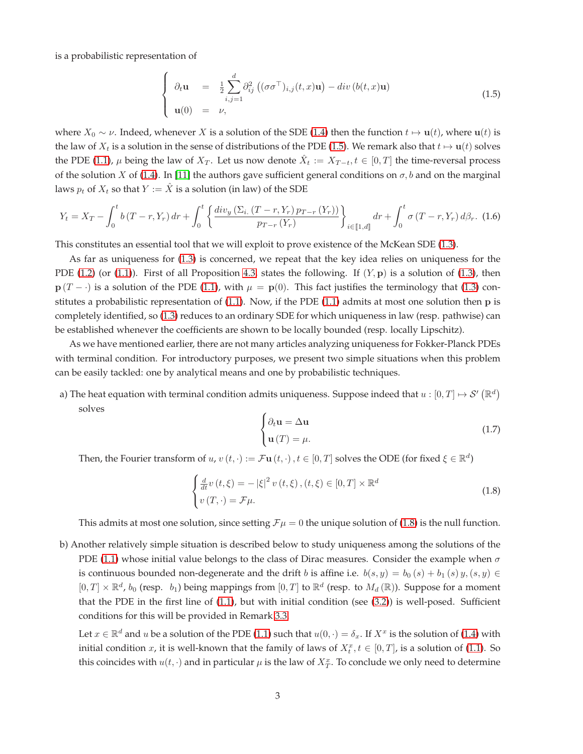is a probabilistic representation of

<span id="page-2-0"></span>
$$
\begin{cases}\n\partial_t \mathbf{u} = \frac{1}{2} \sum_{i,j=1}^d \partial_{ij}^2 \left( (\sigma \sigma^\top)_{i,j}(t,x) \mathbf{u} \right) - div \left( b(t,x) \mathbf{u} \right) \\
\mathbf{u}(0) = \nu,\n\end{cases}
$$
\n(1.5)

where  $X_0 \sim \nu$ . Indeed, whenever X is a solution of the SDE [\(1.4\)](#page-1-2) then the function  $t \mapsto \mathbf{u}(t)$ , where  $\mathbf{u}(t)$  is the law of  $X_t$  is a solution in the sense of distributions of the PDE [\(1.5\)](#page-2-0). We remark also that  $t \mapsto u(t)$  solves the PDE [\(1.1\)](#page-0-0),  $\mu$  being the law of  $X_T$ . Let us now denote  $\hat{X}_t := X_{T-t}, t \in [0,T]$  the time-reversal process of the solution X of [\(1.4\)](#page-1-2). In [\[11\]](#page-32-8) the authors gave sufficient general conditions on  $\sigma$ , b and on the marginal laws  $p_t$  of  $X_t$  so that  $Y := \hat{X}$  is a solution (in law) of the SDE

$$
Y_t = X_T - \int_0^t b(T - r, Y_r) dr + \int_0^t \left\{ \frac{div_y \left( \Sigma_i \left( (T - r, Y_r) p_{T - r} \left( Y_r \right) \right)}{p_{T - r} \left( Y_r \right)} \right\}_{i \in [\![ 1, d]\!]} dr + \int_0^t \sigma \left( (T - r, Y_r) d\beta_r. \right) (1.6)
$$

This constitutes an essential tool that we will exploit to prove existence of the McKean SDE [\(1.3\)](#page-1-1).

As far as uniqueness for [\(1.3\)](#page-1-1) is concerned, we repeat that the key idea relies on uniqueness for the PDE [\(1.2\)](#page-1-0) (or [\(1.1\)](#page-0-0)). First of all Proposition [4.3,](#page-17-0) states the following. If  $(Y, p)$  is a solution of [\(1.3\)](#page-1-1), then  $p(T - \cdot)$  is a solution of the PDE [\(1.1\)](#page-0-0), with  $\mu = p(0)$ . This fact justifies the terminology that [\(1.3\)](#page-1-1) constitutes a probabilistic representation of [\(1.1\)](#page-0-0). Now, if the PDE [\(1.1\)](#page-0-0) admits at most one solution then p is completely identified, so [\(1.3\)](#page-1-1) reduces to an ordinary SDE for which uniqueness in law (resp. pathwise) can be established whenever the coefficients are shown to be locally bounded (resp. locally Lipschitz).

As we have mentioned earlier, there are not many articles analyzing uniqueness for Fokker-Planck PDEs with terminal condition. For introductory purposes, we present two simple situations when this problem can be easily tackled: one by analytical means and one by probabilistic techniques.

a) The heat equation with terminal condition admits uniqueness. Suppose indeed that  $u:[0,T]\mapsto \mathcal S'\left(\mathbb R^d\right)$ solves

$$
\begin{cases}\n\partial_t \mathbf{u} = \Delta \mathbf{u} \\
\mathbf{u}(T) = \mu.\n\end{cases}
$$
\n(1.7)

Then, the Fourier transform of  $u, v(t, \cdot) := \mathcal{F} \mathbf{u}(t, \cdot)$  ,  $t \in [0, T]$  solves the ODE (for fixed  $\xi \in \mathbb{R}^d$ )

<span id="page-2-1"></span>
$$
\begin{cases}\n\frac{d}{dt}v(t,\xi) = -|\xi|^2 v(t,\xi), (t,\xi) \in [0,T] \times \mathbb{R}^d \\
v(T,\cdot) = \mathcal{F}\mu.\n\end{cases}
$$
\n(1.8)

This admits at most one solution, since setting  $\mathcal{F}\mu = 0$  the unique solution of [\(1.8\)](#page-2-1) is the null function.

b) Another relatively simple situation is described below to study uniqueness among the solutions of the PDE [\(1.1\)](#page-0-0) whose initial value belongs to the class of Dirac measures. Consider the example when  $\sigma$ is continuous bounded non-degenerate and the drift b is affine i.e.  $b(s, y) = b_0(s) + b_1(s) y$ ,  $(s, y) \in$  $[0,T] \times \mathbb{R}^d$ ,  $b_0$  (resp.  $b_1$ ) being mappings from  $[0,T]$  to  $\mathbb{R}^d$  (resp. to  $M_d(\mathbb{R})$ ). Suppose for a moment that the PDE in the first line of [\(1.1\)](#page-0-0), but with initial condition (see [\(3.2\)](#page-5-0)) is well-posed. Sufficient conditions for this will be provided in Remark 3.3.

Let  $x \in \mathbb{R}^d$  and  $u$  be a solution of the PDE [\(1.1\)](#page-0-0) such that  $u(0, \cdot) = \delta_x$ . If  $X^x$  is the solution of [\(1.4\)](#page-1-2) with initial condition x, it is well-known that the family of laws of  $X_t^x$ ,  $t \in [0,T]$ , is a solution of [\(1.1\)](#page-0-0). So this coincides with  $u(t, \cdot)$  and in particular  $\mu$  is the law of  $X_T^x$ . To conclude we only need to determine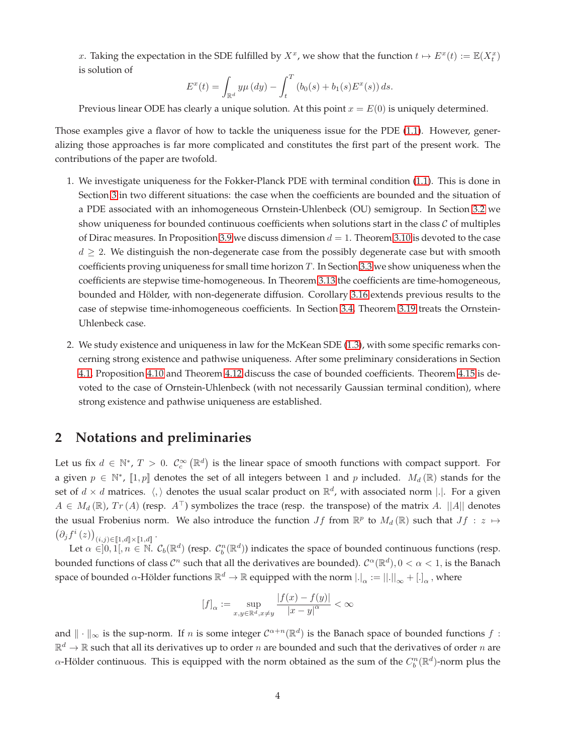x. Taking the expectation in the SDE fulfilled by  $X^x$ , we show that the function  $t \mapsto E^x(t) := \mathbb{E}(X_t^x)$ is solution of

$$
E^{x}(t) = \int_{\mathbb{R}^{d}} y \mu(dy) - \int_{t}^{T} (b_{0}(s) + b_{1}(s)E^{x}(s)) ds.
$$

Previous linear ODE has clearly a unique solution. At this point  $x = E(0)$  is uniquely determined.

Those examples give a flavor of how to tackle the uniqueness issue for the PDE [\(1.1\)](#page-0-0). However, generalizing those approaches is far more complicated and constitutes the first part of the present work. The contributions of the paper are twofold.

- 1. We investigate uniqueness for the Fokker-Planck PDE with terminal condition [\(1.1\)](#page-0-0). This is done in Section [3](#page-4-0) in two different situations: the case when the coefficients are bounded and the situation of a PDE associated with an inhomogeneous Ornstein-Uhlenbeck (OU) semigroup. In Section [3.2](#page-7-0) we show uniqueness for bounded continuous coefficients when solutions start in the class  $C$  of multiples of Dirac measures. In Proposition [3.9](#page-7-1) we discuss dimension  $d = 1$ . Theorem [3.10](#page-8-0) is devoted to the case  $d \geq 2$ . We distinguish the non-degenerate case from the possibly degenerate case but with smooth coefficients proving uniqueness for small time horizon  $T$ . In Section [3.3](#page-10-0) we show uniqueness when the coefficients are stepwise time-homogeneous. In Theorem [3.13](#page-11-0) the coefficients are time-homogeneous, bounded and Hölder, with non-degenerate diffusion. Corollary [3.16](#page-13-0) extends previous results to the case of stepwise time-inhomogeneous coefficients. In Section [3.4,](#page-13-1) Theorem [3.19](#page-16-0) treats the Ornstein-Uhlenbeck case.
- 2. We study existence and uniqueness in law for the McKean SDE [\(1.3\)](#page-1-1), with some specific remarks concerning strong existence and pathwise uniqueness. After some preliminary considerations in Section [4.1,](#page-17-1) Proposition [4.10](#page-21-0) and Theorem [4.12](#page-22-0) discuss the case of bounded coefficients. Theorem [4.15](#page-24-0) is devoted to the case of Ornstein-Uhlenbeck (with not necessarily Gaussian terminal condition), where strong existence and pathwise uniqueness are established.

# **2 Notations and preliminaries**

Let us fix  $d \in \mathbb{N}^*$ ,  $T > 0$ .  $\mathcal{C}_c^{\infty}(\mathbb{R}^d)$  is the linear space of smooth functions with compact support. For a given  $p \in \mathbb{N}^*$ ,  $[1,p]$  denotes the set of all integers between 1 and p included.  $M_d(\mathbb{R})$  stands for the set of  $d \times d$  matrices.  $\langle, \rangle$  denotes the usual scalar product on  $\mathbb{R}^d$ , with associated norm  $|.|$ . For a given  $A \in M_d(\mathbb{R})$ ,  $Tr(A)$  (resp.  $A^{\top}$ ) symbolizes the trace (resp. the transpose) of the matrix A. ||A|| denotes the usual Frobenius norm. We also introduce the function  $Jf$  from  $\mathbb{R}^p$  to  $M_d(\mathbb{R})$  such that  $Jf : z \mapsto$  $\left(\partial_j f^i(z)\right)_{(i,j)\in \llbracket 1,d\rrbracket \times \llbracket 1,d\rrbracket}.$ 

Let  $\alpha \in ]0,1[, n \in \mathbb{N}$ .  $\mathcal{C}_b(\mathbb{R}^d)$  (resp.  $\mathcal{C}_b^n(\mathbb{R}^d)$ ) indicates the space of bounded continuous functions (resp. bounded functions of class  $C^n$  such that all the derivatives are bounded).  $C^{\alpha}(\mathbb{R}^d)$ ,  $0<\alpha<1$ , is the Banach space of bounded  $\alpha$ -Hölder functions  $\R^d\to\R$  equipped with the norm  $|.|_\alpha:=||.||_\infty+[.]_\alpha$  , where

$$
[f]_{\alpha} := \sup_{x,y \in \mathbb{R}^d, x \neq y} \frac{|f(x) - f(y)|}{|x - y|^{\alpha}} < \infty
$$

and  $\|\cdot\|_{\infty}$  is the sup-norm. If n is some integer  $C^{\alpha+n}(\mathbb{R}^d)$  is the Banach space of bounded functions  $f$ :  $\mathbb{R}^d\to\mathbb{R}$  such that all its derivatives up to order  $n$  are bounded and such that the derivatives of order  $n$  are α-Hölder continuous. This is equipped with the norm obtained as the sum of the  $C_b^n(\mathbb{R}^d)$ -norm plus the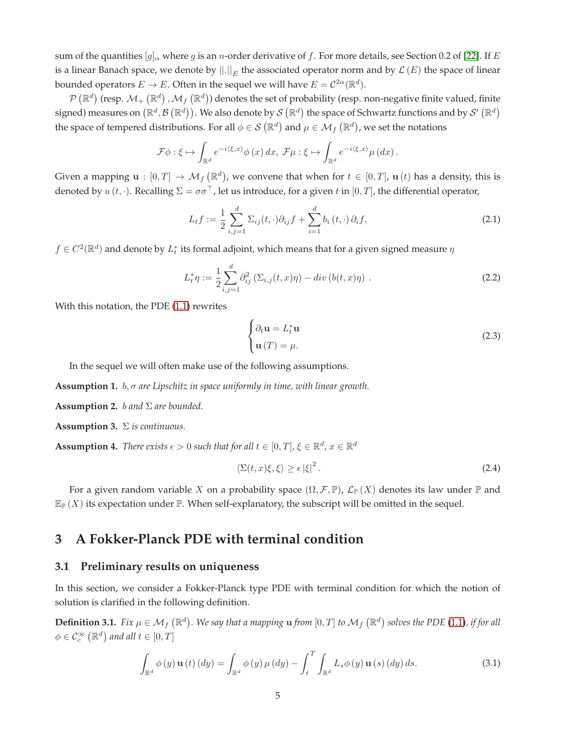sum of the quantities  $[g]_{\alpha}$  where g is an n-order derivative of f. For more details, see Section 0.2 of [\[22\]](#page-33-3). If E is a linear Banach space, we denote by  $||.||_E$  the associated operator norm and by  $\mathcal{L}(E)$  the space of linear bounded operators  $E \to E$ . Often in the sequel we will have  $E = C^{2\alpha}(\mathbb{R}^d)$ .

 $\mathcal{P}\left(\mathbb{R}^d\right)$  (resp.  $\mathcal{M}_+ \left(\mathbb{R}^d\right),\mathcal{M}_f\left(\mathbb{R}^d\right))$  denotes the set of probability (resp. non-negative finite valued, finite signed) measures on  $(\mathbb{R}^d,\mathcal{B}\,(\mathbb{R}^d))$ . We also denote by  $\mathcal{S}\,(\mathbb{R}^d)$  the space of Schwartz functions and by  $\mathcal{S}'\,(\mathbb{R}^d)$ the space of tempered distributions. For all  $\phi\in\mathcal{S}\left(\mathbb{R}^d\right)$  and  $\mu\in\mathcal{M}_f\left(\mathbb{R}^d\right)$ , we set the notations

$$
\mathcal{F}\phi:\xi\mapsto\int_{\mathbb{R}^d}e^{-i\langle\xi,x\rangle}\phi(x)\,dx,\,\mathcal{F}\mu:\xi\mapsto\int_{\mathbb{R}^d}e^{-i\langle\xi,x\rangle}\mu\left(dx\right).
$$

Given a mapping  $\mathbf{u}:[0,T]\to \mathcal{M}_f(\mathbb{R}^d)$ , we convene that when for  $t\in [0,T]$ ,  $\mathbf{u}(t)$  has a density, this is denoted by  $u(t, \cdot)$ . Recalling  $\Sigma = \sigma \sigma^{\top}$ , let us introduce, for a given t in [0, T], the differential operator,

<span id="page-4-6"></span>
$$
L_t f := \frac{1}{2} \sum_{i,j=1}^d \Sigma_{ij}(t,\cdot) \partial_{ij} f + \sum_{i=1}^d b_i(t,\cdot) \partial_i f,
$$
\n(2.1)

 $f\in C^2(\mathbb{R}^d)$  and denote by  $L^*_t$  its formal adjoint, which means that for a given signed measure  $\eta$ 

$$
L_t^* \eta := \frac{1}{2} \sum_{i,j=1}^d \partial_{ij}^2 (\Sigma_{i,j}(t,x)\eta) - div(b(t,x)\eta) . \tag{2.2}
$$

With this notation, the PDE [\(1.1\)](#page-0-0) rewrites

$$
\begin{cases}\n\partial_t \mathbf{u} = L_t^* \mathbf{u} \\
\mathbf{u}(T) = \mu.\n\end{cases}
$$
\n(2.3)

In the sequel we will often make use of the following assumptions.

<span id="page-4-4"></span>**Assumption 1.** b, σ *are Lipschitz in space uniformly in time, with linear growth.*

<span id="page-4-1"></span>**Assumption 2.** b *and* Σ *are bounded.*

<span id="page-4-3"></span>**Assumption 3.** Σ *is continuous.*

<span id="page-4-2"></span>**Assumption 4.** *There exists*  $\epsilon > 0$  *such that for all*  $t \in [0, T]$ ,  $\xi \in \mathbb{R}^d$ ,  $x \in \mathbb{R}^d$ 

$$
\langle \Sigma(t, x)\xi, \xi \rangle \ge \epsilon |\xi|^2. \tag{2.4}
$$

For a given random variable X on a probability space  $(\Omega, \mathcal{F}, \mathbb{P})$ ,  $\mathcal{L}_{\mathbb{P}}(X)$  denotes its law under  $\mathbb{P}$  and  $\mathbb{E}_{\mathbb{P}}(X)$  its expectation under  $\mathbb{P}$ . When self-explanatory, the subscript will be omitted in the sequel.

# <span id="page-4-0"></span>**3 A Fokker-Planck PDE with terminal condition**

#### **3.1 Preliminary results on uniqueness**

In this section, we consider a Fokker-Planck type PDE with terminal condition for which the notion of solution is clarified in the following definition.

<span id="page-4-5"></span>**Definition 3.1.** *Fix*  $\mu \in M_f(\mathbb{R}^d)$ . We say that a mapping **u** from  $[0,T]$  to  $\mathcal{M}_f(\mathbb{R}^d)$  solves the PDE [\(1.1\)](#page-0-0), if for all  $\phi \in \mathcal{C}^{\infty}_c\left(\mathbb{R}^d\right)$  and all  $t \in [0,T]$ 

$$
\int_{\mathbb{R}^d} \phi(y) \mathbf{u}(t) (dy) = \int_{\mathbb{R}^d} \phi(y) \mu(dy) - \int_t^T \int_{\mathbb{R}^d} L_s \phi(y) \mathbf{u}(s) (dy) ds.
$$
\n(3.1)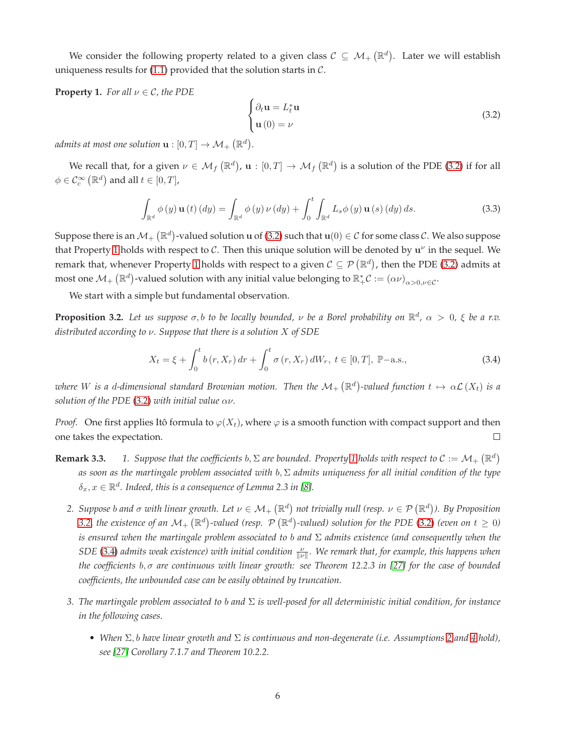We consider the following property related to a given class  $\mathcal{C} \subseteq \mathcal{M}_{+}\left(\mathbb{R}^d\right)$ . Later we will establish uniqueness results for  $(1.1)$  provided that the solution starts in  $C$ .

<span id="page-5-1"></span>**Property 1.** *For all*  $\nu \in \mathcal{C}$ *, the PDE* 

<span id="page-5-0"></span>
$$
\begin{cases}\n\partial_t \mathbf{u} = L_t^* \mathbf{u} \\
\mathbf{u}(0) = \nu\n\end{cases}
$$
\n(3.2)

*admits at most one solution*  $\mathbf{u}:[0,T]\rightarrow \mathcal{M}_{+}\left(\mathbb{R}^{d}\right)$ .

We recall that, for a given  $\nu \in \mathcal{M}_f(\mathbb{R}^d)$ ,  $\mathbf{u}:[0,T] \to \mathcal{M}_f(\mathbb{R}^d)$  is a solution of the PDE [\(3.2\)](#page-5-0) if for all  $\phi \in \mathcal{C}^{\infty}_c\left(\mathbb{R}^d\right)$  and all  $t \in [0,T]$ ,

<span id="page-5-4"></span>
$$
\int_{\mathbb{R}^d} \phi(y) \mathbf{u}(t) (dy) = \int_{\mathbb{R}^d} \phi(y) \nu(dy) + \int_0^t \int_{\mathbb{R}^d} L_s \phi(y) \mathbf{u}(s) (dy) ds.
$$
\n(3.3)

Suppose there is an  $\mathcal{M}_+\left(\R^d\right)$ -valued solution u of [\(3.2\)](#page-5-0) such that  $\mathbf{u}(0)\in\mathcal{C}$  for some class  $\mathcal{C}.$  We also suppose that Property [1](#page-5-1) holds with respect to C. Then this unique solution will be denoted by  $u^{\nu}$  in the sequel. We remark that, whenever Property [1](#page-5-1) holds with respect to a given  $C\subseteq \mathcal{P}(\mathbb{R}^d)$ , then the PDE [\(3.2\)](#page-5-0) admits at most one  $\mathcal{M}_+\left(\mathbb{R}^d\right)$ -valued solution with any initial value belonging to  $\mathbb{R}_+^*\mathcal{C} := (\alpha \nu)_{\alpha>0, \nu \in \mathcal{C}}$ .

We start with a simple but fundamental observation.

<span id="page-5-2"></span>**Proposition 3.2.** Let us suppose  $\sigma$ , b to be locally bounded,  $\nu$  be a Borel probability on  $\mathbb{R}^d$ ,  $\alpha > 0$ ,  $\xi$  be a r.v. *distributed according to* ν*. Suppose that there is a solution* X *of SDE*

<span id="page-5-3"></span>
$$
X_t = \xi + \int_0^t b(r, X_r) dr + \int_0^t \sigma(r, X_r) dW_r, \ t \in [0, T], \ \mathbb{P}-\text{a.s.}, \tag{3.4}
$$

where  $W$  is a d-dimensional standard Brownian motion. Then the  $\mathcal{M}_+\left(\R^d\right)$ -valued function  $t\mapsto\alpha\mathcal{L}\left(X_t\right)$  is a *solution of the PDE* [\(3.2\)](#page-5-0) *with initial value*  $\alpha \nu$ *.* 

*Proof.* One first applies Itô formula to  $\varphi(X_t)$ , where  $\varphi$  is a smooth function with compact support and then one takes the expectation.  $\Box$ 

- **Remark 3.3. 1.** Suppose that the coefficients  $b, \Sigma$  are bounded. Property [1](#page-5-1) holds with respect to  $C := \mathcal{M}_+ (\mathbb{R}^d)$ *as soon as the martingale problem associated with* b, Σ *admits uniqueness for all initial condition of the type*  $\delta_x, x \in \mathbb{R}^d$ . Indeed, this is a consequence of Lemma 2.3 in [\[8\]](#page-32-13).
	- 2. Suppose b and  $\sigma$  with linear growth. Let  $\nu\in\mathcal{M}_+$   $(\mathbb{R}^d)$  not trivially null (resp.  $\nu\in\mathcal{P}$   $(\mathbb{R}^d)$ ). By Proposition [3.2,](#page-5-2) the existence of an  $\mathcal{M}_+\left(\mathbb{R}^d\right)$ -valued (resp.  $\mathcal{P}\left(\mathbb{R}^d\right)$ -valued) solution for the PDE [\(3.2\)](#page-5-0) (even on  $t\geq 0$ ) *is ensured when the martingale problem associated to* b *and* Σ *admits existence (and consequently when the SDE* [\(3.4\)](#page-5-3) admits weak existence) with initial condition  $\frac{\nu}{\|\nu\|}$ . We remark that, for example, this happens when *the coefficients* b, σ *are continuous with linear growth: see Theorem 12.2.3 in [\[27\]](#page-33-4) for the case of bounded coefficients, the unbounded case can be easily obtained by truncation.*
	- *3. The martingale problem associated to* b *and* Σ *is well-posed for all deterministic initial condition, for instance in the following cases.*
		- *When* Σ, b *have linear growth and* Σ *is continuous and non-degenerate (i.e. Assumptions [2](#page-4-1) and [4](#page-4-2) hold), see [\[27\]](#page-33-4) Corollary 7.1.7 and Theorem 10.2.2.*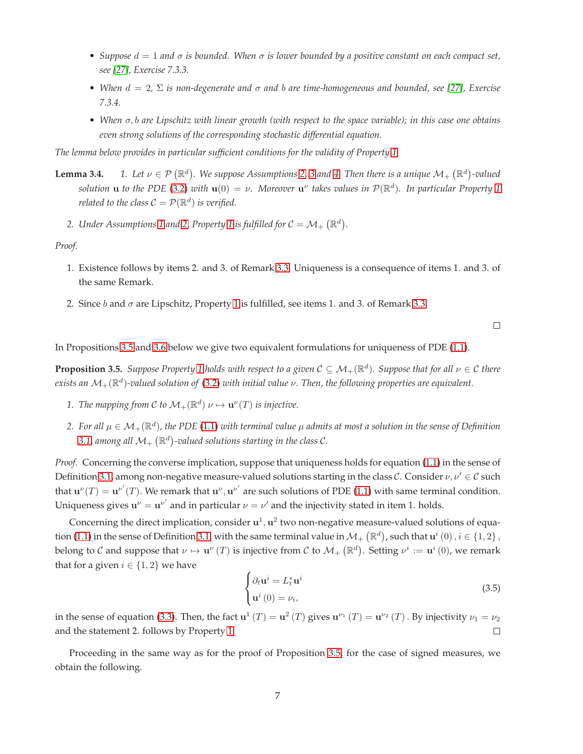- *Suppose*  $d = 1$  *and*  $\sigma$  *is bounded. When*  $\sigma$  *is lower bounded by a positive constant on each compact set, see [\[27\]](#page-33-4), Exercise 7.3.3.*
- *When*  $d = 2$ ,  $\Sigma$  *is non-degenerate and*  $\sigma$  *and*  $b$  *are time-homogeneous and bounded, see* [\[27\]](#page-33-4), *Exercise 7.3.4.*
- *When* σ, b *are Lipschitz with linear growth (with respect to the space variable); in this case one obtains even strong solutions of the corresponding stochastic differential equation.*

*The lemma below provides in particular sufficient conditions for the validity of Property [1.](#page-5-1)*

- **Lemma [3](#page-4-3).4.**  $1.$  Let  $\nu \in \mathcal{P}(\mathbb{R}^d)$ . We suppose Assumptions [2,](#page-4-1) 3 and [4.](#page-4-2) Then there is a unique  $\mathcal{M}_+(\mathbb{R}^d)$ -valued  $s$ olution **u** to the PDE [\(3.2\)](#page-5-0) with  $\mathbf{u}(0) = \nu$ . Moreover  $\mathbf{u}^{\nu}$  takes values in  $\mathcal{P}(\mathbb{R}^d)$ . In particular Property [1](#page-5-1) *related to the class*  $C = \mathcal{P}(\mathbb{R}^d)$  *is verified.* 
	- 2. Under Assumptions [1](#page-5-1) and [2,](#page-4-1) Property 1 is fulfilled for  $C = \mathcal{M}_+ \left( \mathbb{R}^d \right)$ .

*Proof.*

- 1. Existence follows by items 2. and 3. of Remark 3.3. Uniqueness is a consequence of items 1. and 3. of the same Remark.
- 2. Since  $b$  and  $\sigma$  are Lipschitz, Property [1](#page-5-1) is fulfilled, see items 1. and 3. of Remark 3.3.

 $\Box$ 

In Propositions [3.5](#page-6-0) and [3.6](#page-7-2) below we give two equivalent formulations for uniqueness of PDE [\(1.1\)](#page-0-0).

<span id="page-6-0"></span>**Proposition 3.5.** Suppose Property [1](#page-5-1) holds with respect to a given  $C \subseteq M_+(\mathbb{R}^d)$ . Suppose that for all  $\nu \in C$  there *exists an* M+(R d )*-valued solution of* [\(3.2\)](#page-5-0) *with initial value* ν*. Then, the following properties are equivalent.*

- *1. The mapping from C to*  $\mathcal{M}_+(\mathbb{R}^d)$   $\nu \mapsto \mathbf{u}^{\nu}(T)$  *is injective.*
- $2.$  For all  $\mu\in\mathcal{M}_{+}(\R^d)$ , the PDE [\(1.1\)](#page-0-0) with terminal value  $\mu$  admits at most a solution in the sense of Definition [3.1,](#page-4-5) among all  $\mathcal{M}_{+}\left(\mathbb{R}^{d}\right)$ -valued solutions starting in the class C.

*Proof.* Concerning the converse implication, suppose that uniqueness holds for equation [\(1.1\)](#page-0-0) in the sense of Definition [3.1,](#page-4-5) among non-negative measure-valued solutions starting in the class C. Consider  $\nu, \nu' \in \mathcal{C}$  such that  $\mathbf{u}^{\nu}(T) = \mathbf{u}^{\nu'}(T)$ . We remark that  $\mathbf{u}^{\nu}, \mathbf{u}^{\nu'}$  are such solutions of PDE [\(1.1\)](#page-0-0) with same terminal condition. Uniqueness gives  $\mathbf{u}^{\nu} = \mathbf{u}^{\nu'}$  and in particular  $\nu = \nu'$  and the injectivity stated in item 1. holds.

Concerning the direct implication, consider  $\mathbf{u}^1, \mathbf{u}^2$  two non-negative measure-valued solutions of equa-tion [\(1.1\)](#page-0-0) in the sense of Definition [3.1,](#page-4-5) with the same terminal value in  $\mathcal{M}_+$   $(\mathbb{R}^d)$ , such that  $\mathbf{u}^i(0)$  ,  $i\in\{1,2\}$  , belong to  $\mathcal C$  and suppose that  $\nu \mapsto \mathbf u^\nu(T)$  is injective from  $\mathcal C$  to  $\mathcal M_+\left(\mathbb R^d\right)$ . Setting  $\nu^i:=\mathbf u^i(0)$ , we remark that for a given  $i \in \{1, 2\}$  we have

$$
\begin{cases}\n\partial_t \mathbf{u}^i = L_t^* \mathbf{u}^i \\
\mathbf{u}^i (0) = \nu_i,\n\end{cases}
$$
\n(3.5)

in the sense of equation [\(3.3\)](#page-5-4). Then, the fact  ${\bf u}^1(T)={\bf u}^2(T)$  gives  ${\bf u}^{\nu_1}(T)={\bf u}^{\nu_2}(T)$  . By injectivity  $\nu_1=\nu_2$ and the statement 2. follows by Property [1.](#page-5-1)  $\Box$ 

Proceeding in the same way as for the proof of Proposition [3.5,](#page-6-0) for the case of signed measures, we obtain the following.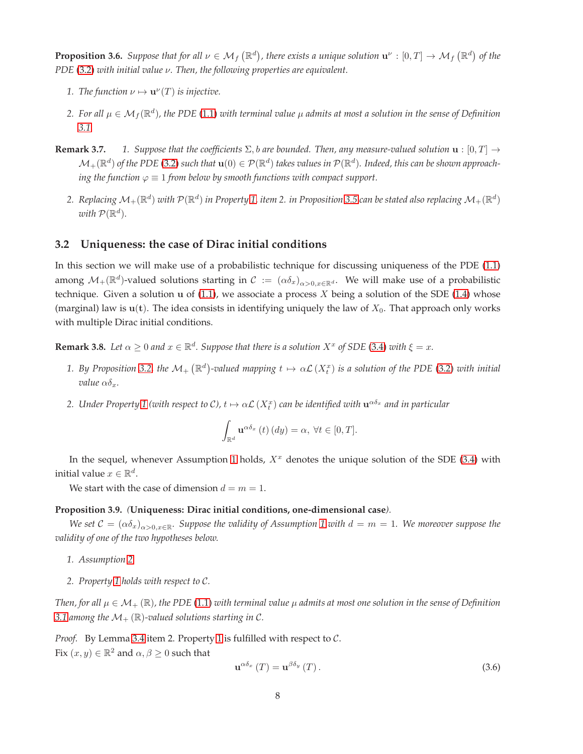<span id="page-7-2"></span>**Proposition 3.6.** Suppose that for all  $\nu \in M_f(\mathbb{R}^d)$ , there exists a unique solution  $\mathbf{u}^\nu:[0,T] \to M_f(\mathbb{R}^d)$  of the *PDE* [\(3.2\)](#page-5-0) *with initial value* ν*. Then, the following properties are equivalent.*

- *1. The function*  $\nu \mapsto \mathbf{u}^{\nu}(T)$  *is injective.*
- $2.$  For all  $\mu\in\mathcal{M}_f(\R^d)$ , the PDE [\(1.1\)](#page-0-0) with terminal value  $\mu$  admits at most a solution in the sense of Definition *[3.1.](#page-4-5)*
- **Remark 3.7. 1.** Suppose that the coefficients  $\Sigma$ , b are bounded. Then, any measure-valued solution  $\mathbf{u} : [0, T] \rightarrow$  $\mathcal{M}_+(\mathbb{R}^d)$  of the PDE [\(3.2\)](#page-5-0) such that  $\mathbf{u}(0)\in\mathcal{P}(\mathbb{R}^d)$  takes values in  $\mathcal{P}(\mathbb{R}^d)$ . Indeed, this can be shown approach*ing the function*  $\varphi \equiv 1$  *from below by smooth functions with compact support.* 
	- 2. Replacing  $\mathcal{M}_+(\R^d)$  with  $\mathcal{P}(\R^d)$  in Property [1,](#page-5-1) item 2. in Proposition [3.5](#page-6-0) can be stated also replacing  $\mathcal{M}_+(\R^d)$ with  $\mathcal{P}(\mathbb{R}^d)$ .

## <span id="page-7-0"></span>**3.2 Uniqueness: the case of Dirac initial conditions**

In this section we will make use of a probabilistic technique for discussing uniqueness of the PDE [\(1.1\)](#page-0-0) among  $\mathcal{M}_+(\mathbb{R}^d)$ -valued solutions starting in  $\mathcal{C} := (\alpha \delta_x)_{\alpha>0, x\in \mathbb{R}^d}$ . We will make use of a probabilistic technique. Given a solution u of  $(1.1)$ , we associate a process X being a solution of the SDE  $(1.4)$  whose (marginal) law is  $u(t)$ . The idea consists in identifying uniquely the law of  $X_0$ . That approach only works with multiple Dirac initial conditions.

<span id="page-7-3"></span>**Remark 3.8.** Let  $\alpha \geq 0$  and  $x \in \mathbb{R}^d$ . Suppose that there is a solution  $X^x$  of SDE [\(3.4\)](#page-5-3) with  $\xi = x$ .

- 1. By Proposition [3.2,](#page-5-2) the  $\mathcal{M}_+(\mathbb{R}^d)$ -valued mapping  $t\mapsto \alpha\mathcal{L}(X_t^x)$  is a solution of the PDE [\(3.2\)](#page-5-0) with initial *value*  $\alpha \delta_r$ *.*
- 2. Under Property [1](#page-5-1) (with respect to C),  $t\mapsto\alpha\mathcal{L}\left(X_t^x\right)$  can be identified with  ${\bf u}^{\alpha\delta_x}$  and in particular

$$
\int_{\mathbb{R}^d} \mathbf{u}^{\alpha \delta_x} (t) (dy) = \alpha, \ \forall t \in [0, T].
$$

In the sequel, whenever Assumption [1](#page-4-4) holds,  $X^x$  denotes the unique solution of the SDE [\(3.4\)](#page-5-3) with initial value  $x \in \mathbb{R}^d$ .

We start with the case of dimension  $d = m = 1$ .

#### <span id="page-7-1"></span>**Proposition 3.9.** *(***Uniqueness: Dirac initial conditions, one-dimensional case***).*

*We set*  $C = (\alpha \delta_x)_{\alpha > 0, x \in \mathbb{R}}$ *. Suppose the validity of Assumption* [1](#page-4-4) with  $d = m = 1$ *. We moreover suppose the validity of one of the two hypotheses below.*

- *1. Assumption [2.](#page-4-1)*
- *2. Property [1](#page-5-1) holds with respect to* C*.*

*Then, for all*  $\mu \in \mathcal{M}_+ (\mathbb{R})$ , the PDE [\(1.1\)](#page-0-0) *with terminal value*  $\mu$  *admits at most one solution in the sense of Definition* [3.1](#page-4-5) among the  $\mathcal{M}_+$  ( $\mathbb{R}$ )-valued solutions starting in C.

*Proof.* By Lemma 3.4 item 2. Property [1](#page-5-1) is fulfilled with respect to  $C$ . Fix  $(x, y) \in \mathbb{R}^2$  and  $\alpha, \beta \geq 0$  such that

$$
\mathbf{u}^{\alpha\delta_x} \left( T \right) = \mathbf{u}^{\beta\delta_y} \left( T \right). \tag{3.6}
$$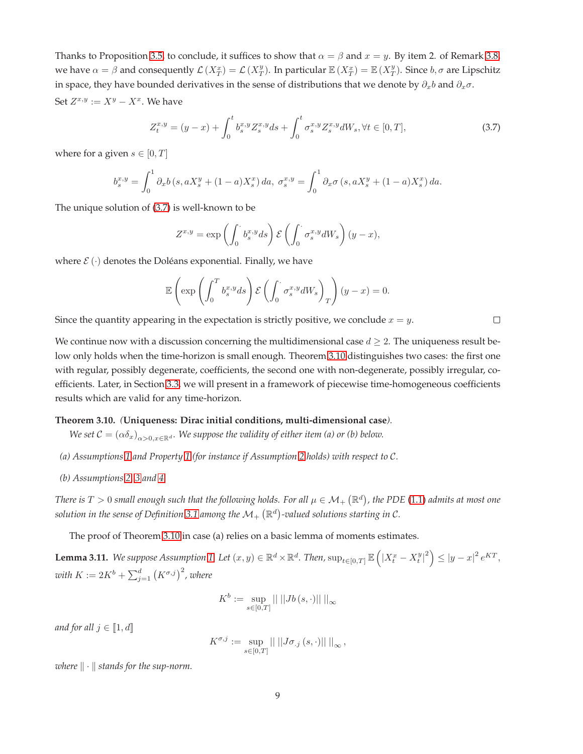Thanks to Proposition [3.5,](#page-6-0) to conclude, it suffices to show that  $\alpha = \beta$  and  $x = y$ . By item 2. of Remark [3.8,](#page-7-3) we have  $\alpha = \beta$  and consequently  $\mathcal{L}(X_T^x) = \mathcal{L}(X_T^y)$ . In particular  $\mathbb{E}(X_T^x) = \mathbb{E}(X_T^y)$ . Since  $b, \sigma$  are Lipschitz in space, they have bounded derivatives in the sense of distributions that we denote by  $\partial_x b$  and  $\partial_x \sigma$ . Set  $Z^{x,y} := X^y - X^x$ . We have

<span id="page-8-1"></span>
$$
Z_t^{x,y} = (y-x) + \int_0^t b_s^{x,y} Z_s^{x,y} ds + \int_0^t \sigma_s^{x,y} Z_s^{x,y} dW_s, \forall t \in [0, T],
$$
\n(3.7)

where for a given  $s \in [0, T]$ 

$$
b_s^{x,y} = \int_0^1 \partial_x b \left( s, a X_s^y + (1 - a) X_s^x \right) da, \ \sigma_s^{x,y} = \int_0^1 \partial_x \sigma \left( s, a X_s^y + (1 - a) X_s^x \right) da.
$$

The unique solution of [\(3.7\)](#page-8-1) is well-known to be

$$
Z^{x,y} = \exp\left(\int_0^{\cdot} b_s^{x,y} ds\right) \mathcal{E}\left(\int_0^{\cdot} \sigma_s^{x,y} dW_s\right) (y-x),
$$

where  $\mathcal{E}(\cdot)$  denotes the Doléans exponential. Finally, we have

$$
\mathbb{E}\left(\exp\left(\int_0^T b_s^{x,y} ds\right) \mathcal{E}\left(\int_0^{\cdot} \sigma_s^{x,y} dW_s\right)_T\right) (y-x) = 0.
$$

Since the quantity appearing in the expectation is strictly positive, we conclude  $x = y$ .

We continue now with a discussion concerning the multidimensional case  $d \geq 2$ . The uniqueness result below only holds when the time-horizon is small enough. Theorem [3.10](#page-8-0) distinguishes two cases: the first one with regular, possibly degenerate, coefficients, the second one with non-degenerate, possibly irregular, coefficients. Later, in Section [3.3,](#page-10-0) we will present in a framework of piecewise time-homogeneous coefficients results which are valid for any time-horizon.

## <span id="page-8-0"></span>**Theorem 3.10.** *(***Uniqueness: Dirac initial conditions, multi-dimensional case***).*

- *We set*  $C = (\alpha \delta_x)_{\alpha > 0}$   $_{x \in \mathbb{R}^d}$ *. We suppose the validity of either item (a) or (b) below.*
- *(a) Assumptions [1](#page-4-4) and Property [1](#page-5-1) (for instance if Assumption [2](#page-4-1) holds) with respect to* C*.*
- *(b) Assumptions [2,](#page-4-1) [3](#page-4-3) and [4.](#page-4-2)*

There is  $T>0$  small enough such that the following holds. For all  $\mu\in\mathcal{M}_+$   $(\mathbb{R}^d)$ , the PDE  $(1.1)$  admits at most one solution in the sense of Definition [3.1](#page-4-5) among the  $\mathcal{M}_{+}\left(\mathbb{R}^{d}\right)$ -valued solutions starting in C.

The proof of Theorem [3.10](#page-8-0) in case (a) relies on a basic lemma of moments estimates.

<span id="page-8-2"></span>Lemma 3.11. We suppose Assumption [1.](#page-4-4) Let  $(x, y) \in \mathbb{R}^d \times \mathbb{R}^d$ . Then,  $\sup_{t \in [0, T]} \mathbb{E} \left( \left| X_t^x - X_t^y \right|^2 \right) \leq |y - x|^2 \, e^{KT}$ , with  $K:=2K^b+\sum_{j=1}^d\left(K^{\sigma,j}\right)^2$  , where

$$
K^b:=\sup_{s\in[0,T]}\left\vert\left\vert\,\right\vert\left\vert Jb\left(s,\cdot\right)\right\vert\right\vert\left\vert\right\vert_{\infty}
$$

*and for all*  $j \in [\![1, d]\!]$ 

$$
K^{\sigma,j} := \sup_{s \in [0,T]} || \, ||J\sigma_{.j}(s,\cdot)|| \, ||_{\infty},
$$

*where*  $\|\cdot\|$  *stands for the sup-norm.* 

 $\Box$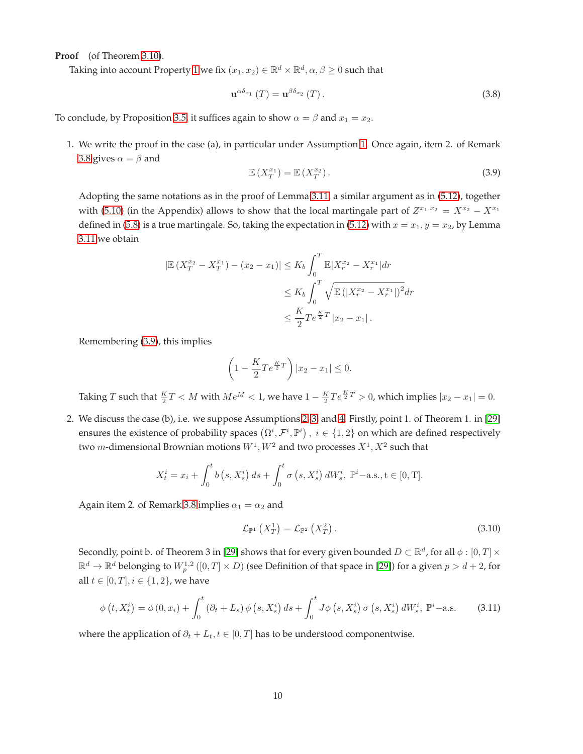**Proof** (of Theorem [3.10\)](#page-8-0).

Taking into account Property [1](#page-5-1) we fix  $(x_1,x_2)\in\mathbb{R}^d\times\mathbb{R}^d, \alpha,\beta\geq 0$  such that

$$
\mathbf{u}^{\alpha\delta_{x_1}}\left(T\right) = \mathbf{u}^{\beta\delta_{x_2}}\left(T\right). \tag{3.8}
$$

To conclude, by Proposition [3.5,](#page-6-0) it suffices again to show  $\alpha = \beta$  and  $x_1 = x_2$ .

1. We write the proof in the case (a), in particular under Assumption [1.](#page-4-4) Once again, item 2. of Remark [3.8](#page-7-3) gives  $\alpha = \beta$  and

<span id="page-9-0"></span>
$$
\mathbb{E}\left(X_T^{x_1}\right) = \mathbb{E}\left(X_T^{x_2}\right). \tag{3.9}
$$

Adopting the same notations as in the proof of Lemma [3.11,](#page-8-2) a similar argument as in [\(5.12\)](#page-28-0), together with [\(5.10\)](#page-28-1) (in the Appendix) allows to show that the local martingale part of  $Z^{x_1,x_2} = X^{x_2} - X^{x_1}$ defined in [\(5.8\)](#page-28-2) is a true martingale. So, taking the expectation in [\(5.12\)](#page-28-0) with  $x = x_1, y = x_2$ , by Lemma [3.11](#page-8-2) we obtain

$$
|\mathbb{E}\left(X_T^{x_2} - X_T^{x_1}\right) - (x_2 - x_1)| \le K_b \int_0^T \mathbb{E}|X_r^{x_2} - X_r^{x_1}| dr
$$
  

$$
\le K_b \int_0^T \sqrt{\mathbb{E}\left(|X_r^{x_2} - X_r^{x_1}|\right)^2} dr
$$
  

$$
\le \frac{K}{2} T e^{\frac{K}{2}T} |x_2 - x_1|.
$$

Remembering [\(3.9\)](#page-9-0), this implies

$$
\left(1 - \frac{K}{2} T e^{\frac{K}{2}T}\right)|x_2 - x_1| \leq 0.
$$

Taking T such that  $\frac{K}{2}T < M$  with  $Me^{M} < 1$ , we have  $1 - \frac{K}{2}Te^{\frac{K}{2}T} > 0$ , which implies  $|x_2 - x_1| = 0$ .

2. We discuss the case (b), i.e. we suppose Assumptions [2,](#page-4-1) [3,](#page-4-3) and [4.](#page-4-2) Firstly, point 1. of Theorem 1. in [\[29\]](#page-33-5) ensures the existence of probability spaces  $(\Omega^i, \mathcal{F}^i, \mathbb{P}^i)$ ,  $i \in \{1, 2\}$  on which are defined respectively two *m*-dimensional Brownian motions  $W^1, W^2$  and two processes  $X^1, X^2$  such that

$$
X_t^i = x_i + \int_0^t b(s, X_s^i) ds + \int_0^t \sigma(s, X_s^i) dW_s^i, \mathbb{P}^i - \text{a.s., } t \in [0, T].
$$

Again item 2. of Remark [3.8](#page-7-3) implies  $\alpha_1 = \alpha_2$  and

<span id="page-9-2"></span>
$$
\mathcal{L}_{\mathbb{P}^1}\left(X_T^1\right) = \mathcal{L}_{\mathbb{P}^2}\left(X_T^2\right). \tag{3.10}
$$

Secondly, point b. of Theorem 3 in [\[29\]](#page-33-5) shows that for every given bounded  $D \subset \mathbb{R}^d$ , for all  $\phi : [0, T] \times$  $\R^d\to\R^d$  belonging to  $W^{1,2}_p\left([0,T]\times D\right)$  (see Definition of that space in [\[29\]](#page-33-5)) for a given  $p>d+2$ , for all  $t \in [0, T], i \in \{1, 2\}$ , we have

<span id="page-9-1"></span>
$$
\phi(t, X_t^i) = \phi(0, x_i) + \int_0^t (\partial_t + L_s) \phi(s, X_s^i) ds + \int_0^t J\phi(s, X_s^i) \sigma(s, X_s^i) dW_s^i, \mathbb{P}^i-\text{a.s.}
$$
 (3.11)

where the application of  $\partial_t + L_t, t \in [0, T]$  has to be understood componentwise.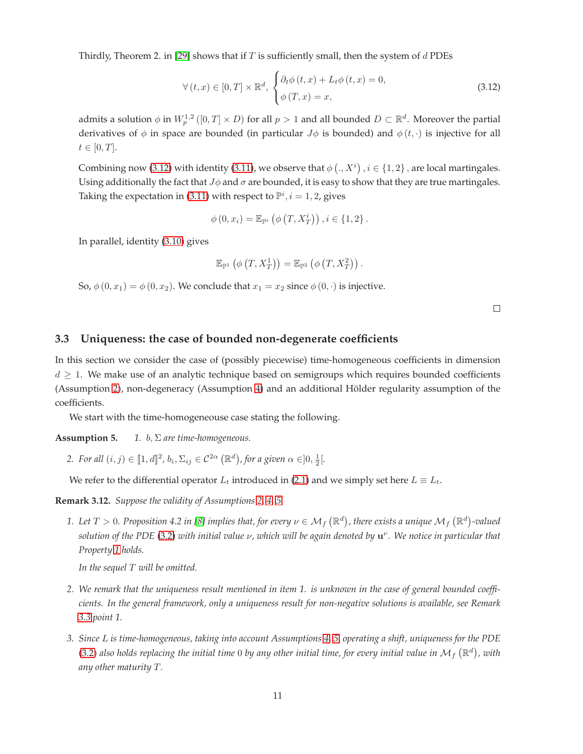Thirdly, Theorem 2. in [\[29\]](#page-33-5) shows that if  $T$  is sufficiently small, then the system of  $d$  PDEs

<span id="page-10-1"></span>
$$
\forall (t, x) \in [0, T] \times \mathbb{R}^d, \begin{cases} \partial_t \phi(t, x) + L_t \phi(t, x) = 0, \\ \phi(T, x) = x, \end{cases}
$$
\n(3.12)

admits a solution  $\phi$  in  $W^{1,2}_p([0,T]\times D)$  for all  $p>1$  and all bounded  $D\subset \mathbb{R}^d.$  Moreover the partial derivatives of  $\phi$  in space are bounded (in particular  $J\phi$  is bounded) and  $\phi(t, \cdot)$  is injective for all  $t \in [0, T].$ 

Combining now [\(3.12\)](#page-10-1) with identity [\(3.11\)](#page-9-1), we observe that  $\phi(., X^i)$  ,  $i \in \{1, 2\}$ , are local martingales. Using additionally the fact that  $J\phi$  and  $\sigma$  are bounded, it is easy to show that they are true martingales. Taking the expectation in [\(3.11\)](#page-9-1) with respect to  $\mathbb{P}^i$ ,  $i = 1, 2$ , gives

$$
\phi(0, x_i) = \mathbb{E}_{\mathbb{P}^i} \left( \phi(T, X_T^i) \right), i \in \{1, 2\}.
$$

In parallel, identity [\(3.10\)](#page-9-2) gives

$$
\mathbb{E}_{\mathbb{P}^1}\left(\phi\left(T,X_T^1\right)\right)=\mathbb{E}_{\mathbb{P}^2}\left(\phi\left(T,X_T^2\right)\right).
$$

So,  $\phi(0, x_1) = \phi(0, x_2)$ . We conclude that  $x_1 = x_2$  since  $\phi(0, \cdot)$  is injective.

 $\Box$ 

## <span id="page-10-0"></span>**3.3 Uniqueness: the case of bounded non-degenerate coefficients**

In this section we consider the case of (possibly piecewise) time-homogeneous coefficients in dimension  $d \geq 1$ . We make use of an analytic technique based on semigroups which requires bounded coefficients (Assumption [2\)](#page-4-1), non-degeneracy (Assumption [4\)](#page-4-2) and an additional Hölder regularity assumption of the coefficients.

We start with the time-homogeneouse case stating the following.

**Assumption 5.** *1.* b, Σ *are time-homogeneous.*

2. For all  $(i, j) \in [\![1, d]\!]^2$ ,  $b_i, \Sigma_{ij} \in C^{2\alpha} (\mathbb{R}^d)$ , for a given  $\alpha \in ]0, \frac{1}{2}[$ .

We refer to the differential operator  $L_t$  introduced in [\(2.1\)](#page-4-6) and we simply set here  $L \equiv L_t$ .

<span id="page-10-2"></span>**Remark 3.12.** *Suppose the validity of Assumptions [2,](#page-4-1) [4,](#page-4-2) 5.*

1. Let  $T>0$ . Proposition 4.2 in [\[8\]](#page-32-13) implies that, for every  $\nu\in\mathcal{M}_f\left(\mathbb{R}^d\right)$ , there exists a unique  $\mathcal{M}_f\left(\mathbb{R}^d\right)$ -valued *solution of the PDE* [\(3.2\)](#page-5-0) *with initial value* ν*, which will be again denoted by* u ν *. We notice in particular that Property [1](#page-5-1) holds.*

*In the sequel* T *will be omitted.*

- *2. We remark that the uniqueness result mentioned in item 1. is unknown in the case of general bounded coefficients. In the general framework, only a uniqueness result for non-negative solutions is available, see Remark 3.3 point 1.*
- *3. Since* L *is time-homogeneous, taking into account Assumptions [4,](#page-4-2) 5, operating a shift, uniqueness for the PDE* [\(3.2\)](#page-5-0) also holds replacing the initial time 0 by any other initial time, for every initial value in  $\mathcal{M}_f$   $(\mathbb{R}^d)$ , with *any other maturity* T*.*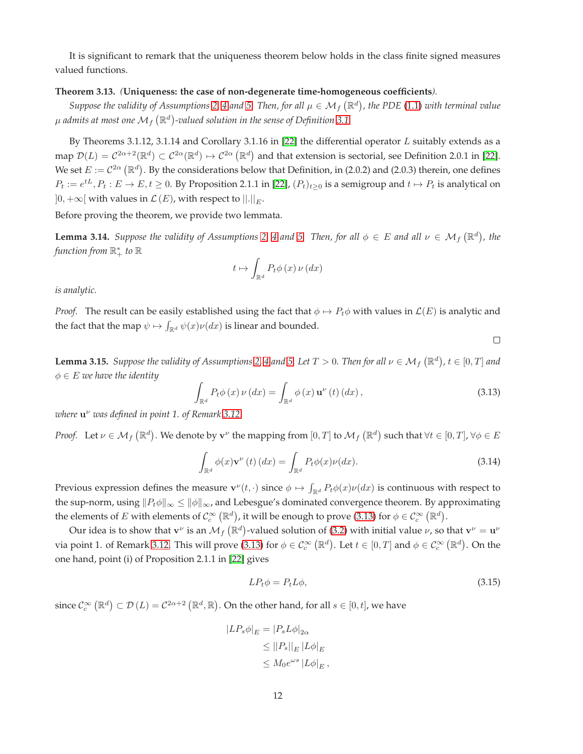It is significant to remark that the uniqueness theorem below holds in the class finite signed measures valued functions.

## <span id="page-11-0"></span>**Theorem 3.13.** *(***Uniqueness: the case of non-degenerate time-homogeneous coefficients***).*

Suppose the validity of Assumptions [2,](#page-4-1) [4](#page-4-2) and 5. Then, for all  $\mu \in M_f(\mathbb{R}^d)$ , the PDE [\(1.1\)](#page-0-0) with terminal value  $\mu$  admits at most one  $\mathcal{M}_f\left(\mathbb{R}^d\right)$ -valued solution in the sense of Definition [3.1.](#page-4-5)

By Theorems 3.1.12, 3.1.14 and Corollary 3.1.16 in [\[22\]](#page-33-3) the differential operator  $L$  suitably extends as a map  $\mathcal{D}(L) = C^{2\alpha+2}(\mathbb{R}^d) \subset C^{2\alpha}(\mathbb{R}^d) \mapsto C^{2\alpha}(\mathbb{R}^d)$  and that extension is sectorial, see Definition 2.0.1 in [\[22\]](#page-33-3). We set  $E := C^{2\alpha}(\mathbb{R}^d)$ . By the considerations below that Definition, in (2.0.2) and (2.0.3) therein, one defines  $P_t:=e^{tL}, P_t:E\to E, t\geq 0.$  By Proposition 2.1.1 in [\[22\]](#page-33-3),  $(P_t)_{t\geq 0}$  is a semigroup and  $t\mapsto P_t$  is analytical on  $]0,+\infty[$  with values in  $\mathcal{L}\left( E\right)$ , with respect to  $||.||_{E}.$ 

Before proving the theorem, we provide two lemmata.

<span id="page-11-3"></span>**Lemma 3.14.** Suppose the validity of Assumptions [2,](#page-4-1) [4](#page-4-2) and 5. Then, for all  $\phi \in E$  and all  $\nu \in \mathcal{M}_f(\mathbb{R}^d)$ , the *function from* R ∗ <sup>+</sup> *to* R

$$
t \mapsto \int_{\mathbb{R}^d} P_t \phi(x) \nu(dx)
$$

*is analytic.*

*Proof.* The result can be easily established using the fact that  $\phi \mapsto P_t\phi$  with values in  $\mathcal{L}(E)$  is analytic and the fact that the map  $\psi \mapsto \int_{\mathbb{R}^d} \psi(x) \nu(dx)$  is linear and bounded.

<span id="page-11-4"></span>**Lemma 3.15.** Suppose the validity of Assumptions [2,](#page-4-1) [4](#page-4-2) and 5. Let  $T > 0$ . Then for all  $\nu \in M_f(\mathbb{R}^d)$ ,  $t \in [0,T]$  and  $\phi \in E$  *we have the identity* 

<span id="page-11-1"></span>
$$
\int_{\mathbb{R}^d} P_t \phi(x) \nu(dx) = \int_{\mathbb{R}^d} \phi(x) \mathbf{u}^\nu(t) (dx), \qquad (3.13)
$$

 $\Box$ 

*where* u <sup>ν</sup> *was defined in point 1. of Remark [3.12.](#page-10-2)*

*Proof.* Let  $\nu \in \mathcal{M}_f(\mathbb{R}^d)$ . We denote by  $\mathbf{v}^\nu$  the mapping from  $[0,T]$  to  $\mathcal{M}_f(\mathbb{R}^d)$  such that  $\forall t \in [0,T]$ ,  $\forall \phi \in E$ 

$$
\int_{\mathbb{R}^d} \phi(x) \mathbf{v}^\nu(t) \, dx = \int_{\mathbb{R}^d} P_t \phi(x) \nu(dx). \tag{3.14}
$$

Previous expression defines the measure  $\mathbf{v}^{\nu}(t,\cdot)$  since  $\phi \mapsto \int_{\mathbb{R}^d} P_t \phi(x) \nu(dx)$  is continuous with respect to the sup-norm, using  $||P_t\phi||_{\infty} \le ||\phi||_{\infty}$ , and Lebesgue's dominated convergence theorem. By approximating the elements of  $E$  with elements of  $\mathcal{C}^\infty_c\left(\mathbb{R}^d\right)$ , it will be enough to prove [\(3.13\)](#page-11-1) for  $\phi\in\mathcal{C}^\infty_c\left(\mathbb{R}^d\right)$ .

Our idea is to show that  $v^\nu$  is an  $\mathcal M_f\left(\mathbb R^d\right)$ -valued solution of [\(3.2\)](#page-5-0) with initial value  $\nu$ , so that  ${\bf v}^\nu={\bf u}^\nu$ via point 1. of Remark [3.12.](#page-10-2) This will prove [\(3.13\)](#page-11-1) for  $\phi \in \mathcal{C}_c^\infty(\mathbb{R}^d)$ . Let  $t \in [0,T]$  and  $\phi \in \mathcal{C}_c^\infty(\mathbb{R}^d)$ . On the one hand, point (i) of Proposition 2.1.1 in [\[22\]](#page-33-3) gives

<span id="page-11-2"></span>
$$
LP_t \phi = P_t L \phi, \tag{3.15}
$$

since  $\mathcal{C}^\infty_c\left(\mathbb{R}^d\right)\subset\mathcal{D}\left(L\right)=\mathcal{C}^{2\alpha+2}\left(\mathbb{R}^d,\mathbb{R}\right)$ . On the other hand, for all  $s\in[0,t]$ , we have

$$
|LP_s \phi|_E = |P_s L \phi|_{2\alpha}
$$
  
\n
$$
\leq ||P_s||_E |L \phi|_E
$$
  
\n
$$
\leq M_0 e^{\omega s} |L \phi|_E,
$$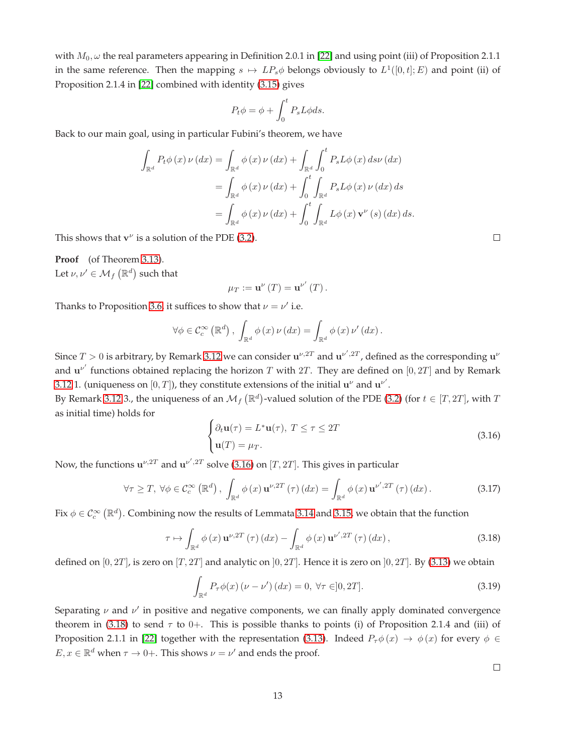with  $M_0$ ,  $\omega$  the real parameters appearing in Definition 2.0.1 in [\[22\]](#page-33-3) and using point (iii) of Proposition 2.1.1 in the same reference. Then the mapping  $s \mapsto LP_s\phi$  belongs obviously to  $L^1([0,t];E)$  and point (ii) of Proposition 2.1.4 in [\[22\]](#page-33-3) combined with identity [\(3.15\)](#page-11-2) gives

$$
P_t \phi = \phi + \int_0^t P_s L \phi ds.
$$

Back to our main goal, using in particular Fubini's theorem, we have

$$
\int_{\mathbb{R}^d} P_t \phi(x) \nu(dx) = \int_{\mathbb{R}^d} \phi(x) \nu(dx) + \int_{\mathbb{R}^d} \int_0^t P_s L \phi(x) \, ds \nu(dx)
$$

$$
= \int_{\mathbb{R}^d} \phi(x) \nu(dx) + \int_0^t \int_{\mathbb{R}^d} P_s L \phi(x) \nu(dx) \, ds
$$

$$
= \int_{\mathbb{R}^d} \phi(x) \nu(dx) + \int_0^t \int_{\mathbb{R}^d} L \phi(x) \mathbf{v}^\nu(s) \, dx \, ds.
$$

This shows that  $v^{\nu}$  is a solution of the PDE [\(3.2\)](#page-5-0).

**Proof** (of Theorem [3.13\)](#page-11-0). Let  $\nu,\nu' \in \mathcal{M}_f\left(\mathbb{R}^d\right)$  such that

$$
\mu_T := \mathbf{u}^{\nu}(T) = \mathbf{u}^{\nu'}(T).
$$

Thanks to Proposition [3.6,](#page-7-2) it suffices to show that  $\nu = \nu'$  i.e.

$$
\forall \phi \in \mathcal{C}_c^{\infty}(\mathbb{R}^d), \int_{\mathbb{R}^d} \phi(x) \nu(dx) = \int_{\mathbb{R}^d} \phi(x) \nu'(dx).
$$

Since  $T > 0$  is arbitrary, by Remark [3.12](#page-10-2) we can consider  $u^{\nu, 2T}$  and  $u^{\nu', 2T}$ , defined as the corresponding  $u^{\nu}$ and  $\mathbf{u}^{\nu'}$  functions obtained replacing the horizon T with 2T. They are defined on [0, 2T] and by Remark [3.12](#page-10-2) 1. (uniqueness on  $[0, T]$ ), they constitute extensions of the initial  $\mathbf{u}^{\nu}$  and  $\mathbf{u}^{\nu'}$ .

By Remark [3.12](#page-10-2) 3., the uniqueness of an  $\mathcal{M}_f(\mathbb{R}^d)$ -valued solution of the PDE [\(3.2\)](#page-5-0) (for  $t \in [T, 2T]$ , with T as initial time) holds for

<span id="page-12-0"></span>
$$
\begin{cases} \partial_t \mathbf{u}(\tau) = L^* \mathbf{u}(\tau), \ T \le \tau \le 2T \\ \mathbf{u}(T) = \mu_T. \end{cases}
$$
 (3.16)

Now, the functions  $\mathbf{u}^{\nu,2T}$  and  $\mathbf{u}^{\nu',2T}$  solve [\(3.16\)](#page-12-0) on [T, 2T]. This gives in particular

$$
\forall \tau \geq T, \ \forall \phi \in \mathcal{C}_c^{\infty}(\mathbb{R}^d), \ \int_{\mathbb{R}^d} \phi(x) \mathbf{u}^{\nu, 2T}(\tau) \, dx) = \int_{\mathbb{R}^d} \phi(x) \mathbf{u}^{\nu', 2T}(\tau) \, dx). \tag{3.17}
$$

Fix  $\phi \in \mathcal{C}_c^\infty(\mathbb{R}^d)$ . Combining now the results of Lemmata [3.14](#page-11-3) and [3.15,](#page-11-4) we obtain that the function

<span id="page-12-1"></span>
$$
\tau \mapsto \int_{\mathbb{R}^d} \phi(x) \, \mathbf{u}^{\nu, 2T} \left( \tau \right) (dx) - \int_{\mathbb{R}^d} \phi(x) \, \mathbf{u}^{\nu', 2T} \left( \tau \right) (dx), \tag{3.18}
$$

defined on  $[0, 2T]$ , is zero on  $[T, 2T]$  and analytic on  $[0, 2T]$ . Hence it is zero on  $[0, 2T]$ . By [\(3.13\)](#page-11-1) we obtain

$$
\int_{\mathbb{R}^d} P_\tau \phi(x) \left( \nu - \nu' \right) (dx) = 0, \ \forall \tau \in ]0, 2T]. \tag{3.19}
$$

Separating  $\nu$  and  $\nu'$  in positive and negative components, we can finally apply dominated convergence theorem in [\(3.18\)](#page-12-1) to send  $\tau$  to 0+. This is possible thanks to points (i) of Proposition 2.1.4 and (iii) of Proposition 2.1.1 in [\[22\]](#page-33-3) together with the representation [\(3.13\)](#page-11-1). Indeed  $P_\tau \phi(x) \to \phi(x)$  for every  $\phi \in \mathcal{P}$  $E, x \in \mathbb{R}^d$  when  $\tau \to 0+$ . This shows  $\nu = \nu'$  and ends the proof.

 $\Box$ 

 $\Box$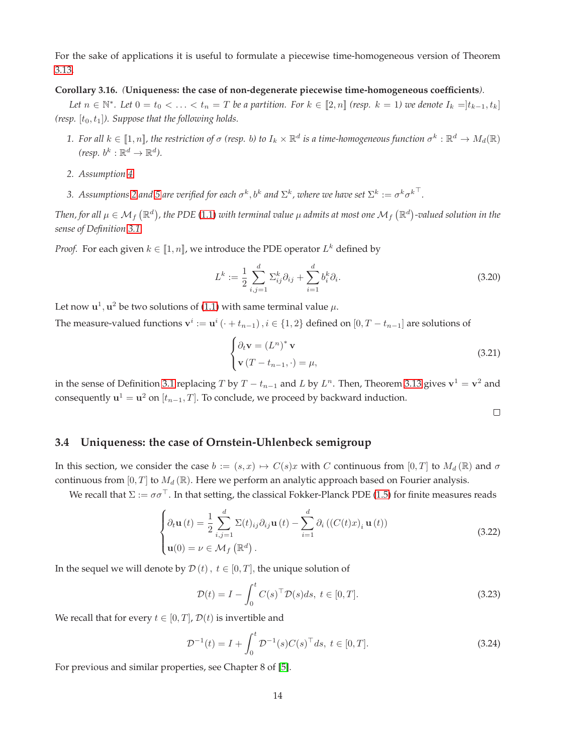For the sake of applications it is useful to formulate a piecewise time-homogeneous version of Theorem [3.13.](#page-11-0)

#### <span id="page-13-0"></span>**Corollary 3.16.** *(***Uniqueness: the case of non-degenerate piecewise time-homogeneous coefficients***).*

*Let*  $n \in \mathbb{N}^*$ . Let  $0 = t_0 < \ldots < t_n = T$  be a partition. For  $k \in [\![2,n]\!]$  (resp.  $k = 1$ ) we denote  $I_k = ]t_{k-1}, t_k]$ *(resp.*  $[t_0, t_1]$ *). Suppose that the following holds.* 

- 1. For all  $k\in[\![1,n]\!]$ , the restriction of  $\sigma$  (resp. b) to  $I_k\times\R^d$  is a time-homogeneous function  $\sigma^k:\R^d\to M_d(\R)$ (resp.  $b^k : \mathbb{R}^d \to \mathbb{R}^d$ ).
- *2. Assumption [4.](#page-4-2)*
- 3. Assumptions [2](#page-4-1) and 5 are verified for each  $\sigma^k,b^k$  and  $\Sigma^k$ , where we have set  $\Sigma^k:=\sigma^k{\sigma^k}^\top.$

Then, for all  $\mu\in\mathcal{M}_f\left(\R^d\right)$ , the PDE [\(1.1\)](#page-0-0) with terminal value  $\mu$  admits at most one  $\mathcal{M}_f\left(\R^d\right)$ -valued solution in the *sense of Definition [3.1.](#page-4-5)*

*Proof.* For each given  $k \in [\![1,n]\!]$ , we introduce the PDE operator  $L^k$  defined by

<span id="page-13-3"></span>
$$
L^{k} := \frac{1}{2} \sum_{i,j=1}^{d} \Sigma_{ij}^{k} \partial_{ij} + \sum_{i=1}^{d} b_{i}^{k} \partial_{i}.
$$
 (3.20)

Let now  ${\bf u}^1, {\bf u}^2$  be two solutions of [\(1.1\)](#page-0-0) with same terminal value  $\mu.$ 

The measure-valued functions  ${\bf v}^i:={\bf u}^i \left(\cdot+t_{n-1}\right), i\in\{1,2\}$  defined on  $[0, T-t_{n-1}]$  are solutions of

$$
\begin{cases} \partial_t \mathbf{v} = (L^n)^* \mathbf{v} \\ \mathbf{v} (T - t_{n-1}, \cdot) = \mu, \end{cases}
$$
 (3.21)

in the sense of Definition [3.1](#page-4-5) replacing T by  $T - t_{n-1}$  and L by  $L^n$ . Then, Theorem [3.13](#page-11-0) gives  $\mathbf{v}^1 = \mathbf{v}^2$  and consequently  $\mathbf{u}^1 = \mathbf{u}^2$  on  $[t_{n-1}, T]$ . To conclude, we proceed by backward induction.

 $\Box$ 

## <span id="page-13-1"></span>**3.4 Uniqueness: the case of Ornstein-Uhlenbeck semigroup**

In this section, we consider the case  $b := (s, x) \mapsto C(s)x$  with C continuous from  $[0, T]$  to  $M_d(\mathbb{R})$  and  $\sigma$ continuous from  $[0, T]$  to  $M_d(\mathbb{R})$ . Here we perform an analytic approach based on Fourier analysis.

We recall that  $\Sigma := \sigma \sigma^{\top}$ . In that setting, the classical Fokker-Planck PDE [\(1.5\)](#page-2-0) for finite measures reads

<span id="page-13-2"></span>
$$
\begin{cases}\n\partial_t \mathbf{u}(t) = \frac{1}{2} \sum_{i,j=1}^d \Sigma(t)_{ij} \partial_{ij} \mathbf{u}(t) - \sum_{i=1}^d \partial_i \left( (C(t)x)_i \mathbf{u}(t) \right) \\
\mathbf{u}(0) = \nu \in \mathcal{M}_f \left( \mathbb{R}^d \right).\n\end{cases}
$$
\n(3.22)

In the sequel we will denote by  $D(t)$ ,  $t \in [0, T]$ , the unique solution of

<span id="page-13-4"></span>
$$
\mathcal{D}(t) = I - \int_0^t C(s)^\top \mathcal{D}(s)ds, \ t \in [0, T]. \tag{3.23}
$$

We recall that for every  $t \in [0, T]$ ,  $\mathcal{D}(t)$  is invertible and

<span id="page-13-5"></span>
$$
\mathcal{D}^{-1}(t) = I + \int_0^t \mathcal{D}^{-1}(s) C(s)^\top ds, \ t \in [0, T]. \tag{3.24}
$$

For previous and similar properties, see Chapter 8 of [\[5\]](#page-32-14).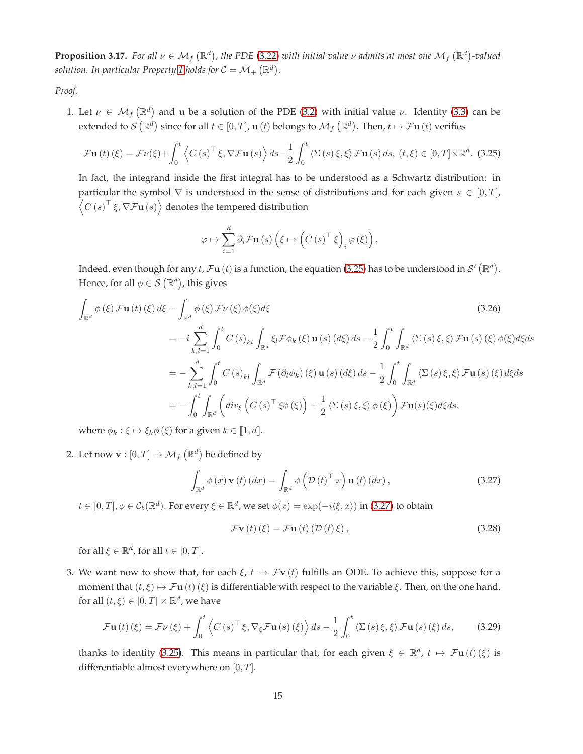<span id="page-14-4"></span>**Proposition 3.17.** For all  $\nu \in M_f(\mathbb{R}^d)$ , the PDE [\(3.22\)](#page-13-2) with initial value  $\nu$  admits at most one  $M_f(\mathbb{R}^d)$ -valued solution. In particular Property [1](#page-5-1) holds for  $C = \mathcal{M}_+ \left( \mathbb{R}^d \right)$ .

*Proof.*

1. Let  $\nu \in \mathcal{M}_f(\mathbb{R}^d)$  and u be a solution of the PDE [\(3.2\)](#page-5-0) with initial value  $\nu$ . Identity [\(3.3\)](#page-5-4) can be extended to  $\mathcal{S}(\mathbb{R}^d)$  since for all  $t \in [0,T]$ ,  $\mathbf{u}(t)$  belongs to  $\mathcal{M}_f(\mathbb{R}^d)$ . Then,  $t \mapsto \mathcal{F}\mathbf{u}(t)$  verifies

<span id="page-14-0"></span>
$$
\mathcal{F}\mathbf{u}(t)(\xi) = \mathcal{F}\nu(\xi) + \int_0^t \left\langle C\left(s\right)^\top \xi, \nabla \mathcal{F}\mathbf{u}(s) \right\rangle ds - \frac{1}{2} \int_0^t \left\langle \Sigma\left(s\right) \xi, \xi \right\rangle \mathcal{F}\mathbf{u}(s) \, ds, \, (t, \xi) \in [0, T] \times \mathbb{R}^d. \tag{3.25}
$$

In fact, the integrand inside the first integral has to be understood as a Schwartz distribution: in particular the symbol  $\nabla$  is understood in the sense of distributions and for each given  $s \in [0, T]$ ,  $C(s)^{\top} \xi, \nabla \mathcal{F} \mathbf{u}(s)$  denotes the tempered distribution

$$
\varphi \mapsto \sum_{i=1}^d \partial_i \mathcal{F} \mathbf{u}(s) \left( \xi \mapsto \left( C\left( s \right)^{\top} \xi \right)_i \varphi \left( \xi \right) \right).
$$

Indeed, even though for any  $t$ ,  $\mathcal{F}$ u $(t)$  is a function, the equation [\(3.25\)](#page-14-0) has to be understood in  $\mathcal{S}'(\mathbb{R}^d)$ . Hence, for all  $\phi \in \mathcal{S}(\mathbb{R}^d)$ , this gives

$$
\int_{\mathbb{R}^d} \phi(\xi) \mathcal{F} \mathbf{u}(t) (\xi) d\xi - \int_{\mathbb{R}^d} \phi(\xi) \mathcal{F} \nu(\xi) \phi(\xi) d\xi
$$
\n(3.26)  
\n
$$
= -i \sum_{k,l=1}^d \int_0^t C(s)_{kl} \int_{\mathbb{R}^d} \xi_l \mathcal{F} \phi_k(\xi) \mathbf{u}(s) (d\xi) ds - \frac{1}{2} \int_0^t \int_{\mathbb{R}^d} \langle \Sigma(s) \xi, \xi \rangle \mathcal{F} \mathbf{u}(s) (\xi) \phi(\xi) d\xi ds
$$
\n
$$
= - \sum_{k,l=1}^d \int_0^t C(s)_{kl} \int_{\mathbb{R}^d} \mathcal{F}(\partial_l \phi_k)(\xi) \mathbf{u}(s) (d\xi) ds - \frac{1}{2} \int_0^t \int_{\mathbb{R}^d} \langle \Sigma(s) \xi, \xi \rangle \mathcal{F} \mathbf{u}(s) (\xi) d\xi ds
$$
\n
$$
= - \int_0^t \int_{\mathbb{R}^d} \left( \operatorname{div}_{\xi} \left( C(s)^\top \xi \phi(\xi) \right) + \frac{1}{2} \langle \Sigma(s) \xi, \xi \rangle \phi(\xi) \right) \mathcal{F} \mathbf{u}(s) (\xi) d\xi ds,
$$
\n(3.26)  
\n(3.27)  
\n(3.28)  
\n(3.29)  
\n(3.29)  
\n(3.20)  
\n(3.20)  
\n(3.21)  
\n(3.22)  
\n(3.24)  
\n(3.29)  
\n(3.25)  
\n(3.29)  
\n(3.20)  
\n(3.21)  
\n(3.22)  
\n(3.24)  
\n(3.29)  
\n(3.29)  
\n(3.20)  
\n(3.21)  
\n(3.22)  
\n(3.24)  
\n(3.25)  
\n(3.26)  
\n(3.29)  
\n(3.20)  
\n(3.21)  
\n(3.22)  
\n(3.26)  
\n(3.29)  
\n(3.20)

where  $\phi_k : \xi \mapsto \xi_k \phi(\xi)$  for a given  $k \in [1, d]$ .

2. Let now  $\mathbf{v} : [0, T] \to \mathcal{M}_f (\mathbb{R}^d)$  be defined by

<span id="page-14-1"></span>
$$
\int_{\mathbb{R}^d} \phi(x) \mathbf{v}(t) (dx) = \int_{\mathbb{R}^d} \phi\left(\mathcal{D}(t)^\top x\right) \mathbf{u}(t) (dx),\tag{3.27}
$$

 $t\in[0,T],\phi\in\mathcal{C}_b(\mathbb{R}^d).$  For every  $\xi\in\mathbb{R}^d$ , we set  $\phi(x)=\exp(-i\langle\xi,x\rangle)$  in [\(3.27\)](#page-14-1) to obtain

<span id="page-14-3"></span>
$$
\mathcal{F}\mathbf{v}\left(t\right)\left(\xi\right) = \mathcal{F}\mathbf{u}\left(t\right)\left(\mathcal{D}\left(t\right)\xi\right),\tag{3.28}
$$

for all  $\xi \in \mathbb{R}^d$ , for all  $t \in [0, T]$ .

3. We want now to show that, for each  $\xi$ ,  $t \mapsto \mathcal{F}v(t)$  fulfills an ODE. To achieve this, suppose for a moment that  $(t, \xi) \mapsto \mathcal{F}$ **u**  $(t)$  ( $\xi$ ) is differentiable with respect to the variable  $\xi$ . Then, on the one hand, for all  $(t,\xi)\in[0,T]\times\mathbb{R}^d$ , we have

<span id="page-14-2"></span>
$$
\mathcal{F}\mathbf{u}\left(t\right)\left(\xi\right) = \mathcal{F}\nu\left(\xi\right) + \int_0^t \left\langle C\left(s\right)^\top \xi, \nabla_\xi \mathcal{F}\mathbf{u}\left(s\right)\left(\xi\right) \right\rangle ds - \frac{1}{2} \int_0^t \left\langle \Sigma\left(s\right) \xi, \xi \right\rangle \mathcal{F}\mathbf{u}\left(s\right)\left(\xi\right) ds,\tag{3.29}
$$

thanks to identity [\(3.25\)](#page-14-0). This means in particular that, for each given  $\xi \in \mathbb{R}^d$ ,  $t \mapsto \mathcal{F} \mathbf{u}(t) (\xi)$  is differentiable almost everywhere on  $[0, T]$ .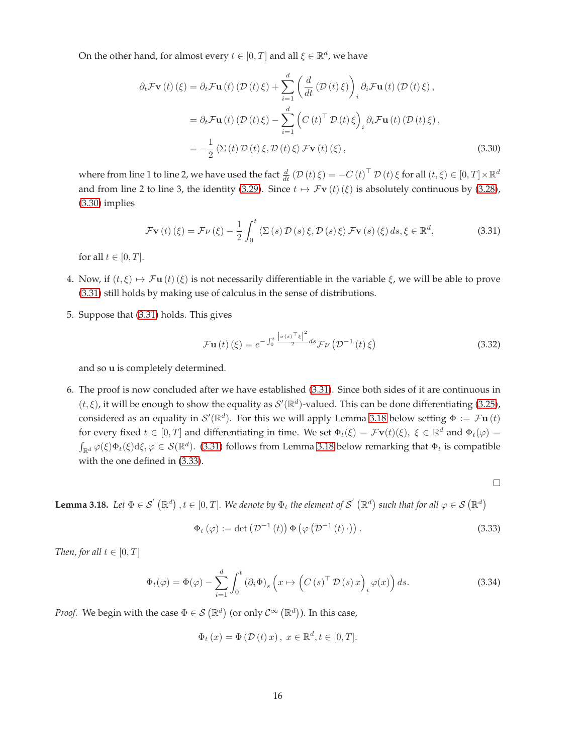On the other hand, for almost every  $t \in [0,T]$  and all  $\xi \in \mathbb{R}^d$ , we have

$$
\partial_t \mathcal{F} \mathbf{v}(t) (\xi) = \partial_t \mathcal{F} \mathbf{u}(t) (\mathcal{D}(t) \xi) + \sum_{i=1}^d \left( \frac{d}{dt} (\mathcal{D}(t) \xi) \right)_i \partial_i \mathcal{F} \mathbf{u}(t) (\mathcal{D}(t) \xi),
$$
  
\n
$$
= \partial_t \mathcal{F} \mathbf{u}(t) (\mathcal{D}(t) \xi) - \sum_{i=1}^d \left( C(t)^\top \mathcal{D}(t) \xi \right)_i \partial_i \mathcal{F} \mathbf{u}(t) (\mathcal{D}(t) \xi),
$$
  
\n
$$
= -\frac{1}{2} \langle \Sigma(t) \mathcal{D}(t) \xi, \mathcal{D}(t) \xi \rangle \mathcal{F} \mathbf{v}(t) (\xi),
$$
\n(3.30)

where from line 1 to line 2, we have used the fact  $\frac{d}{dt}$   $(\mathcal{D}(t)\xi) = -C(t)^{\top} \mathcal{D}(t)\xi$  for all  $(t,\xi) \in [0,T] \times \mathbb{R}^d$ and from line 2 to line 3, the identity [\(3.29\)](#page-14-2). Since  $t \mapsto \mathcal{F}v(t)(\xi)$  is absolutely continuous by [\(3.28\)](#page-14-3), [\(3.30\)](#page-15-0) implies

<span id="page-15-1"></span>
$$
\mathcal{F}\mathbf{v}\left(t\right)\left(\xi\right) = \mathcal{F}\nu\left(\xi\right) - \frac{1}{2} \int_0^t \left\langle \Sigma\left(s\right)\mathcal{D}\left(s\right)\xi, \mathcal{D}\left(s\right)\xi \right\rangle \mathcal{F}\mathbf{v}\left(s\right)\left(\xi\right) ds, \xi \in \mathbb{R}^d,
$$
\n(3.31)

for all  $t \in [0, T]$ .

- 4. Now, if  $(t, \xi) \mapsto \mathcal{F}$ u  $(t)$   $(\xi)$  is not necessarily differentiable in the variable  $\xi$ , we will be able to prove [\(3.31\)](#page-15-1) still holds by making use of calculus in the sense of distributions.
- 5. Suppose that [\(3.31\)](#page-15-1) holds. This gives

<span id="page-15-5"></span><span id="page-15-0"></span>
$$
\mathcal{F}\mathbf{u}\left(t\right)\left(\xi\right) = e^{-\int_0^t \frac{\left|\sigma(s)\right|^2}{2}ds} \mathcal{F}\nu\left(\mathcal{D}^{-1}\left(t\right)\xi\right) \tag{3.32}
$$

and so u is completely determined.

6. The proof is now concluded after we have established [\(3.31\)](#page-15-1). Since both sides of it are continuous in  $(t, \xi)$ , it will be enough to show the equality as  $\mathcal{S}'(\mathbb{R}^d)$ -valued. This can be done differentiating [\(3.25\)](#page-14-0), considered as an equality in  $\mathcal{S}'(\mathbb{R}^d)$ . For this we will apply Lemma [3.18](#page-15-2) below setting  $\Phi := \mathcal{F}\mathbf{u}(t)$ for every fixed  $t \in [0,T]$  and differentiating in time. We set  $\Phi_t(\xi) = \mathcal{F} \mathbf{v}(t)(\xi)$ ,  $\xi \in \mathbb{R}^d$  and  $\Phi_t(\varphi) = \pi$  $\int_{\mathbb{R}^d} \varphi(\xi) \Phi_t(\xi) d\xi, \varphi \in \mathcal{S}(\mathbb{R}^d)$ . [\(3.31\)](#page-15-1) follows from Lemma [3.18](#page-15-2) below remarking that  $\Phi_t$  is compatible with the one defined in [\(3.33\)](#page-15-3).

 $\Box$ 

<span id="page-15-2"></span>**Lemma 3.18.** Let  $\Phi \in \mathcal{S}'(\mathbb{R}^d)$  ,  $t \in [0,T]$ . We denote by  $\Phi_t$  the element of  $\mathcal{S}'(\mathbb{R}^d)$  such that for all  $\varphi \in \mathcal{S}(\mathbb{R}^d)$ 

<span id="page-15-3"></span>
$$
\Phi_t(\varphi) := \det \left( \mathcal{D}^{-1}(t) \right) \Phi \left( \varphi \left( \mathcal{D}^{-1}(t) \cdot \right) \right). \tag{3.33}
$$

*Then, for all*  $t \in [0, T]$ 

<span id="page-15-4"></span>
$$
\Phi_t(\varphi) = \Phi(\varphi) - \sum_{i=1}^d \int_0^t \left(\partial_i \Phi\right)_s \left(x \mapsto \left(C\left(s\right)^\top \mathcal{D}\left(s\right)x\right)_i \varphi(x)\right) ds. \tag{3.34}
$$

*Proof.* We begin with the case  $\Phi \in \mathcal{S} \left( \mathbb{R}^{d} \right)$  (or only  $\mathcal{C}^{\infty} \left( \mathbb{R}^{d} \right)$ ). In this case,

$$
\Phi_t(x) = \Phi(\mathcal{D}(t)x), x \in \mathbb{R}^d, t \in [0, T].
$$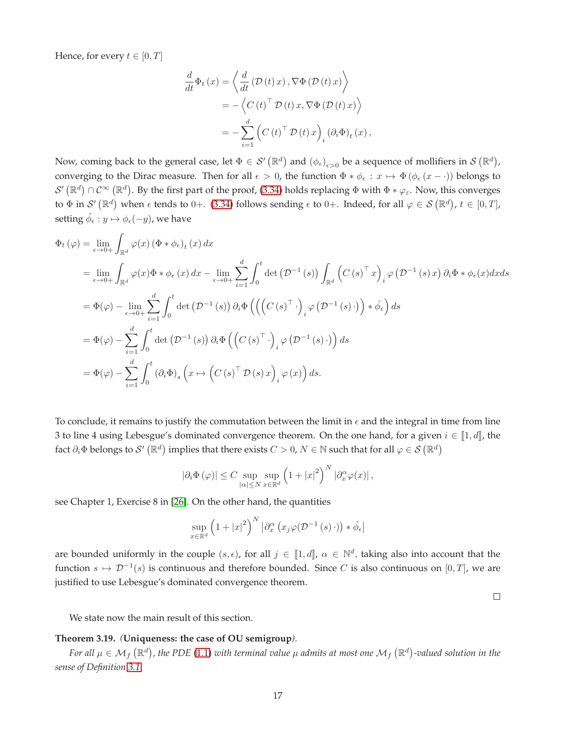Hence, for every  $t \in [0, T]$ 

$$
\frac{d}{dt}\Phi_t(x) = \left\langle \frac{d}{dt} \left( \mathcal{D}(t)x \right), \nabla \Phi(\mathcal{D}(t)x) \right\rangle
$$
  
\n
$$
= -\left\langle C(t)^\top \mathcal{D}(t)x, \nabla \Phi(\mathcal{D}(t)x) \right\rangle
$$
  
\n
$$
= -\sum_{i=1}^d \left( C(t)^\top \mathcal{D}(t)x \right)_i (\partial_i \Phi)_t(x),
$$

Now, coming back to the general case, let  $\Phi \in \mathcal{S}'(\mathbb{R}^d)$  and  $(\phi_\epsilon)_{\epsilon>0}$  be a sequence of mollifiers in  $\mathcal{S}(\mathbb{R}^d)$ , converging to the Dirac measure. Then for all  $\epsilon > 0$ , the function  $\Phi * \phi_{\epsilon} : x \mapsto \Phi(\phi_{\epsilon}(x - \cdot))$  belongs to  $\mathcal{S}'(\mathbb{R}^d)\cap\mathcal{C}^\infty(\mathbb{R}^d)$ . By the first part of the proof, [\(3.34\)](#page-15-4) holds replacing  $\Phi$  with  $\Phi*\varphi_\varepsilon$ . Now, this converges to  $\Phi$  in  $\mathcal{S}'(\mathbb{R}^d)$  when  $\epsilon$  tends to 0+. [\(3.34\)](#page-15-4) follows sending  $\epsilon$  to 0+. Indeed, for all  $\varphi \in \mathcal{S}(\mathbb{R}^d)$ ,  $t \in [0,T]$ , setting  $\check{\phi_\epsilon}: y \mapsto \phi_\epsilon(-y)$ , we have

$$
\Phi_{t}(\varphi) = \lim_{\epsilon \to 0+} \int_{\mathbb{R}^{d}} \varphi(x) \left( \Phi * \phi_{\epsilon} \right)_{t}(x) dx
$$
\n
$$
= \lim_{\epsilon \to 0+} \int_{\mathbb{R}^{d}} \varphi(x) \Phi * \phi_{\epsilon}(x) dx - \lim_{\epsilon \to 0+} \sum_{i=1}^{d} \int_{0}^{t} \det \left( \mathcal{D}^{-1}(s) \right) \int_{\mathbb{R}^{d}} \left( C(s)^{\top} x \right)_{i} \varphi \left( \mathcal{D}^{-1}(s) x \right) \partial_{i} \Phi * \phi_{\epsilon}(x) dx ds
$$
\n
$$
= \Phi(\varphi) - \lim_{\epsilon \to 0+} \sum_{i=1}^{d} \int_{0}^{t} \det \left( \mathcal{D}^{-1}(s) \right) \partial_{i} \Phi \left( \left( \left( C(s)^{\top} \cdot \right)_{i} \varphi \left( \mathcal{D}^{-1}(s) \cdot \right) \right) * \phi_{\epsilon} \right) ds
$$
\n
$$
= \Phi(\varphi) - \sum_{i=1}^{d} \int_{0}^{t} \det \left( \mathcal{D}^{-1}(s) \right) \partial_{i} \Phi \left( \left( C(s)^{\top} \cdot \right)_{i} \varphi \left( \mathcal{D}^{-1}(s) \cdot \right) \right) ds
$$
\n
$$
= \Phi(\varphi) - \sum_{i=1}^{d} \int_{0}^{t} (\partial_{i} \Phi)_{s} \left( x \mapsto \left( C(s)^{\top} \mathcal{D}(s) x \right)_{i} \varphi(x) \right) ds.
$$

To conclude, it remains to justify the commutation between the limit in  $\epsilon$  and the integral in time from line 3 to line 4 using Lebesgue's dominated convergence theorem. On the one hand, for a given  $i \in [1, d]$ , the fact  $\partial_i\Phi$  belongs to  $\mathcal{S}'\left(\mathbb{R}^d\right)$  implies that there exists  $C>0$ ,  $N\in\mathbb{N}$  such that for all  $\varphi\in\mathcal{S}\left(\mathbb{R}^d\right)$ 

$$
\left|\partial_i \Phi\left(\varphi\right)\right| \leq C \sup_{|\alpha| \leq N} \sup_{x \in \mathbb{R}^d} \left(1 + |x|^2\right)^N \left|\partial_x^{\alpha} \varphi(x)\right|,
$$

see Chapter 1, Exercise 8 in [\[26\]](#page-33-6). On the other hand, the quantities

$$
\sup_{x \in \mathbb{R}^d} \left(1 + |x|^2\right)^N \left|\partial_x^{\alpha} \left(x_j \varphi(\mathcal{D}^{-1}(s) \cdot)\right) * \check{\phi}_{\epsilon}\right|
$$

are bounded uniformly in the couple  $(s, \epsilon)$ , for all  $j \in [1, d]$ ,  $\alpha \in \mathbb{N}^d$ , taking also into account that the function  $s \mapsto \mathcal{D}^{-1}(s)$  is continuous and therefore bounded. Since C is also continuous on  $[0, T]$ , we are justified to use Lebesgue's dominated convergence theorem.

 $\Box$ 

We state now the main result of this section.

# <span id="page-16-0"></span>**Theorem 3.19.** *(***Uniqueness: the case of OU semigroup***).*

For all  $\mu\in\mathcal{M}_f\left(\mathbb{R}^d\right)$ , the PDE [\(1.1\)](#page-0-0) with terminal value  $\mu$  admits at most one  $\mathcal{M}_f\left(\mathbb{R}^d\right)$ -valued solution in the *sense of Definition [3.1.](#page-4-5)*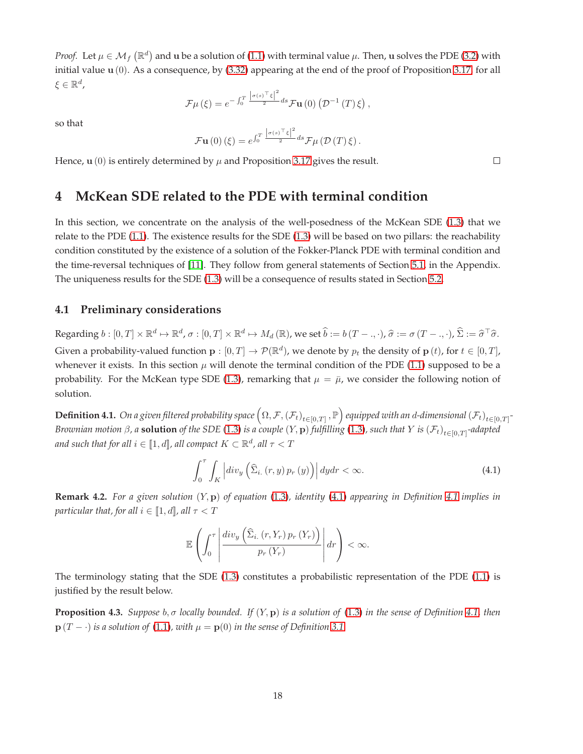*Proof.* Let  $\mu \in M_f(\mathbb{R}^d)$  and u be a solution of [\(1.1\)](#page-0-0) with terminal value  $\mu$ . Then, u solves the PDE [\(3.2\)](#page-5-0) with initial value  $u(0)$ . As a consequence, by [\(3.32\)](#page-15-5) appearing at the end of the proof of Proposition [3.17,](#page-14-4) for all  $\xi \in \mathbb{R}^d$  ,

$$
\mathcal{F}\mu\left(\xi\right) = e^{-\int_0^T \frac{\left|\sigma(s)^\top\xi\right|^2}{2}ds} \mathcal{F}\mathbf{u}\left(0\right)\left(\mathcal{D}^{-1}\left(T\right)\xi\right),\,
$$

so that

$$
\mathcal{F}\mathbf{u}\left(0\right)\left(\xi\right) = e^{\int_0^T \frac{\left|\sigma(s)\right|^{\top}\xi\right|^2}{2}ds} \mathcal{F}\mu\left(\mathcal{D}\left(T\right)\xi\right).
$$

Hence,  $\mathbf{u}(0)$  is entirely determined by  $\mu$  and Proposition [3.17](#page-14-4) gives the result.

# **4 McKean SDE related to the PDE with terminal condition**

In this section, we concentrate on the analysis of the well-posedness of the McKean SDE [\(1.3\)](#page-1-1) that we relate to the PDE [\(1.1\)](#page-0-0). The existence results for the SDE [\(1.3\)](#page-1-1) will be based on two pillars: the reachability condition constituted by the existence of a solution of the Fokker-Planck PDE with terminal condition and the time-reversal techniques of [\[11\]](#page-32-8). They follow from general statements of Section [5.1,](#page-25-0) in the Appendix. The uniqueness results for the SDE [\(1.3\)](#page-1-1) will be a consequence of results stated in Section [5.2.](#page-27-0)

# <span id="page-17-1"></span>**4.1 Preliminary considerations**

Regarding  $b:[0,T]\times\mathbb{R}^d\mapsto\mathbb{R}^d$ ,  $\sigma:[0,T]\times\mathbb{R}^d\mapsto M_d(\mathbb{R})$ , we set  $\widehat{b}:=b(T-.,\cdot)$ ,  $\widehat{\sigma}:=\sigma(T-.,\cdot)$ ,  $\widehat{\Sigma}:=\widehat{\sigma}^\top\widehat{\sigma}$ . Given a probability-valued function  $\mathbf{p} : [0,T] \to \mathcal{P}(\mathbb{R}^d)$ , we denote by  $p_t$  the density of  $\mathbf{p}(t)$ , for  $t \in [0,T]$ , whenever it exists. In this section  $\mu$  will denote the terminal condition of the PDE [\(1.1\)](#page-0-0) supposed to be a probability. For the McKean type SDE [\(1.3\)](#page-1-1), remarking that  $\mu = \bar{\mu}$ , we consider the following notion of solution.

<span id="page-17-3"></span> $\bf{Definition 4.1.}$   $\emph{On a given filtered probability space }$   $\left(\Omega,\mathcal{F},\left(\mathcal{F}_t\right)_{t\in[0,T]},\mathbb{P}\right)$  equipped with an d-dimensional  $\left(\mathcal{F}_t\right)_{t\in[0,T]}$ -*Brownian motion β, a solution of the SDE [\(1.3\)](#page-1-1) is a couple (Y, p) fulfilling (1.3), such that Y is (F<sub>t)t∈[0,T]</sub>-adapted* and such that for all  $i \in \llbracket 1,d \rrbracket$ , all compact  $K \subset \mathbb{R}^d$ , all  $\tau < T$ 

<span id="page-17-2"></span>
$$
\int_{0}^{\tau} \int_{K} \left| div_{y} \left( \widehat{\Sigma}_{i.} \left( r, y \right) p_{r} \left( y \right) \right) \right| dy dr < \infty.
$$
 (4.1)

<span id="page-17-4"></span>**Remark 4.2.** *For a given solution* (Y, p) *of equation* [\(1.3\)](#page-1-1)*, identity* [\(4.1\)](#page-17-2) *appearing in Definition [4.1](#page-17-3) implies in particular that, for all*  $i \in [1, d]$ *, all*  $\tau < T$ 

$$
\mathbb{E}\left(\int_0^\tau \left|\frac{div_y\left(\widehat{\Sigma}_{i.}(r,Y_r)\,p_r\left(Y_r\right)\right)}{p_r\left(Y_r\right)}\right| dr\right) < \infty.
$$

The terminology stating that the SDE [\(1.3\)](#page-1-1) constitutes a probabilistic representation of the PDE [\(1.1\)](#page-0-0) is justified by the result below.

<span id="page-17-0"></span>**Proposition 4.3.** *Suppose* b, σ *locally bounded. If* (Y, p) *is a solution of* [\(1.3\)](#page-1-1) *in the sense of Definition [4.1,](#page-17-3) then*  $p(T - \cdot)$  *is a solution of* [\(1.1\)](#page-0-0)*, with*  $\mu = p(0)$  *in the sense of Definition* [3.1.](#page-4-5)

 $\Box$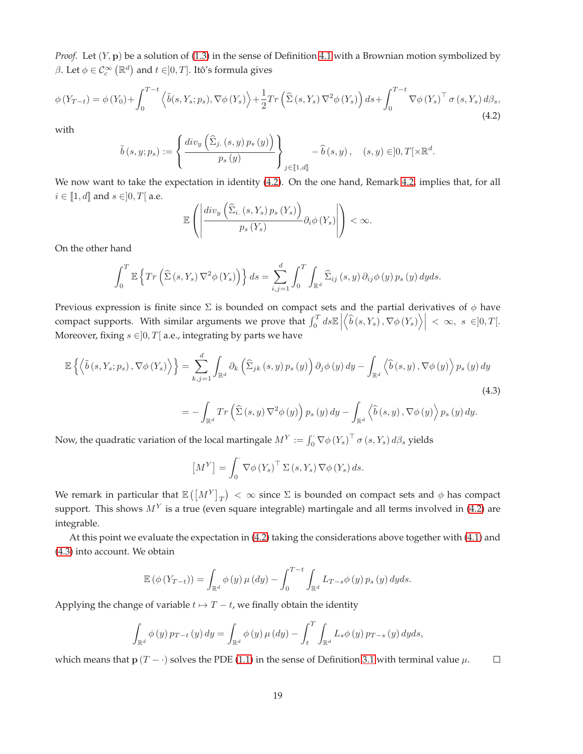*Proof.* Let  $(Y, \mathbf{p})$  be a solution of [\(1.3\)](#page-1-1) in the sense of Definition [4.1](#page-17-3) with a Brownian motion symbolized by β. Let  $\phi \in \mathcal{C}^{\infty}_c(\mathbb{R}^d)$  and  $t \in ]0,T]$ . Itô's formula gives

<span id="page-18-0"></span>
$$
\phi\left(Y_{T-t}\right) = \phi\left(Y_0\right) + \int_0^{T-t} \left\langle \tilde{b}(s, Y_s; p_s), \nabla\phi\left(Y_s\right) \right\rangle + \frac{1}{2} Tr\left(\hat{\Sigma}\left(s, Y_s\right) \nabla^2 \phi\left(Y_s\right)\right) ds + \int_0^{T-t} \nabla\phi\left(Y_s\right)^\top \sigma\left(s, Y_s\right) d\beta_s,\tag{4.2}
$$

with

$$
\tilde{b}\left(s,y;p_s\right):=\left\{\frac{div_y\left(\widehat{\Sigma}_{j.}\left(s,y\right)p_s\left(y\right)\right)}{p_s\left(y\right)}\right\}_{j\in\left[\!\left[1,d\right]\!\right]}-\widehat{b}\left(s,y\right),\quad\left(s,y\right)\in]0,T[\times\mathbb{R}^d.
$$

We now want to take the expectation in identity [\(4.2\)](#page-18-0). On the one hand, Remark [4.2,](#page-17-4) implies that, for all  $i \in \llbracket 1, d \rrbracket$  and  $s \in ]0, T[$  a.e.

$$
\mathbb{E}\left(\left|\frac{div_y\left(\widehat{\Sigma}_{i.}\left(s,Y_s\right)p_s\left(Y_s\right)\right)}{p_s\left(Y_s\right)}\partial_i\phi\left(Y_s\right)\right|\right)<\infty.
$$

On the other hand

$$
\int_0^T \mathbb{E}\left\{Tr\left(\widehat{\Sigma}\left(s,Y_s\right)\nabla^2\phi\left(Y_s\right)\right)\right\}ds = \sum_{i,j=1}^d \int_0^T \int_{\mathbb{R}^d} \widehat{\Sigma}_{ij}\left(s,y\right) \partial_{ij}\phi\left(y\right) p_s\left(y\right) dyds.
$$

Previous expression is finite since  $\Sigma$  is bounded on compact sets and the partial derivatives of  $\phi$  have compact supports. With similar arguments we prove that  $\int_0^T ds \mathbb{E}$  $\langle \hat{b}(s,Y_s), \nabla \phi(Y_s) \rangle \Big| \ < \ \infty, \ s \ \in ]0,T[.$ Moreover, fixing  $s \in ]0, T[$  a.e., integrating by parts we have

$$
\mathbb{E}\left\{\left\langle \tilde{b}(s,Y_s;p_s),\nabla\phi(Y_s)\right\rangle\right\} = \sum_{k,j=1}^d \int_{\mathbb{R}^d} \partial_k \left(\hat{\Sigma}_{jk}(s,y) p_s(y)\right) \partial_j \phi(y) dy - \int_{\mathbb{R}^d} \left\langle \hat{b}(s,y),\nabla\phi(y)\right\rangle p_s(y) dy
$$
\n
$$
= -\int_{\mathbb{R}^d} Tr\left(\hat{\Sigma}(s,y)\nabla^2\phi(y)\right) p_s(y) dy - \int_{\mathbb{R}^d} \left\langle \hat{b}(s,y),\nabla\phi(y)\right\rangle p_s(y) dy.
$$
\n(4.3)

Now, the quadratic variation of the local martingale  $M^Y:=\int_0^\cdot \nabla\phi\left(Y_s\right)^\top\sigma\left(s,Y_s\right)d\beta_s$  yields

<span id="page-18-1"></span>
$$
\left[M^Y\right] = \int_0^{\cdot} \nabla \phi \left(Y_s\right)^{\top} \Sigma \left(s, Y_s\right) \nabla \phi \left(Y_s\right) ds.
$$

We remark in particular that  $\mathbb{E}\left(\left[M^Y\right]_T\right)<\infty$  since  $\Sigma$  is bounded on compact sets and  $\phi$  has compact support. This shows  $M<sup>Y</sup>$  is a true (even square integrable) martingale and all terms involved in [\(4.2\)](#page-18-0) are integrable.

At this point we evaluate the expectation in [\(4.2\)](#page-18-0) taking the considerations above together with [\(4.1\)](#page-18-0) and [\(4.3\)](#page-18-1) into account. We obtain

$$
\mathbb{E}(\phi(Y_{T-t})) = \int_{\mathbb{R}^d} \phi(y) \mu(dy) - \int_0^{T-t} \int_{\mathbb{R}^d} L_{T-s} \phi(y) p_s(y) dy ds.
$$

Applying the change of variable  $t \mapsto T-t$ , we finally obtain the identity

$$
\int_{\mathbb{R}^d} \phi(y) p_{T-t}(y) dy = \int_{\mathbb{R}^d} \phi(y) \mu(dy) - \int_t^T \int_{\mathbb{R}^d} L_s \phi(y) p_{T-s}(y) dy ds,
$$

which means that  $p(T - \cdot)$  solves the PDE [\(1.1\)](#page-0-0) in the sense of Definition [3.1](#page-4-5) with terminal value  $\mu$ .  $\Box$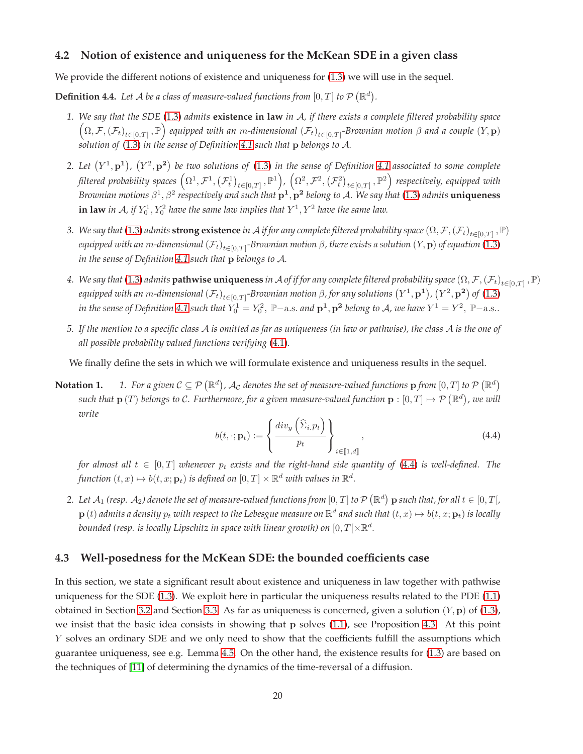## **4.2 Notion of existence and uniqueness for the McKean SDE in a given class**

We provide the different notions of existence and uniqueness for [\(1.3\)](#page-1-1) we will use in the sequel.

**Definition 4.4.** Let A be a class of measure-valued functions from  $[0, T]$  to  $\mathcal{P}(\mathbb{R}^d)$ .

- *1. We say that the SDE* [\(1.3\)](#page-1-1) *admits* **existence in law** *in* A*, if there exists a complete filtered probability space*  $(\Omega,\mathcal{F},(\mathcal{F}_t)_{t\in[0,T]},\mathbb{P})$  equipped with an m-dimensional  $(\mathcal{F}_t)_{t\in[0,T]}$ -Brownian motion  $\beta$  and a couple  $(Y,\mathbf{p})$ *solution of* [\(1.3\)](#page-1-1) *in the sense of Definition [4.1](#page-17-3) such that* p *belongs to* A*.*
- 2. Let  $(Y^1, \mathbf{p}^1)$ ,  $(Y^2, \mathbf{p}^2)$  be two solutions of [\(1.3\)](#page-1-1) in the sense of Definition [4.1](#page-17-3) associated to some complete filtered probability spaces  $\left(\Omega^1,\mathcal{F}^1,\left(\mathcal{F}^1_t\right)_{t\in[0,T]},\mathbb{P}^1\right)$ ,  $\left(\Omega^2,\mathcal{F}^2,\left(\mathcal{F}^2_t\right)_{t\in[0,T]},\mathbb{P}^2\right)$  respectively, equipped with *Brownian motions* β 1 , β<sup>2</sup> *respectively and such that* p 1 , p 2 *belong to* A*. We say that* [\(1.3\)](#page-1-1) *admits* **uniqueness**  $\mathbf{in}$  law in A, if  $Y_0^1, Y_0^2$  have the same law implies that  $Y^1, Y^2$  have the same law.
- 3. We say that [\(1.3\)](#page-1-1) admits  $\bf{strong\,existence}$  *in*  $\cal A$  *if for any complete filtered probability space*  $(\Omega, \cal F, (F_t)_{t\in[0,T]}, \mathbb P)$ equipped with an m-dimensional  $(\mathcal{F}_t)_{t\in[0,T]}$ -Brownian motion β, there exists a solution  $(Y,\mathbf{p})$  of equation [\(1.3\)](#page-1-1) *in the sense of Definition [4.1](#page-17-3) such that* p *belongs to* A*.*
- 4. We say that [\(1.3\)](#page-1-1) admits  ${\sf pathwise}$  uniqueness in  ${\cal A}$  of if for any complete filtered probability space  $(\Omega,{\cal F},({\cal F}_t)_{t\in[0,T]}$  ,  $\mathbb P)$ equipped with an m-dimensional  $(\mathcal{F}_t)_{t\in[0,T]}$ -Brownian motion  $\beta$ , for any solutions  $\left(Y^1,\mathbf{p^1}\right)$ ,  $\left(Y^2,\mathbf{p^2}\right)$  of  $(1.3)$ in the sense of Definition [4.1](#page-17-3) such that  $Y_0^1=Y_0^2$ ,  $\mathbb{P}-\text{a.s.}$  and  $\mathbf{p}^1,\mathbf{p^2}$  belong to A, we have  $Y^1=Y^2,$   $\mathbb{P}-\text{a.s.}$
- *5. If the mention to a specific class* A *is omitted as far as uniqueness (in law or pathwise), the class* A *is the one of all possible probability valued functions verifying* [\(4.1\)](#page-17-2)*.*

We finally define the sets in which we will formulate existence and uniqueness results in the sequel.

Notation 1.  $1.$  For a given  $C\subseteq\mathcal{P}\left(\mathbb{R}^d\right)$ ,  $\mathcal{A}_{\mathcal{C}}$  denotes the set of measure-valued functions  $\mathbf{p}$  from  $[0,T]$  to  $\mathcal{P}\left(\mathbb{R}^d\right)$ such that  $\bf p$  (T) belongs to C. Furthermore, for a given measure-valued function  $\bf p: [0,T]\mapsto P$   $(\mathbb{R}^d)$ , we will *write*

<span id="page-19-0"></span>
$$
b(t, \cdot; \mathbf{p}_t) := \left\{ \frac{div_y\left(\widehat{\Sigma}_i p_t\right)}{p_t} \right\}_{i \in [\![1, d]\!]},\tag{4.4}
$$

*for almost all*  $t \in [0, T]$  *whenever*  $p_t$  *exists and the right-hand side quantity of* [\(4.4\)](#page-19-0) *is well-defined. The* function  $(t, x) \mapsto b(t, x; \mathbf{p}_t)$  is defined on  $[0, T] \times \mathbb{R}^d$  *with values in*  $\mathbb{R}^d$ .

2. Let  $\mathcal{A}_1$  (resp.  $\mathcal{A}_2$ ) denote the set of measure-valued functions from  $[0,T]$  to  $\mathcal{P} \left( \mathbb{R}^d \right)$   ${\bf p}$  such that, for all  $t \in [0,T[$  ,  ${\bf p}\,(t)$  admits a density  $p_t$  with respect to the Lebesgue measure on  $\R^d$  and such that  $(t,x)\mapsto b(t,x;{\bf p}_t)$  is locally bounded (resp. is locally Lipschitz in space with linear growth) on  $[0,T[\times \mathbb{R}^d$ .

## <span id="page-19-1"></span>**4.3 Well-posedness for the McKean SDE: the bounded coefficients case**

In this section, we state a significant result about existence and uniqueness in law together with pathwise uniqueness for the SDE [\(1.3\)](#page-1-1). We exploit here in particular the uniqueness results related to the PDE [\(1.1\)](#page-0-0) obtained in Section [3.2](#page-7-0) and Section [3.3.](#page-10-0) As far as uniqueness is concerned, given a solution  $(Y, p)$  of [\(1.3\)](#page-1-1), we insist that the basic idea consists in showing that p solves [\(1.1\)](#page-0-0), see Proposition [4.3.](#page-17-0) At this point Y solves an ordinary SDE and we only need to show that the coefficients fulfill the assumptions which guarantee uniqueness, see e.g. Lemma [4.5.](#page-20-0) On the other hand, the existence results for [\(1.3\)](#page-1-1) are based on the techniques of [\[11\]](#page-32-8) of determining the dynamics of the time-reversal of a diffusion.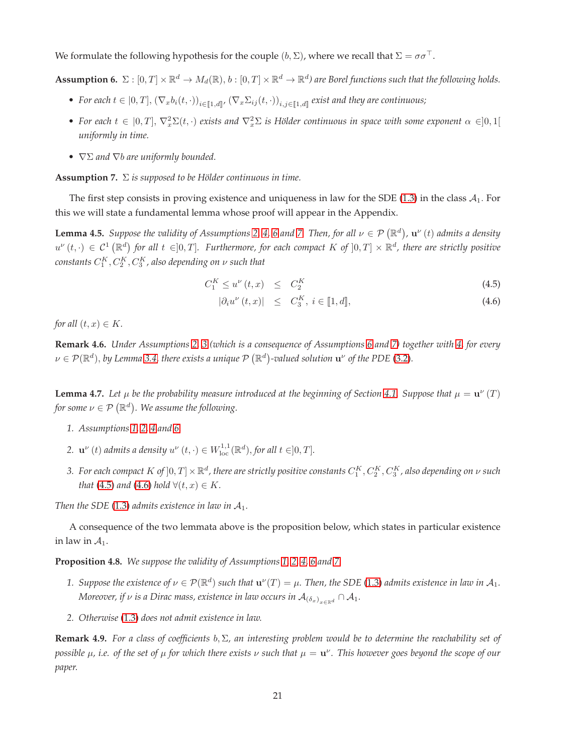We formulate the following hypothesis for the couple  $(b, \Sigma)$ , where we recall that  $\Sigma = \sigma \sigma^{\top}$ .

<span id="page-20-1"></span>**Assumption 6.**  $\Sigma : [0,T] \times \mathbb{R}^d \to M_d(\mathbb{R})$ ,  $b : [0,T] \times \mathbb{R}^d \to \mathbb{R}^d$ ) are Borel functions such that the following holds.

- For each  $t \in [0, T]$ ,  $(\nabla_x b_i(t, \cdot))_{i \in [\![1,d]\!]}$ ,  $(\nabla_x \Sigma_{ij}(t, \cdot))_{i,j \in [\![1,d]\!]}$  exist and they are continuous;
- For each  $t \in [0,T], \nabla_x^2 \Sigma(t,\cdot)$  exists and  $\nabla_x^2 \Sigma$  is Hölder continuous in space with some exponent  $\alpha \in ]0,1[$ *uniformly in time.*
- ∇Σ *and* ∇b *are uniformly bounded.*

<span id="page-20-2"></span>**Assumption 7.** Σ *is supposed to be Hölder continuous in time.*

The first step consists in proving existence and uniqueness in law for the SDE [\(1.3\)](#page-1-1) in the class  $A_1$ . For this we will state a fundamental lemma whose proof will appear in the Appendix.

<span id="page-20-0"></span>**Lemma 4.5.** Suppose the validity of Assumptions [2,](#page-4-1) [4,](#page-4-2) [6](#page-20-1) and [7.](#page-20-2) Then, for all  $\nu \in \mathcal{P}(\mathbb{R}^d)$ ,  $\mathbf{u}^{\nu}(t)$  admits a density  $u^{\nu}(t, \cdot) \in C^1(\mathbb{R}^d)$  for all  $t \in ]0,T]$ . Furthermore, for each compact K of  $]0,T] \times \mathbb{R}^d$ , there are strictly positive  $\emph{constants}$   $C_{1}^{K}, C_{2}^{K}, C_{3}^{K}$  , also depending on  $\nu$  such that

<span id="page-20-3"></span>
$$
C_1^K \le u^\nu(t, x) \le C_2^K \tag{4.5}
$$

$$
|\partial_i u^{\nu}(t, x)| \leq C_3^K, i \in [1, d], \tag{4.6}
$$

*for all*  $(t, x) \in K$ *.* 

**Remark 4.6.** *Under Assumptions [2,](#page-4-1) [3](#page-4-3) (which is a consequence of Assumptions [6](#page-20-1) and [7\)](#page-20-2) together with [4,](#page-4-2) for every*  $\nu \in \mathcal{P}(\mathbb{R}^d)$ , by Lemma 3.4, there exists a unique  $\mathcal{P}(\mathbb{R}^d)$ -valued solution  $\mathbf{u}^{\nu}$  of the PDE [\(3.2\)](#page-5-0).

<span id="page-20-5"></span>**Lemma 4.7.** Let  $\mu$  be the probability measure introduced at the beginning of Section [4.1.](#page-17-1) Suppose that  $\mu = \mathbf{u}^{\nu}(T)$ for some  $\nu \in \mathcal{P}\left(\mathbb{R}^{d}\right)$ . We assume the following.

- *1. Assumptions [1,](#page-4-4) [2,](#page-4-1) [4](#page-4-2) and [6.](#page-20-1)*
- 2.  $\mathbf{u}^{\nu}(t)$  *admits a density*  $u^{\nu}(t, \cdot) \in W^{1,1}_{\text{loc}}(\mathbb{R}^d)$ , *for all*  $t \in ]0,T]$ .
- 3. For each compact  $K$  of  $]0,T]\times\mathbb{R}^d$ , there are strictly positive constants  $C_1^K,C_2^K,C_3^K$ , also depending on  $\nu$  such *that* [\(4.5\)](#page-20-3) *and* [\(4.6\)](#page-20-3) *hold*  $\forall$ (*t*, *x*)  $\in$  *K*.

*Then the SDE* [\(1.3\)](#page-1-1) *admits existence in law in*  $A_1$ *.* 

A consequence of the two lemmata above is the proposition below, which states in particular existence in law in  $A_1$ .

<span id="page-20-4"></span>**Proposition 4.8.** *We suppose the validity of Assumptions [1,](#page-4-4) [2,](#page-4-1) [4,](#page-4-2) [6](#page-20-1) and [7.](#page-20-2)*

- 1. Suppose the existence of  $\nu \in \mathcal{P}(\mathbb{R}^d)$  such that  $\mathbf{u}^\nu(T) = \mu$ . Then, the SDE [\(1.3\)](#page-1-1) admits existence in law in  $\mathcal{A}_1$ . *Moreover, if*  $\nu$  *is a Dirac mass, existence in law occurs in*  $\mathcal{A}_{(\delta_x)_{x\in\mathbb{R}^d}} \cap \mathcal{A}_1$ *.*
- *2. Otherwise* [\(1.3\)](#page-1-1) *does not admit existence in law.*

**Remark 4.9.** *For a class of coefficients* b, Σ*, an interesting problem would be to determine the reachability set of possible* µ*, i.e. of the set of* µ *for which there exists* ν *such that* µ = u ν *. This however goes beyond the scope of our paper.*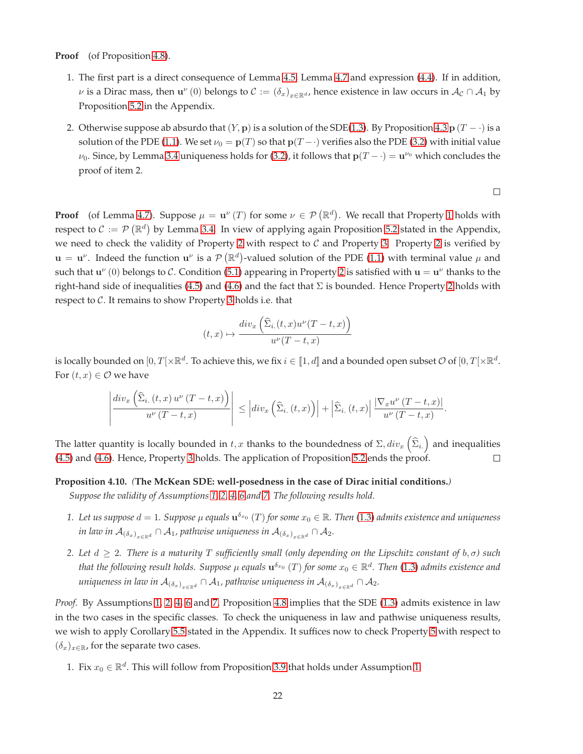**Proof** (of Proposition [4.8\)](#page-20-4).

- 1. The first part is a direct consequence of Lemma [4.5,](#page-20-0) Lemma [4.7](#page-20-5) and expression [\(4.4\)](#page-19-0). If in addition,  $\nu$  is a Dirac mass, then  $\mathbf{u}^{\nu}(0)$  belongs to  $\mathcal{C} := (\delta_x)_{x \in \mathbb{R}^d}$ , hence existence in law occurs in  $\mathcal{A}_{\mathcal{C}} \cap \mathcal{A}_1$  by Proposition [5.2](#page-26-0) in the Appendix.
- 2. Otherwise suppose ab absurdo that  $(Y, \mathbf{p})$  is a solution of the SDE[\(1.3\)](#page-1-1). By Proposition [4.3](#page-17-0)  $\mathbf{p}$  (T ·) is a solution of the PDE [\(1.1\)](#page-0-0). We set  $\nu_0 = \mathbf{p}(T)$  so that  $\mathbf{p}(T - \cdot)$  verifies also the PDE [\(3.2\)](#page-5-0) with initial value  $\nu_0$ . Since, by Lemma 3.4 uniqueness holds for [\(3.2\)](#page-5-0), it follows that  ${\bf p}(T-\cdot)={\bf u}^{\nu_0}$  which concludes the proof of item 2.

 $\Box$ 

**Proof** (of Lemma [4.7\)](#page-20-5). Suppose  $\mu = \mathbf{u}^{\nu}(T)$  for some  $\nu \in \mathcal{P}(\mathbb{R}^d)$ . We recall that Property [1](#page-5-1) holds with respect to  $\mathcal{C} := \mathcal{P}(\mathbb{R}^d)$  by Lemma 3.4. In view of applying again Proposition [5.2](#page-26-0) stated in the Appendix, we need to check the validity of Property [2](#page-25-1) with respect to  $C$  and Property [3.](#page-26-1) Property 2 is verified by  $\mathbf{u} = \mathbf{u}^{\nu}$ . Indeed the function  $\mathbf{u}^{\nu}$  is a  $\mathcal{P}(\mathbb{R}^d)$ -valued solution of the PDE [\(1.1\)](#page-0-0) with terminal value  $\mu$  and such that  $u^{\nu}(0)$  belongs to C. Condition [\(5.1\)](#page-26-2) appearing in Property [2](#page-25-1) is satisfied with  $u = u^{\nu}$  thanks to the right-hand side of inequalities [\(4.5\)](#page-20-3) and [\(4.6\)](#page-20-3) and the fact that  $\Sigma$  is bounded. Hence Property [2](#page-25-1) holds with respect to  $C$ . It remains to show Property [3](#page-26-1) holds i.e. that

$$
(t,x) \mapsto \frac{div_x\left(\widehat{\Sigma}_{i.}(t,x)u^{\nu}(T-t,x)\right)}{u^{\nu}(T-t,x)}
$$

is locally bounded on  $[0,T[\times \R^d$ . To achieve this, we fix  $i\in [\![1,d]\!]$  and a bounded open subset  $\mathcal O$  of  $[0,T[\times \R^d$ . For  $(t, x) \in \mathcal{O}$  we have

$$
\left|\frac{div_x\left(\widehat{\Sigma}_{i.}(t,x) u^{\nu}(T-t,x)\right)}{u^{\nu}(T-t,x)}\right| \leq \left|div_x\left(\widehat{\Sigma}_{i.}(t,x)\right)\right| + \left|\widehat{\Sigma}_{i.}(t,x)\right| \frac{|\nabla_x u^{\nu}(T-t,x)|}{u^{\nu}(T-t,x)}.
$$

The latter quantity is locally bounded in  $t,x$  thanks to the boundedness of  $\Sigma, div_x\left(\widehat{\Sigma}_i\right)$  and inequalities [\(4.5\)](#page-20-3) and [\(4.6\)](#page-20-3). Hence, Property [3](#page-26-1) holds. The application of Proposition [5.2](#page-26-0) ends the proof.  $\Box$ 

#### <span id="page-21-0"></span>**Proposition 4.10.** *(***The McKean SDE: well-posedness in the case of Dirac initial conditions.***)*

*Suppose the validity of Assumptions [1,](#page-4-4) [2,](#page-4-1) [4,](#page-4-2) [6](#page-20-1) and [7.](#page-20-2) The following results hold.*

- 1. Let us suppose  $d=1$ . Suppose  $\mu$  equals  $\mathbf{u}^{\delta_{x_0}}(T)$  for some  $x_0\in\mathbb{R}$ . Then [\(1.3\)](#page-1-1) admits existence and uniqueness *in law in*  $\mathcal{A}_{(\delta_x)}_{x \in \mathbb{R}^d} \cap \mathcal{A}_1$ , pathwise uniqueness in  $\mathcal{A}_{(\delta_x)}_{x \in \mathbb{R}^d} \cap \mathcal{A}_2$ .
- *2. Let* d ≥ 2*. There is a maturity* T *sufficiently small (only depending on the Lipschitz constant of* b, σ*) such* that the following result holds. Suppose  $\mu$  equals  $\mathbf{u}^{\delta_{x_0}}\left(T\right)$  for some  $x_0\in\mathbb{R}^d$ . Then [\(1.3\)](#page-1-1) admits existence and *uniqueness in law in*  $\mathcal{A}_{(\delta_x)_{x\in\mathbb{R}^d}} \cap \mathcal{A}_1$ , pathwise uniqueness in  $\mathcal{A}_{(\delta_x)_{x\in\mathbb{R}^d}} \cap \mathcal{A}_2$ .

*Proof.* By Assumptions [1,](#page-4-4) [2,](#page-4-1) [4,](#page-4-2) [6](#page-20-1) and [7,](#page-20-2) Proposition [4.8](#page-20-4) implies that the SDE [\(1.3\)](#page-1-1) admits existence in law in the two cases in the specific classes. To check the uniqueness in law and pathwise uniqueness results, we wish to apply Corollary [5.5](#page-27-1) stated in the Appendix. It suffices now to check Property [5](#page-27-2) with respect to  $(\delta_x)_{x\in\mathbb{R}}$ , for the separate two cases.

1. Fix  $x_0 \in \mathbb{R}^d$ . This will follow from Proposition [3.9](#page-7-1) that holds under Assumption [1.](#page-4-4)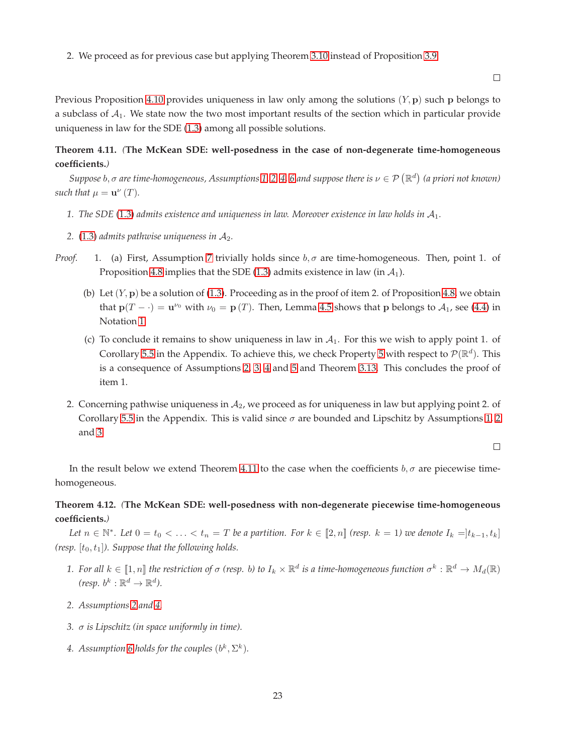2. We proceed as for previous case but applying Theorem [3.10](#page-8-0) instead of Proposition [3.9.](#page-7-1)

Previous Proposition [4.10](#page-21-0) provides uniqueness in law only among the solutions  $(Y, \mathbf{p})$  such p belongs to a subclass of  $A_1$ . We state now the two most important results of the section which in particular provide uniqueness in law for the SDE [\(1.3\)](#page-1-1) among all possible solutions.

# <span id="page-22-1"></span>**Theorem 4.11.** *(***The McKean SDE: well-posedness in the case of non-degenerate time-homogeneous coefficients.***)*

 $Suppose\ b, \sigma$  are time-homogeneous, Assumptions [1,](#page-4-4) [2,](#page-4-1) [4,](#page-4-2) [6](#page-20-1) and suppose there is  $\nu\in\mathcal{P}\ (\mathbb{R}^d)$  (a priori not known) *such that*  $\mu = \mathbf{u}^{\nu}(T)$ *.* 

- 1. The SDE [\(1.3\)](#page-1-1) admits existence and uniqueness in law. Moreover existence in law holds in  $A_1$ .
- 2.  $(1.3)$  *admits pathwise uniqueness in*  $A_2$ .
- *Proof.* 1. (a) First, Assumption [7](#page-20-2) trivially holds since  $b, \sigma$  are time-homogeneous. Then, point 1. of Proposition [4.8](#page-20-4) implies that the SDE [\(1.3\)](#page-1-1) admits existence in law (in  $A_1$ ).
	- (b) Let  $(Y, p)$  be a solution of [\(1.3\)](#page-1-1). Proceeding as in the proof of item 2. of Proposition [4.8,](#page-20-4) we obtain that  $p(T - \cdot) = u^{\nu_0}$  with  $\nu_0 = p(T)$ . Then, Lemma [4.5](#page-20-0) shows that p belongs to  $\mathcal{A}_1$ , see [\(4.4\)](#page-19-0) in Notation 1.
	- (c) To conclude it remains to show uniqueness in law in  $A<sub>1</sub>$ . For this we wish to apply point 1. of Corollary [5.5](#page-27-1) in the Appendix. To achieve this, we check Property [5](#page-27-2) with respect to  $\mathcal{P}(\mathbb{R}^d)$ . This is a consequence of Assumptions [2,](#page-4-1) [3,](#page-4-3) [4](#page-4-2) and 5 and Theorem [3.13.](#page-11-0) This concludes the proof of item 1.
	- 2. Concerning pathwise uniqueness in  $A_2$ , we proceed as for uniqueness in law but applying point 2. of Corollary [5.5](#page-27-1) in the Appendix. This is valid since  $\sigma$  are bounded and Lipschitz by Assumptions [1,](#page-4-4) [2](#page-4-1) and [3.](#page-4-3)

 $\Box$ 

In the result below we extend Theorem [4.11](#page-22-1) to the case when the coefficients  $b, \sigma$  are piecewise timehomogeneous.

# <span id="page-22-0"></span>**Theorem 4.12.** *(***The McKean SDE: well-posedness with non-degenerate piecewise time-homogeneous coefficients.***)*

*Let*  $n \in \mathbb{N}^*$ . Let  $0 = t_0 < \ldots < t_n = T$  be a partition. For  $k \in [\![2,n]\!]$  (resp.  $k = 1$ ) we denote  $I_k = ]t_{k-1}, t_k]$ *(resp.*  $[t_0, t_1]$ *). Suppose that the following holds.* 

- 1. For all  $k\in[\![1,n]\!]$  the restriction of  $\sigma$  (resp. b) to  $I_k\times\R^d$  is a time-homogeneous function  $\sigma^k:\R^d\to M_d(\R)$ (resp.  $b^k : \mathbb{R}^d \to \mathbb{R}^d$ ).
- *2. Assumptions [2](#page-4-1) and [4.](#page-4-2)*
- *3.* σ *is Lipschitz (in space uniformly in time).*
- 4. Assumption [6](#page-20-1) holds for the couples  $(b^k, \Sigma^k)$ .

23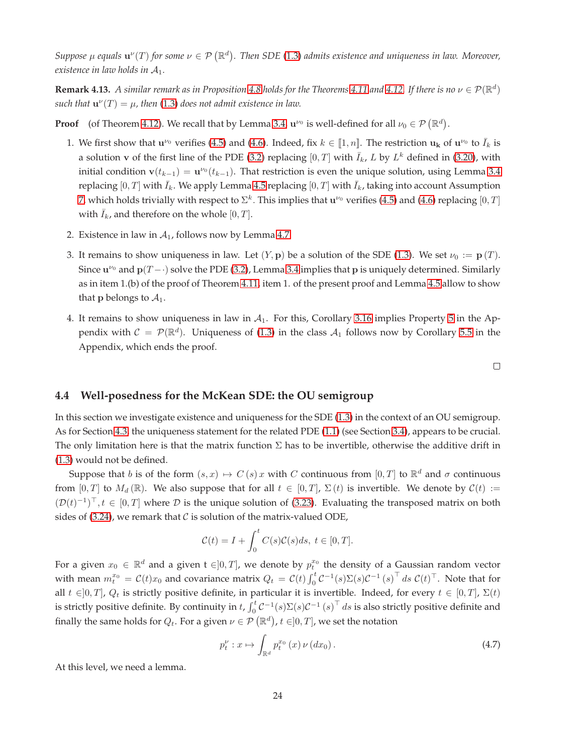Suppose  $\mu$  equals  $\mathbf{u}^{\nu}(T)$  for some  $\nu \in \mathcal{P}(\mathbb{R}^d)$ . Then SDE [\(1.3\)](#page-1-1) admits existence and uniqueness in law. Moreover, *existence in law holds in* A1*.*

**Remark 4.13.** *A similar remark as in Proposition [4.8](#page-20-4) holds for the Theorems [4.11](#page-22-1) and [4.12.](#page-22-0) If there is no*  $\nu \in \mathcal{P}(\mathbb{R}^d)$  $\mathfrak{such}\text{ that }\mathbf{u}^{\nu}(T)=\mu$ , then [\(1.3\)](#page-1-1) does not admit existence in law.

**Proof** (of Theorem [4.12\)](#page-22-0). We recall that by Lemma 3.4,  $\mathbf{u}^{\nu_0}$  is well-defined for all  $\nu_0 \in \mathcal{P}(\mathbb{R}^d)$ .

- 1. We first show that  $\mathbf{u}^{\nu_0}$  verifies [\(4.5\)](#page-20-3) and [\(4.6\)](#page-20-3). Indeed, fix  $k \in [1, n]$ . The restriction  $\mathbf{u}_k$  of  $\mathbf{u}^{\nu_0}$  to  $\bar{I}_k$  is a solution v of the first line of the PDE [\(3.2\)](#page-5-0) replacing  $[0, T]$  with  $\overline{I}_k$ , L by  $L^k$  defined in [\(3.20\)](#page-13-3), with initial condition  $\mathbf{v}(t_{k-1}) = \mathbf{u}^{\nu_0}(t_{k-1})$ . That restriction is even the unique solution, using Lemma 3.4 replacing  $[0, T]$  with  $\bar{I}_k$ . We apply Lemma [4.5](#page-20-0) replacing  $[0, T]$  with  $\bar{I}_k$ , taking into account Assumption [7,](#page-20-2) which holds trivially with respect to  $\Sigma^k$ . This implies that  ${\bf u}^{\nu_0}$  verifies [\(4.5\)](#page-20-3) and [\(4.6\)](#page-20-3) replacing  $[0,T]$ with  $\bar{I}_k$ , and therefore on the whole [0, T].
- 2. Existence in law in  $A_1$ , follows now by Lemma [4.7.](#page-20-5)
- 3. It remains to show uniqueness in law. Let  $(Y, \mathbf{p})$  be a solution of the SDE [\(1.3\)](#page-1-1). We set  $\nu_0 := \mathbf{p}(T)$ . Since  $u^{\nu_0}$  and  $p(T-\cdot)$  solve the PDE [\(3.2\)](#page-5-0), Lemma 3.4 implies that p is uniquely determined. Similarly as in item 1.(b) of the proof of Theorem [4.11,](#page-22-1) item 1. of the present proof and Lemma [4.5](#page-20-0) allow to show that **p** belongs to  $A_1$ .
- 4. It remains to show uniqueness in law in  $A<sub>1</sub>$ . For this, Corollary [3.16](#page-13-0) implies Property [5](#page-27-2) in the Appendix with  $C = \mathcal{P}(\mathbb{R}^d)$ . Uniqueness of [\(1.3\)](#page-1-1) in the class  $\mathcal{A}_1$  follows now by Corollary [5.5](#page-27-1) in the Appendix, which ends the proof.

 $\Box$ 

#### **4.4 Well-posedness for the McKean SDE: the OU semigroup**

In this section we investigate existence and uniqueness for the SDE [\(1.3\)](#page-1-1) in the context of an OU semigroup. As for Section [4.3,](#page-19-1) the uniqueness statement for the related PDE [\(1.1\)](#page-0-0) (see Section [3.4\)](#page-13-1), appears to be crucial. The only limitation here is that the matrix function  $\Sigma$  has to be invertible, otherwise the additive drift in [\(1.3\)](#page-1-1) would not be defined.

Suppose that b is of the form  $(s, x) \mapsto C(s)x$  with C continuous from  $[0, T]$  to  $\mathbb{R}^d$  and  $\sigma$  continuous from [0, T] to  $M_d(\mathbb{R})$ . We also suppose that for all  $t \in [0, T]$ ,  $\Sigma(t)$  is invertible. We denote by  $C(t) :=$  $(\mathcal{D}(t)^{-1})^{\top}, t \in [0,T]$  where  $\mathcal D$  is the unique solution of [\(3.23\)](#page-13-4). Evaluating the transposed matrix on both sides of [\(3.24\)](#page-13-5), we remark that  $\mathcal C$  is solution of the matrix-valued ODE,

$$
\mathcal{C}(t) = I + \int_0^t C(s)\mathcal{C}(s)ds, \ t \in [0, T].
$$

For a given  $x_0 \in \mathbb{R}^d$  and a given t  $\in ]0,T]$ , we denote by  $p_t^{x_0}$  the density of a Gaussian random vector with mean  $m_t^{x_0} = C(t)x_0$  and covariance matrix  $Q_t = C(t) \int_0^t C^{-1}(s) \Sigma(s) C^{-1}(s)^\top ds C(t)^\top$ . Note that for all  $t \in ]0, T]$ ,  $Q_t$  is strictly positive definite, in particular it is invertible. Indeed, for every  $t \in [0, T]$ ,  $\Sigma(t)$ is strictly positive definite. By continuity in t,  $\int_0^t C^{-1}(s)\Sigma(s)C^{-1}(s)^\top ds$  is also strictly positive definite and finally the same holds for  $Q_t.$  For a given  $\nu \in \mathcal{P}\left(\mathbb{R}^d\right)$ ,  $t \in ]0,T]$ , we set the notation

<span id="page-23-0"></span>
$$
p_t^{\nu}: x \mapsto \int_{\mathbb{R}^d} p_t^{x_0}(x) \nu(dx_0).
$$
 (4.7)

At this level, we need a lemma.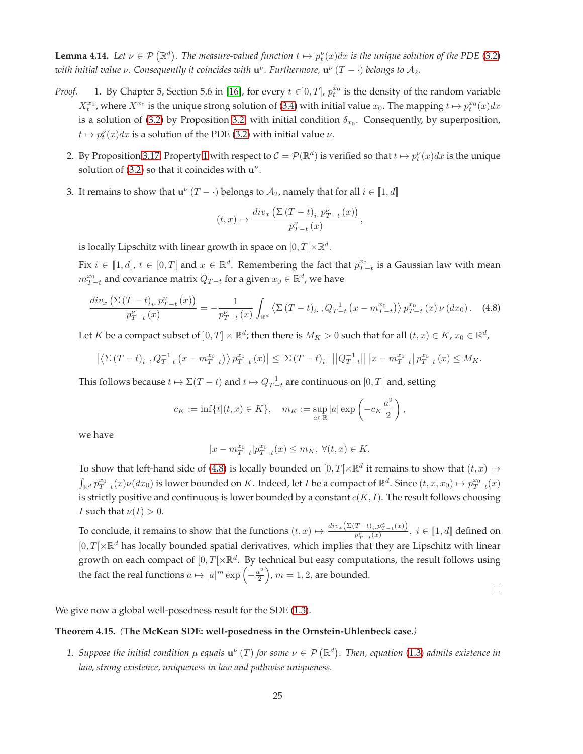<span id="page-24-2"></span>**Lemma 4.14.** Let  $\nu \in \mathcal{P}(\mathbb{R}^d)$ . The measure-valued function  $t \mapsto p_t^{\nu}(x)dx$  is the unique solution of the PDE [\(3.2\)](#page-5-0) with initial value  $\nu$ . Consequently it coincides with  ${\bf u}^\nu$ . Furthermore,  ${\bf u}^\nu$   $(T-\cdot)$  belongs to  ${\cal A}_2.$ 

- *Proof.* 1. By Chapter 5, Section 5.6 in [\[16\]](#page-32-15), for every  $t \in ]0,T]$ ,  $p_t^{x_0}$  is the density of the random variable  $X_t^{x_0}$ , where  $X^{x_0}$  is the unique strong solution of [\(3.4\)](#page-5-3) with initial value  $x_0$ . The mapping  $t \mapsto p_t^{x_0}(x)dx$ is a solution of [\(3.2\)](#page-5-0) by Proposition [3.2,](#page-5-2) with initial condition  $\delta_{x_0}$ . Consequently, by superposition,  $t \mapsto p_t^{\nu}(x)dx$  is a solution of the PDE [\(3.2\)](#page-5-0) with initial value  $\nu$ .
	- 2. By Proposition [3.17,](#page-14-4) Property [1](#page-5-1) with respect to  $C=\mathcal{P}(\R^d)$  is verified so that  $t\mapsto p_t^\nu(x)dx$  is the unique solution of [\(3.2\)](#page-5-0) so that it coincides with  $u^{\nu}$ .
	- 3. It remains to show that  $\mathbf{u}^{\nu}(T \cdot)$  belongs to  $\mathcal{A}_2$ , namely that for all  $i \in [\![1, d]\!]$

$$
(t,x)\mapsto \frac{div_x\left(\Sigma\left(T-t\right)_i,p_{T-t}^\nu\left(x\right)\right)}{p_{T-t}^\nu\left(x\right)},
$$

is locally Lipschitz with linear growth in space on  $[0,T[ \times \mathbb{R}^d$ .

Fix  $i \in [1, d]$ ,  $t \in [0, T]$  and  $x \in \mathbb{R}^d$ . Remembering the fact that  $p_{T-t}^{x_0}$  is a Gaussian law with mean  $m_{T-t}^{x_0}$  and covariance matrix  $Q_{T-t}$  for a given  $x_0 \in \mathbb{R}^d$ , we have

<span id="page-24-1"></span>
$$
\frac{div_x\left(\Sigma\left(T-t\right)_i, p_{T-t}^{\nu}\left(x\right)\right)}{p_{T-t}^{\nu}\left(x\right)} = -\frac{1}{p_{T-t}^{\nu}\left(x\right)} \int_{\mathbb{R}^d} \left\langle \Sigma\left(T-t\right)_i, Q_{T-t}^{-1}\left(x - m_{T-t}^{x_0}\right) \right\rangle p_{T-t}^{x_0}\left(x\right) \nu\left(dx_0\right). \tag{4.8}
$$

Let K be a compact subset of  $]0,T]\times\mathbb{R}^d$ ; then there is  $M_K>0$  such that for all  $(t,x)\in K$ ,  $x_0\in\mathbb{R}^d$ ,

$$
\left| \left\langle \Sigma \left(T - t\right)_i, Q_{T - t}^{-1} \left(x - m_{T - t}^{x_0}\right) \right\rangle p_{T - t}^{x_0}\left(x\right) \right| \le \left| \Sigma \left(T - t\right)_i \right| \left| \left| Q_{T - t}^{-1} \right| \right| \left| x - m_{T - t}^{x_0} \right| p_{T - t}^{x_0}\left(x\right) \le M_K.
$$

This follows because  $t \mapsto \Sigma(T - t)$  and  $t \mapsto Q_{T - t}^{-1}$  are continuous on  $[0, T[$  and, setting

$$
c_K := \inf\{t | (t, x) \in K\}, \quad m_K := \sup_{a \in \mathbb{R}} |a| \exp\left(-c_K \frac{a^2}{2}\right),\,
$$

we have

$$
|x-m_{T-t}^{x_0}|p_{T-t}^{x_0}(x)\leq m_K,\ \forall (t,x)\in K.
$$

To show that left-hand side of [\(4.8\)](#page-24-1) is locally bounded on  $[0,T[\times \mathbb{R}^d]$  it remains to show that  $(t, x) \mapsto$  $\int_{\mathbb{R}^d} p_{T-t}^{x_0}(x) \nu(dx_0)$  is lower bounded on K. Indeed, let I be a compact of  $\mathbb{R}^d$ . Since  $(t, x, x_0) \mapsto p_{T-t}^{x_0}(x)$ is strictly positive and continuous is lower bounded by a constant  $c(K, I)$ . The result follows choosing *I* such that  $\nu(I) > 0$ .

To conclude, it remains to show that the functions  $(t, x) \mapsto \frac{div_x(\Sigma(T-t)_i, p_{T-t}^{\nu}(x))}{n^{\nu} - (x)}$  $\frac{p_{i}^{T} - \nu_{i} \cdot p_{T-t}(x)}{p_{T-t}^{V}(x)}, i \in \llbracket 1, d \rrbracket$  defined on  $[0, T[ \times \mathbb{R}^d]$  has locally bounded spatial derivatives, which implies that they are Lipschitz with linear growth on each compact of  $[0,T[\times \mathbb{R}^d]$ . By technical but easy computations, the result follows using the fact the real functions  $a \mapsto |a|^m \exp \left(-\frac{a^2}{2}\right)$ 2  $\left($ ,  $m = 1, 2$ , are bounded.

 $\Box$ 

We give now a global well-posedness result for the SDE  $(1.3)$ .

#### <span id="page-24-0"></span>**Theorem 4.15.** *(***The McKean SDE: well-posedness in the Ornstein-Uhlenbeck case.***)*

1. Suppose the initial condition  $\mu$  equals  $\mathbf{u}^{\nu}(T)$  for some  $\nu \in \mathcal{P}(\mathbb{R}^d)$ . Then, equation [\(1.3\)](#page-1-1) admits existence in *law, strong existence, uniqueness in law and pathwise uniqueness.*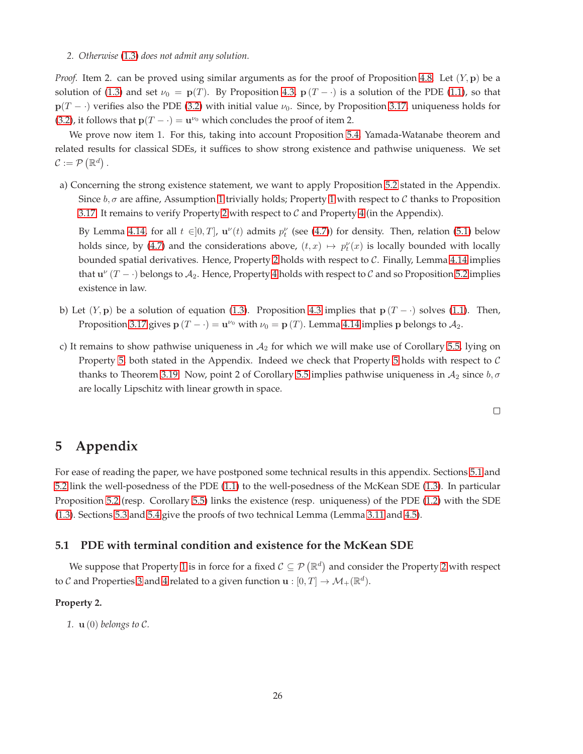#### *2. Otherwise* [\(1.3\)](#page-1-1) *does not admit any solution.*

*Proof.* Item 2. can be proved using similar arguments as for the proof of Proposition [4.8.](#page-20-4) Let  $(Y, \mathbf{p})$  be a solution of [\(1.3\)](#page-1-1) and set  $\nu_0 = p(T)$ . By Proposition [4.3,](#page-17-0)  $p(T - \cdot)$  is a solution of the PDE [\(1.1\)](#page-0-0), so that  $p(T - \cdot)$  verifies also the PDE [\(3.2\)](#page-5-0) with initial value  $\nu_0$ . Since, by Proposition [3.17,](#page-14-4) uniqueness holds for [\(3.2\)](#page-5-0), it follows that  $p(T - \cdot) = u^{\nu_0}$  which concludes the proof of item 2.

We prove now item 1. For this, taking into account Proposition [5.4,](#page-27-3) Yamada-Watanabe theorem and related results for classical SDEs, it suffices to show strong existence and pathwise uniqueness. We set  $\mathcal{C} := \mathcal{P}(\mathbb{R}^d)$ .

a) Concerning the strong existence statement, we want to apply Proposition [5.2](#page-26-0) stated in the Appendix. Since  $b, \sigma$  are affine, Assumption [1](#page-5-1) trivially holds; Property 1 with respect to C thanks to Proposition [3.17.](#page-14-4) It remains to verify Property [2](#page-25-1) with respect to  $\mathcal C$  and Property [4](#page-26-3) (in the Appendix).

By Lemma [4.14,](#page-24-2) for all  $t \in ]0,T]$ ,  $\mathbf{u}^{\nu}(t)$  admits  $p_t^{\nu}$  (see [\(4.7\)](#page-23-0)) for density. Then, relation [\(5.1\)](#page-26-2) below holds since, by [\(4.7\)](#page-23-0) and the considerations above,  $(t, x) \mapsto p_t^{\nu}(x)$  is locally bounded with locally bounded spatial derivatives. Hence, Property [2](#page-25-1) holds with respect to C. Finally, Lemma [4.14](#page-24-2) implies that  $u^{\nu}(T - \cdot)$  belongs to  $A_2$ . Hence, Property [4](#page-26-3) holds with respect to C and so Proposition [5.2](#page-26-0) implies existence in law.

- b) Let  $(Y, p)$  be a solution of equation [\(1.3\)](#page-1-1). Proposition [4.3](#page-17-0) implies that  $p(T \cdot)$  solves [\(1.1\)](#page-0-0). Then, Proposition [3.17](#page-14-4) gives  $\mathbf{p}(T - \cdot) = \mathbf{u}^{\nu_0}$  with  $\nu_0 = \mathbf{p}(T)$ . Lemma [4.14](#page-24-2) implies  $\mathbf{p}$  belongs to  $\mathcal{A}_2$ .
- c) It remains to show pathwise uniqueness in  $A_2$  for which we will make use of Corollary [5.5,](#page-27-1) lying on Property [5,](#page-27-2) both stated in the Appendix. Indeed we check that Property [5](#page-27-2) holds with respect to  $C$ thanks to Theorem [3.19.](#page-16-0) Now, point 2 of Corollary [5.5](#page-27-1) implies pathwise uniqueness in  $A_2$  since  $b, \sigma$ are locally Lipschitz with linear growth in space.

 $\Box$ 

# **5 Appendix**

For ease of reading the paper, we have postponed some technical results in this appendix. Sections [5.1](#page-25-0) and [5.2](#page-27-0) link the well-posedness of the PDE [\(1.1\)](#page-0-0) to the well-posedness of the McKean SDE [\(1.3\)](#page-1-1). In particular Proposition [5.2](#page-26-0) (resp. Corollary [5.5\)](#page-27-1) links the existence (resp. uniqueness) of the PDE [\(1.2\)](#page-1-0) with the SDE [\(1.3\)](#page-1-1). Sections [5.3](#page-28-3) and [5.4](#page-29-0) give the proofs of two technical Lemma (Lemma [3.11](#page-8-2) and [4.5\)](#page-20-0).

## <span id="page-25-0"></span>**5.1 PDE with terminal condition and existence for the McKean SDE**

We suppose that Property [1](#page-5-1) is in force for a fixed  $C \subseteq \mathcal{P}(\mathbb{R}^d)$  and consider the Property [2](#page-25-1) with respect to  ${\cal C}$  and Properties [3](#page-26-1) and [4](#page-26-3) related to a given function  ${\bf u}:[0,T]\rightarrow {\cal M}_+({\mathbb R}^d).$ 

#### <span id="page-25-1"></span>**Property 2.**

*1.* u (0) *belongs to* C*.*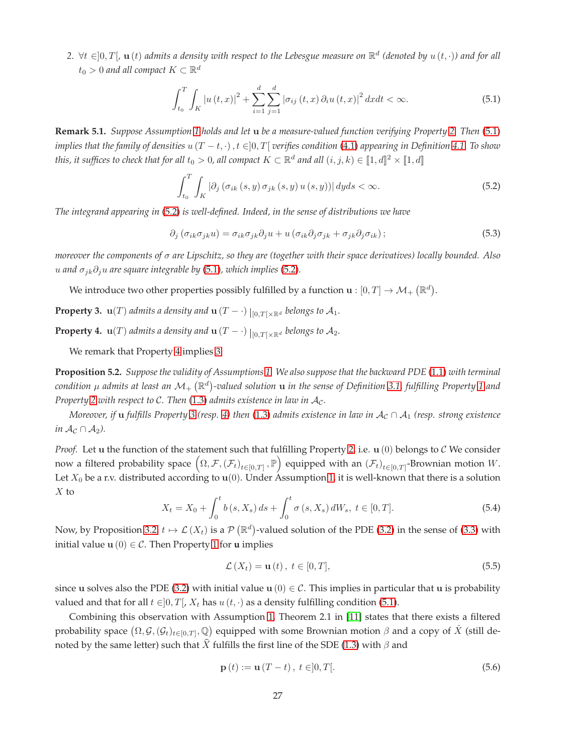$2. \ \forall t \in ]0,T[$ ,  $\mathbf{u}(t)$  admits a density with respect to the Lebesgue measure on  $\mathbb{R}^d$  (denoted by  $u(t,\cdot)$ ) and for all  $t_0>0$  and all compact  $K\subset \mathbb{R}^d$ 

<span id="page-26-2"></span>
$$
\int_{t_0}^{T} \int_{K} |u(t,x)|^2 + \sum_{i=1}^{d} \sum_{j=1}^{d} |\sigma_{ij}(t,x) \partial_i u(t,x)|^2 dx dt < \infty.
$$
 (5.1)

**Remark 5.1.** *Suppose Assumption [1](#page-4-4) holds and let* u *be a measure-valued function verifying Property [2.](#page-25-1) Then* [\(5.1\)](#page-26-2) *implies that the family of densities*  $u(T - t, \cdot)$ ,  $t \in ]0, T[$  *verifies condition* [\(4.1\)](#page-17-2) *appearing in Definition* [4.1.](#page-17-3) To show this, it suffices to check that for all  $t_0>0$ , all compact  $K\subset\mathbb{R}^d$  and all  $(i,j,k)\in[\![1,d]\!]^2\times[\![1,d]\!]$ 

<span id="page-26-4"></span>
$$
\int_{t_0}^{T} \int_{K} \left| \partial_j \left( \sigma_{ik}(s, y) \sigma_{jk}(s, y) u(s, y) \right) \right| dy ds < \infty. \tag{5.2}
$$

*The integrand appearing in* [\(5.2\)](#page-26-4) *is well-defined. Indeed, in the sense of distributions we have*

$$
\partial_j \left( \sigma_{ik} \sigma_{jk} u \right) = \sigma_{ik} \sigma_{jk} \partial_j u + u \left( \sigma_{ik} \partial_j \sigma_{jk} + \sigma_{jk} \partial_j \sigma_{ik} \right); \tag{5.3}
$$

*moreover the components of* σ *are Lipschitz, so they are (together with their space derivatives) locally bounded. Also u* and  $\sigma_{ik}\partial_j u$  are square integrable by [\(5.1\)](#page-26-2), which implies [\(5.2\)](#page-26-4).

We introduce two other properties possibly fulfilled by a function  $\mathbf{u}:[0,T]\rightarrow \mathcal{M}_{+}\left(\mathbb{R}^{d}\right)$ .

<span id="page-26-1"></span>**Property 3.**  $\mathbf{u}(T)$  admits a density and  $\mathbf{u}(T - \cdot) \mid_{[0,T[ \times \mathbb{R}^d}$  belongs to  $\mathcal{A}_1$ .

<span id="page-26-3"></span>**Property 4.**  $\mathbf{u}(T)$  admits a density and  $\mathbf{u}(T - \cdot) \mid_{[0,T[ \times \mathbb{R}^d}$  belongs to  $\mathcal{A}_2$ .

We remark that Property [4](#page-26-3) implies [3.](#page-26-1)

<span id="page-26-0"></span>**Proposition 5.2.** *Suppose the validity of Assumptions [1.](#page-4-4) We also suppose that the backward PDE* [\(1.1\)](#page-0-0) *with terminal* condition  $\mu$  admits at least an  $\mathcal{M}_+$   $(\mathbb{R}^d)$ -valued solution  ${\bf u}$  in the sense of Definition [3.1,](#page-4-5) fulfilling Property [1](#page-5-1) and *Property* [2](#page-25-1) *with respect to C. Then* [\(1.3\)](#page-1-1) *admits existence in law in*  $A_c$ .

*Moreover, if* **u** *fulfills Property* [3](#page-26-1) (resp. [4\)](#page-26-3) then [\(1.3\)](#page-1-1) *admits existence in law in*  $A_c \cap A_1$  (resp. strong existence *in*  $\mathcal{A}_{\mathcal{C}} \cap \mathcal{A}_{2}$ *)*.

*Proof.* Let  $u$  the function of the statement such that fulfilling Property [2,](#page-25-1) i.e.  $u(0)$  belongs to  $C$  We consider now a filtered probability space  $(\Omega, \mathcal{F}, (\mathcal{F}_t)_{t \in [0,T]}, \mathbb{P})$  equipped with an  $(\mathcal{F}_t)_{t \in [0,T]}$ -Brownian motion W. Let  $X_0$  be a r.v. distributed according to  $\mathbf{u}(0)$ . Under Assumption [1,](#page-4-4) it is well-known that there is a solution  $X$  to

$$
X_t = X_0 + \int_0^t b(s, X_s) \, ds + \int_0^t \sigma(s, X_s) \, dW_s, \ t \in [0, T]. \tag{5.4}
$$

Now, by Proposition [3.2,](#page-5-2)  $t \mapsto \mathcal{L}(X_t)$  is a  $\mathcal{P}(\mathbb{R}^d)$ -valued solution of the PDE [\(3.2\)](#page-5-0) in the sense of [\(3.3\)](#page-5-4) with initial value  $u(0) \in C$ . Then Property [1](#page-5-1) for **u** implies

<span id="page-26-5"></span>
$$
\mathcal{L}\left(X_t\right) = \mathbf{u}\left(t\right), \ t \in [0, T],\tag{5.5}
$$

since u solves also the PDE [\(3.2\)](#page-5-0) with initial value u (0)  $\in \mathcal{C}$ . This implies in particular that u is probability valued and that for all  $t \in ]0, T[$ ,  $X_t$  has  $u(t, \cdot)$  as a density fulfilling condition [\(5.1\)](#page-26-2).

Combining this observation with Assumption [1,](#page-4-4) Theorem 2.1 in [\[11\]](#page-32-8) states that there exists a filtered probability space  $(\Omega, {\cal G},({\cal G}_t)_{t\in[0,T]}, {\Bbb Q})$  equipped with some Brownian motion  $\beta$  and a copy of  $\hat X$  (still denoted by the same letter) such that  $\widehat{X}$  fulfills the first line of the SDE [\(1.3\)](#page-1-1) with  $\beta$  and

<span id="page-26-6"></span>
$$
\mathbf{p}(t) := \mathbf{u}(T - t), \ t \in ]0, T[.
$$
 (5.6)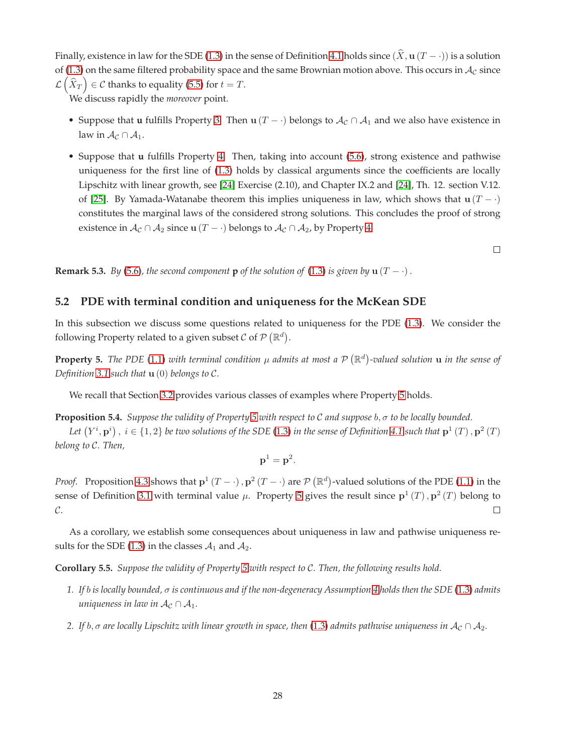Finally, existence in law for the SDE [\(1.3\)](#page-1-1) in the sense of Definition [4.1](#page-17-3) holds since  $(\hat{X}, \mathbf{u} (T - \cdot))$  is a solution of [\(1.3\)](#page-1-1) on the same filtered probability space and the same Brownian motion above. This occurs in  $A_C$  since  $\mathcal{L}(\hat{X}_T) \in \mathcal{C}$  thanks to equality [\(5.5\)](#page-26-5) for  $t = T$ .

We discuss rapidly the *moreover* point.

- Suppose that **u** fulfills Property [3.](#page-26-1) Then **u** (T ·) belongs to  $A_c \cap A_1$  and we also have existence in law in  $\mathcal{A}_{\mathcal{C}} \cap \mathcal{A}_1$ .
- Suppose that **u** fulfills Property [4.](#page-26-3) Then, taking into account [\(5.6\)](#page-26-6), strong existence and pathwise uniqueness for the first line of [\(1.3\)](#page-1-1) holds by classical arguments since the coefficients are locally Lipschitz with linear growth, see [\[24\]](#page-33-7) Exercise (2.10), and Chapter IX.2 and [\[24\]](#page-33-7), Th. 12. section V.12. of [\[25\]](#page-33-8). By Yamada-Watanabe theorem this implies uniqueness in law, which shows that  $\mathbf{u} (T - \cdot)$ constitutes the marginal laws of the considered strong solutions. This concludes the proof of strong existence in  $\mathcal{A}_{\mathcal{C}} \cap \mathcal{A}_2$  since  $\mathbf{u}(T - \cdot)$  belongs to  $\mathcal{A}_{\mathcal{C}} \cap \mathcal{A}_2$ , by Property [4.](#page-26-3)

<span id="page-27-0"></span>**Remark 5.3.** *By* [\(5.6\)](#page-26-6)*, the second component* **p** *of the solution of* [\(1.3\)](#page-1-1) *is given by* **u** ( $T - \cdot$ ).

# **5.2 PDE with terminal condition and uniqueness for the McKean SDE**

In this subsection we discuss some questions related to uniqueness for the PDE [\(1.3\)](#page-1-1). We consider the following Property related to a given subset  $\mathcal C$  of  $\mathcal P(\mathbb R^d)$ .

<span id="page-27-2"></span>**Property 5.** The PDE [\(1.1\)](#page-0-0) with terminal condition  $\mu$  admits at most a  $\mathcal{P}(\mathbb{R}^d)$ -valued solution  $\bf{u}$  in the sense of *Definition [3.1](#page-4-5) such that* u (0) *belongs to* C*.*

We recall that Section [3.2](#page-7-0) provides various classes of examples where Property [5](#page-27-2) holds.

<span id="page-27-3"></span>**Proposition 5.4.** *Suppose the validity of Property [5](#page-27-2) with respect to* C *and suppose* b, σ *to be locally bounded.*

Let  $(Y^i, \mathbf{p}^i)$  ,  $i \in \{1,2\}$  be two solutions of the SDE [\(1.3\)](#page-1-1) in the sense of Definition [4.1](#page-17-3) such that  $\mathbf{p}^1(T)$  ,  $\mathbf{p}^2(T)$ *belong to* C*. Then,*

$$
\mathbf{p}^1 = \mathbf{p}^2.
$$

*Proof.* Proposition [4.3](#page-17-0) shows that  $p^1(T - \cdot)$ ,  $p^2(T - \cdot)$  are  $\mathcal{P}(\mathbb{R}^d)$ -valued solutions of the PDE [\(1.1\)](#page-0-0) in the sense of Definition [3.1](#page-4-5) with terminal value  $\mu$ . Property [5](#page-27-2) gives the result since  $\mathbf{p}^1(T)$ ,  $\mathbf{p}^2(T)$  belong to  $\mathcal{C}.$  $\Box$ 

As a corollary, we establish some consequences about uniqueness in law and pathwise uniqueness re-sults for the SDE [\(1.3\)](#page-1-1) in the classes  $A_1$  and  $A_2$ .

<span id="page-27-1"></span>**Corollary 5.5.** *Suppose the validity of Property [5](#page-27-2) with respect to* C*. Then, the following results hold.*

- *1. If* b *is locally bounded,* σ *is continuous and if the non-degeneracy Assumption [4](#page-4-2) holds then the SDE* [\(1.3\)](#page-1-1) *admits uniqueness in law in*  $A_c \cap A_1$ .
- *2. If*  $b$ ,  $\sigma$  are locally Lipschitz with linear growth in space, then [\(1.3\)](#page-1-1) admits pathwise uniqueness in  $A_c \cap A_2$ .

 $\Box$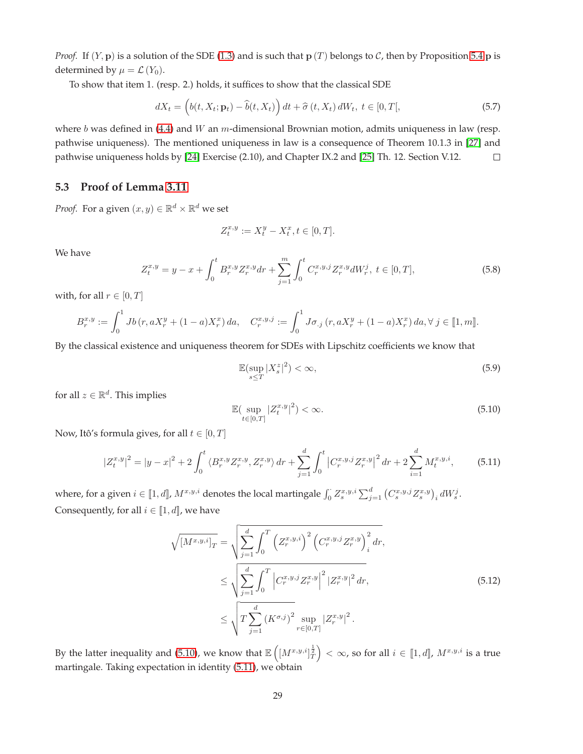*Proof.* If  $(Y, p)$  is a solution of the SDE [\(1.3\)](#page-1-1) and is such that  $p(T)$  belongs to  $C$ , then by Proposition [5.4](#page-27-3)  $p$  is determined by  $\mu = \mathcal{L}(Y_0)$ .

To show that item 1. (resp. 2.) holds, it suffices to show that the classical SDE

$$
dX_t = \left(b(t, X_t; \mathbf{p}_t) - \widehat{b}(t, X_t)\right)dt + \widehat{\sigma}(t, X_t) dW_t, t \in [0, T[,
$$
\n(5.7)

where b was defined in [\(4.4\)](#page-19-0) and W an m-dimensional Brownian motion, admits uniqueness in law (resp. pathwise uniqueness). The mentioned uniqueness in law is a consequence of Theorem 10.1.3 in [\[27\]](#page-33-4) and pathwise uniqueness holds by [\[24\]](#page-33-7) Exercise (2.10), and Chapter IX.2 and [\[25\]](#page-33-8) Th. 12. Section V.12.  $\Box$ 

# <span id="page-28-3"></span>**5.3 Proof of Lemma [3.11](#page-8-2)**

*Proof.* For a given  $(x, y) \in \mathbb{R}^d \times \mathbb{R}^d$  we set

$$
Z^{x,y}_t:=X^y_t-X^x_t, t\in [0,T].
$$

We have

<span id="page-28-2"></span>
$$
Z_t^{x,y} = y - x + \int_0^t B_r^{x,y} Z_r^{x,y} dr + \sum_{j=1}^m \int_0^t C_r^{x,y,j} Z_r^{x,y} dW_r^j, \ t \in [0, T], \tag{5.8}
$$

with, for all  $r \in [0, T]$ 

$$
B_r^{x,y} := \int_0^1 Jb(r, aX_r^y + (1-a)X_r^x) da, \quad C_r^{x,y,j} := \int_0^1 J\sigma_{.j}(r, aX_r^y + (1-a)X_r^x) da, \forall j \in [\![ 1, m]\!].
$$

By the classical existence and uniqueness theorem for SDEs with Lipschitz coefficients we know that

$$
\mathbb{E}(\sup_{s\leq T}|X_s^z|^2)<\infty,\tag{5.9}
$$

for all  $z \in \mathbb{R}^d$ . This implies

<span id="page-28-1"></span><span id="page-28-0"></span>
$$
\mathbb{E}\left(\sup_{t\in[0,T]}|Z_t^{x,y}|^2\right)<\infty.\tag{5.10}
$$

Now, Itô's formula gives, for all  $t \in [0, T]$ 

<span id="page-28-4"></span>
$$
|Z_t^{x,y}|^2 = |y-x|^2 + 2\int_0^t \langle B_r^{x,y} Z_r^{x,y}, Z_r^{x,y} \rangle dr + \sum_{j=1}^d \int_0^t \left| C_r^{x,y,j} Z_r^{x,y} \right|^2 dr + 2\sum_{i=1}^d M_t^{x,y,i}, \tag{5.11}
$$

where, for a given  $i \in [\![1, d]\!]$ ,  $M^{x,y,i}$  denotes the local martingale  $\int_0^{\cdot} Z^{x,y,i}_s \sum_{j=1}^d \left(C^{x,y,j}_s Z^{x,y}_s\right)_i dW^j_s.$ Consequently, for all  $i \in [1, d]$ , we have

$$
\sqrt{[M^{x,y,i}]_T} = \sqrt{\sum_{j=1}^d \int_0^T \left( Z_r^{x,y,i} \right)^2 \left( C_r^{x,y,j} Z_r^{x,y} \right)_i^2 dr},
$$
\n
$$
\leq \sqrt{\sum_{j=1}^d \int_0^T \left| C_r^{x,y,j} Z_r^{x,y} \right|^2 |Z_r^{x,y}|^2 dr},
$$
\n
$$
\leq \sqrt{T \sum_{j=1}^d \left( K^{\sigma,j} \right)^2 \sup_{r \in [0,T]} |Z_r^{x,y}|^2 }.
$$
\n(5.12)

By the latter inequality and [\(5.10\)](#page-28-1), we know that  $\mathbb{E}\left(\left[M^{x,y,i}\right]_{T}^{\frac{1}{2}}\right)<\infty$ , so for all  $i\in\llbracket 1,d\rrbracket$ ,  $M^{x,y,i}$  is a true martingale. Taking expectation in identity [\(5.11\)](#page-28-4), we obtain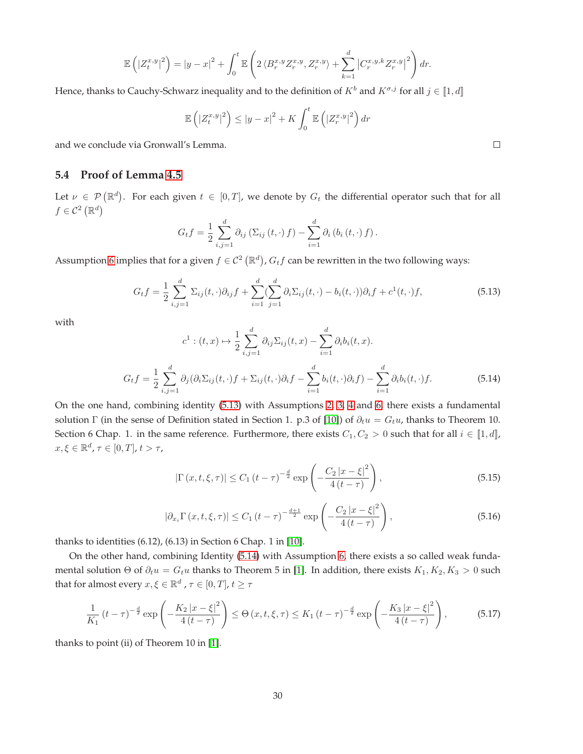$$
\mathbb{E}\left(\left|Z_t^{x,y}\right|^2\right) = \left|y-x\right|^2 + \int_0^t \mathbb{E}\left(2\left\langle B_r^{x,y}Z_r^{x,y}, Z_r^{x,y}\right\rangle + \sum_{k=1}^d \left|C_r^{x,y,k}Z_r^{x,y}\right|^2\right)dr.
$$

Hence, thanks to Cauchy-Schwarz inequality and to the definition of  $K^b$  and  $K^{\sigma,j}$  for all  $j \in [\![1, d]\!]$ 

$$
\mathbb{E}\left(\left|Z_t^{x,y}\right|^2\right) \leq \left|y-x\right|^2 + K \int_0^t \mathbb{E}\left(\left|Z_r^{x,y}\right|^2\right) dr
$$

<span id="page-29-0"></span>and we conclude via Gronwall's Lemma.

# **5.4 Proof of Lemma [4.5](#page-20-0)**

Let  $\nu \in \mathcal{P}(\mathbb{R}^d)$ . For each given  $t \in [0,T]$ , we denote by  $G_t$  the differential operator such that for all  $f \in \mathcal{C}^2 \left( \mathbb{R}^d \right)$ 

$$
G_t f = \frac{1}{2} \sum_{i,j=1}^d \partial_{ij} (\Sigma_{ij} (t,\cdot) f) - \sum_{i=1}^d \partial_i (b_i (t,\cdot) f).
$$

Assumption [6](#page-20-1) implies that for a given  $f \in \mathcal{C}^2\left(\mathbb{R}^d\right)$ ,  $G_t f$  can be rewritten in the two following ways:

<span id="page-29-1"></span>
$$
G_t f = \frac{1}{2} \sum_{i,j=1}^d \Sigma_{ij}(t, \cdot) \partial_{ij} f + \sum_{i=1}^d (\sum_{j=1}^d \partial_i \Sigma_{ij}(t, \cdot) - b_i(t, \cdot)) \partial_i f + c^1(t, \cdot) f, \tag{5.13}
$$

with

<span id="page-29-2"></span>
$$
c^1: (t, x) \mapsto \frac{1}{2} \sum_{i,j=1}^d \partial_{ij} \Sigma_{ij}(t, x) - \sum_{i=1}^d \partial_i b_i(t, x).
$$

$$
G_t f = \frac{1}{2} \sum_{i,j=1}^d \partial_j (\partial_i \Sigma_{ij}(t, \cdot) f + \Sigma_{ij}(t, \cdot) \partial_i f - \sum_{i=1}^d b_i(t, \cdot) \partial_i f) - \sum_{i=1}^d \partial_i b_i(t, \cdot) f. \tag{5.14}
$$

On the one hand, combining identity [\(5.13\)](#page-29-1) with Assumptions [2,](#page-4-1) [3,](#page-4-3) [4](#page-4-2) and [6,](#page-20-1) there exists a fundamental solution Γ (in the sense of Definition stated in Section 1. p.3 of [\[10\]](#page-32-16)) of  $\partial_t u = G_t u$ , thanks to Theorem 10. Section 6 Chap. 1. in the same reference. Furthermore, there exists  $C_1, C_2 > 0$  such that for all  $i \in [1, d]$ ,  $x, \xi \in \mathbb{R}^d$ ,  $\tau \in [0, T]$ ,  $t > \tau$ ,

<span id="page-29-3"></span>
$$
|\Gamma(x, t, \xi, \tau)| \le C_1 (t - \tau)^{-\frac{d}{2}} \exp\left(-\frac{C_2 |x - \xi|^2}{4 (t - \tau)}\right),\tag{5.15}
$$

<span id="page-29-5"></span>
$$
|\partial_{x_i} \Gamma(x, t, \xi, \tau)| \le C_1 (t - \tau)^{-\frac{d+1}{2}} \exp\left(-\frac{C_2 |x - \xi|^2}{4 (t - \tau)}\right),\tag{5.16}
$$

thanks to identities (6.12), (6.13) in Section 6 Chap. 1 in [\[10\]](#page-32-16).

On the other hand, combining Identity [\(5.14\)](#page-29-2) with Assumption [6,](#page-20-1) there exists a so called weak fundamental solution  $\Theta$  of  $\partial_t u = G_t u$  thanks to Theorem 5 in [\[1\]](#page-31-2). In addition, there exists  $K_1, K_2, K_3 > 0$  such that for almost every  $x,\xi\in\mathbb{R}^d$  ,  $\tau\in[0,T]$ ,  $t\geq\tau$ 

<span id="page-29-4"></span>
$$
\frac{1}{K_1} \left( t - \tau \right)^{-\frac{d}{2}} \exp \left( -\frac{K_2 \left| x - \xi \right|^2}{4 \left( t - \tau \right)} \right) \le \Theta \left( x, t, \xi, \tau \right) \le K_1 \left( t - \tau \right)^{-\frac{d}{2}} \exp \left( -\frac{K_3 \left| x - \xi \right|^2}{4 \left( t - \tau \right)} \right),\tag{5.17}
$$

thanks to point (ii) of Theorem 10 in [\[1\]](#page-31-2).

 $\Box$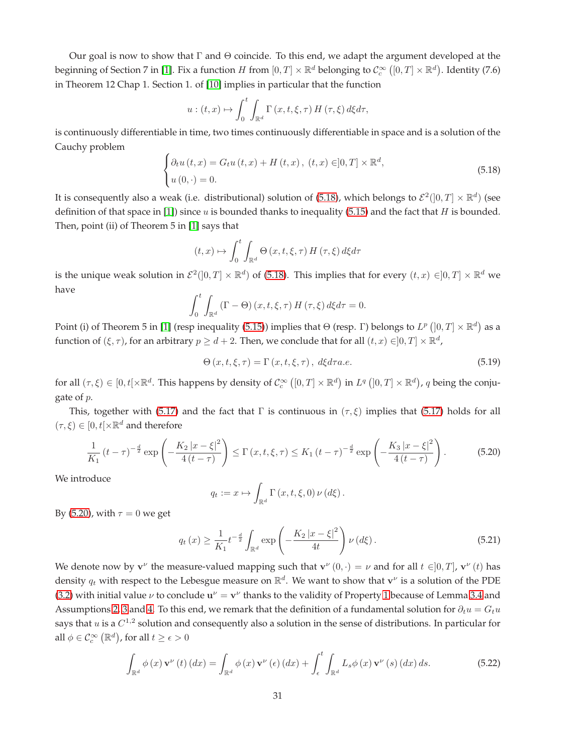Our goal is now to show that  $\Gamma$  and  $\Theta$  coincide. To this end, we adapt the argument developed at the beginning of Section 7 in [\[1\]](#page-31-2). Fix a function  $H$  from  $[0,T]\times\mathbb R^d$  belonging to  $\mathcal{C}^\infty_c\left([0,T]\times\mathbb R^d\right)$ . Identity (7.6) in Theorem 12 Chap 1. Section 1. of [\[10\]](#page-32-16) implies in particular that the function

$$
u:(t,x)\mapsto \int_0^t \int_{\mathbb{R}^d} \Gamma(x,t,\xi,\tau) H(\tau,\xi) d\xi d\tau,
$$

is continuously differentiable in time, two times continuously differentiable in space and is a solution of the Cauchy problem

<span id="page-30-0"></span>
$$
\begin{cases} \partial_t u(t, x) = G_t u(t, x) + H(t, x), (t, x) \in ]0, T] \times \mathbb{R}^d, \\ u(0, \cdot) = 0. \end{cases}
$$
\n(5.18)

It is consequently also a weak (i.e. distributional) solution of [\(5.18\)](#page-30-0), which belongs to  $\mathcal{E}^2(]0,T]\times\mathbb{R}^d)$  (see definition of that space in [\[1\]](#page-31-2)) since u is bounded thanks to inequality [\(5.15\)](#page-29-3) and the fact that H is bounded. Then, point (ii) of Theorem 5 in [\[1\]](#page-31-2) says that

$$
(t,x)\mapsto \int_0^t \int_{\mathbb{R}^d} \Theta\left(x,t,\xi,\tau\right) H\left(\tau,\xi\right) d\xi d\tau
$$

is the unique weak solution in  $\mathcal{E}^2(]0,T]\times\mathbb{R}^d$ ) of [\(5.18\)](#page-30-0). This implies that for every  $(t,x)\in]0,T]\times\mathbb{R}^d$  we have

$$
\int_0^t \int_{\mathbb{R}^d} \left( \Gamma - \Theta \right) (x, t, \xi, \tau) \, H \left( \tau, \xi \right) d\xi d\tau = 0.
$$

Point (i) of Theorem 5 in [\[1\]](#page-31-2) (resp inequality [\(5.15\)](#page-29-3)) implies that  $\Theta$  (resp.  $\Gamma$ ) belongs to  $L^p([0,T] \times \mathbb{R}^d)$  as a function of  $(\xi, \tau)$ , for an arbitrary  $p \geq d+2$ . Then, we conclude that for all  $(t, x) \in ]0, T] \times \mathbb{R}^d$ ,

$$
\Theta\left(x,t,\xi,\tau\right) = \Gamma\left(x,t,\xi,\tau\right), d\xi d\tau a.e. \tag{5.19}
$$

for all  $(\tau,\xi) \in [0,t[\times \mathbb{R}^d$ . This happens by density of  $\mathcal{C}^{\infty}_c([0,T] \times \mathbb{R}^d)$  in  $L^q([0,T] \times \mathbb{R}^d)$ , q being the conjugate of p.

This, together with [\(5.17\)](#page-29-4) and the fact that Γ is continuous in ( $\tau$ ,  $\xi$ ) implies that (5.17) holds for all  $(\tau, \xi) \in [0, t] \times \mathbb{R}^d$  and therefore

<span id="page-30-1"></span>
$$
\frac{1}{K_1} \left( t - \tau \right)^{-\frac{d}{2}} \exp \left( -\frac{K_2 \left| x - \xi \right|^2}{4 \left( t - \tau \right)} \right) \le \Gamma \left( x, t, \xi, \tau \right) \le K_1 \left( t - \tau \right)^{-\frac{d}{2}} \exp \left( -\frac{K_3 \left| x - \xi \right|^2}{4 \left( t - \tau \right)} \right). \tag{5.20}
$$

We introduce

$$
q_t := x \mapsto \int_{\mathbb{R}^d} \Gamma(x, t, \xi, 0) \nu(d\xi).
$$

By [\(5.20\)](#page-30-1), with  $\tau = 0$  we get

<span id="page-30-3"></span>
$$
q_t(x) \ge \frac{1}{K_1} t^{-\frac{d}{2}} \int_{\mathbb{R}^d} \exp\left(-\frac{K_2 |x-\xi|^2}{4t}\right) \nu\left(d\xi\right). \tag{5.21}
$$

We denote now by  $\mathbf{v}^{\nu}$  the measure-valued mapping such that  $\mathbf{v}^{\nu}(0,\cdot) = \nu$  and for all  $t \in ]0,T]$ ,  $\mathbf{v}^{\nu}(t)$  has density  $q_t$  with respect to the Lebesgue measure on  $\mathbb{R}^d.$  We want to show that  $\mathbf{v}^\nu$  is a solution of the PDE [\(3.2\)](#page-5-0) with initial value  $\nu$  to conclude  $\mathbf{u}^{\nu} = \mathbf{v}^{\nu}$  thanks to the validity of Property [1](#page-5-1) because of Lemma 3.4 and Assumptions [2,](#page-4-1) [3](#page-4-3) and [4.](#page-4-2) To this end, we remark that the definition of a fundamental solution for  $\partial_t u = G_t u$ says that  $u$  is a  $C^{1,2}$  solution and consequently also a solution in the sense of distributions. In particular for all  $\phi \in \mathcal{C}_c^{\infty}\left(\mathbb{R}^d\right)$ , for all  $t \geq \epsilon > 0$ 

<span id="page-30-2"></span>
$$
\int_{\mathbb{R}^d} \phi(x) \mathbf{v}^{\nu}(t) \left( dx \right) = \int_{\mathbb{R}^d} \phi(x) \mathbf{v}^{\nu} \left( \epsilon \right) \left( dx \right) + \int_{\epsilon}^t \int_{\mathbb{R}^d} L_s \phi(x) \mathbf{v}^{\nu} \left( s \right) \left( dx \right) ds. \tag{5.22}
$$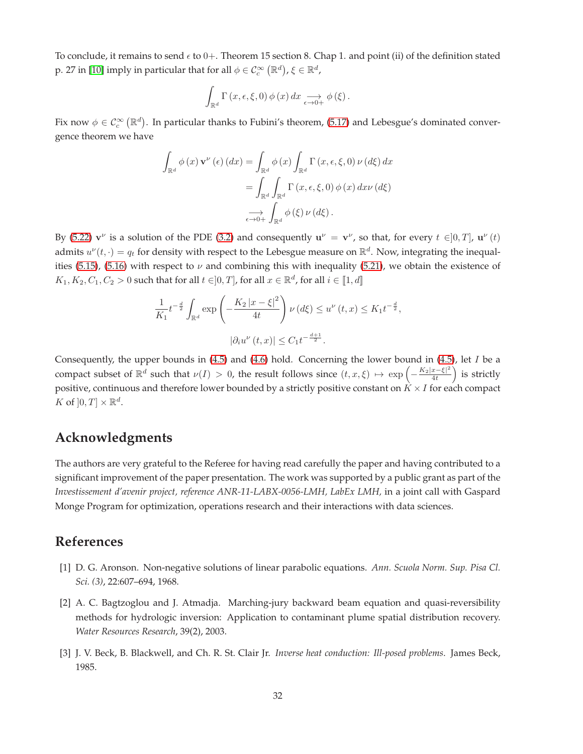To conclude, it remains to send  $\epsilon$  to 0+. Theorem 15 section 8. Chap 1. and point (ii) of the definition stated p. 27 in [\[10\]](#page-32-16) imply in particular that for all  $\phi \in \mathcal{C}_c^\infty \left(\mathbb{R}^d\right)$ ,  $\xi \in \mathbb{R}^d$ ,

$$
\int_{\mathbb{R}^d} \Gamma(x,\epsilon,\xi,0) \phi(x) dx \underset{\epsilon \to 0+}{\longrightarrow} \phi(\xi).
$$

Fix now  $\phi \in \mathcal{C}_c^{\infty}(\mathbb{R}^d)$ . In particular thanks to Fubini's theorem, [\(5.17\)](#page-29-4) and Lebesgue's dominated convergence theorem we have

$$
\int_{\mathbb{R}^d} \phi(x) \mathbf{v}^{\nu} (\epsilon) (dx) = \int_{\mathbb{R}^d} \phi(x) \int_{\mathbb{R}^d} \Gamma(x, \epsilon, \xi, 0) \nu (d\xi) dx
$$

$$
= \int_{\mathbb{R}^d} \int_{\mathbb{R}^d} \Gamma(x, \epsilon, \xi, 0) \phi(x) dx \nu (d\xi)
$$

$$
\xrightarrow[\epsilon \to 0+]{} \int_{\mathbb{R}^d} \phi(\xi) \nu (d\xi).
$$

By [\(5.22\)](#page-30-2)  $\mathbf{v}^{\nu}$  is a solution of the PDE [\(3.2\)](#page-5-0) and consequently  $\mathbf{u}^{\nu} = \mathbf{v}^{\nu}$ , so that, for every  $t \in ]0, T]$ ,  $\mathbf{u}^{\nu}(t)$ admits  $u^{\nu}(t,\cdot)=q_t$  for density with respect to the Lebesgue measure on  $\mathbb{R}^d$ . Now, integrating the inequal-ities [\(5.15\)](#page-29-3), [\(5.16\)](#page-29-5) with respect to  $\nu$  and combining this with inequality [\(5.21\)](#page-30-3), we obtain the existence of  $K_1, K_2, C_1, C_2 > 0$  such that for all  $t \in ]0, T]$ , for all  $x \in \mathbb{R}^d$ , for all  $i \in [\![1, d]\!]$ 

$$
\frac{1}{K_1}t^{-\frac{d}{2}}\int_{\mathbb{R}^d} \exp\left(-\frac{K_2|x-\xi|^2}{4t}\right)\nu(d\xi) \le u^{\nu}(t,x) \le K_1t^{-\frac{d}{2}},
$$
  

$$
|\partial_i u^{\nu}(t,x)| \le C_1t^{-\frac{d+1}{2}}.
$$

Consequently, the upper bounds in  $(4.5)$  and  $(4.6)$  hold. Concerning the lower bound in  $(4.5)$ , let I be a compact subset of  $\mathbb{R}^d$  such that  $\nu(I) > 0$ , the result follows since  $(t, x, \xi) \mapsto \exp\left(-\frac{K_2|x-\xi|^2}{4t}\right)$  $4<sub>t</sub>$ ) is strictly positive, continuous and therefore lower bounded by a strictly positive constant on  $\hat{K} \times I$  for each compact K of  $]0,T] \times \mathbb{R}^d$ .

# **Acknowledgments**

The authors are very grateful to the Referee for having read carefully the paper and having contributed to a significant improvement of the paper presentation. The work was supported by a public grant as part of the *Investissement d'avenir project, reference ANR-11-LABX-0056-LMH, LabEx LMH,* in a joint call with Gaspard Monge Program for optimization, operations research and their interactions with data sciences.

# <span id="page-31-2"></span>**References**

- <span id="page-31-1"></span>[1] D. G. Aronson. Non-negative solutions of linear parabolic equations. *Ann. Scuola Norm. Sup. Pisa Cl. Sci. (3)*, 22:607–694, 1968.
- [2] A. C. Bagtzoglou and J. Atmadja. Marching-jury backward beam equation and quasi-reversibility methods for hydrologic inversion: Application to contaminant plume spatial distribution recovery. *Water Resources Research*, 39(2), 2003.
- <span id="page-31-0"></span>[3] J. V. Beck, B. Blackwell, and Ch. R. St. Clair Jr. *Inverse heat conduction: Ill-posed problems*. James Beck, 1985.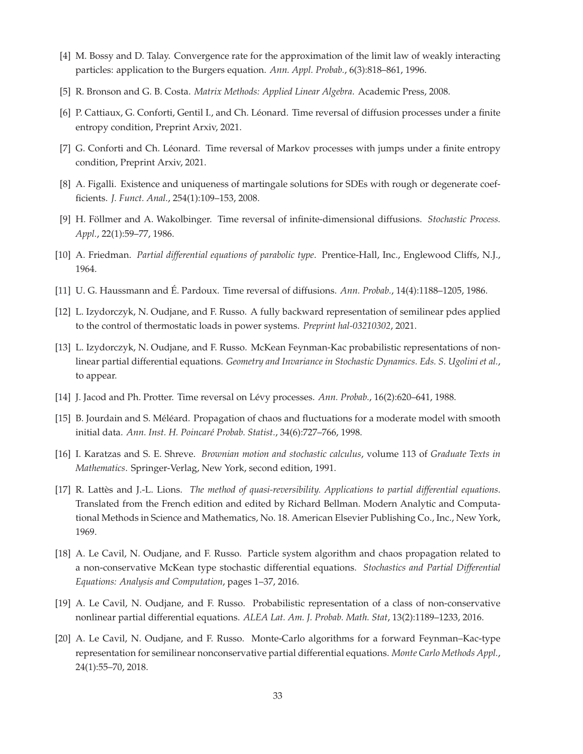- <span id="page-32-14"></span><span id="page-32-1"></span>[4] M. Bossy and D. Talay. Convergence rate for the approximation of the limit law of weakly interacting particles: application to the Burgers equation. *Ann. Appl. Probab.*, 6(3):818–861, 1996.
- <span id="page-32-11"></span>[5] R. Bronson and G. B. Costa. *Matrix Methods: Applied Linear Algebra*. Academic Press, 2008.
- <span id="page-32-12"></span>[6] P. Cattiaux, G. Conforti, Gentil I., and Ch. Léonard. Time reversal of diffusion processes under a finite entropy condition, Preprint Arxiv, 2021.
- <span id="page-32-13"></span>[7] G. Conforti and Ch. Léonard. Time reversal of Markov processes with jumps under a finite entropy condition, Preprint Arxiv, 2021.
- <span id="page-32-9"></span>[8] A. Figalli. Existence and uniqueness of martingale solutions for SDEs with rough or degenerate coefficients. *J. Funct. Anal.*, 254(1):109–153, 2008.
- <span id="page-32-16"></span>[9] H. Föllmer and A. Wakolbinger. Time reversal of infinite-dimensional diffusions. *Stochastic Process. Appl.*, 22(1):59–77, 1986.
- <span id="page-32-8"></span>[10] A. Friedman. *Partial differential equations of parabolic type*. Prentice-Hall, Inc., Englewood Cliffs, N.J., 1964.
- <span id="page-32-7"></span>[11] U. G. Haussmann and É. Pardoux. Time reversal of diffusions. *Ann. Probab.*, 14(4):1188–1205, 1986.
- <span id="page-32-6"></span>[12] L. Izydorczyk, N. Oudjane, and F. Russo. A fully backward representation of semilinear pdes applied to the control of thermostatic loads in power systems. *Preprint hal-03210302*, 2021.
- [13] L. Izydorczyk, N. Oudjane, and F. Russo. McKean Feynman-Kac probabilistic representations of nonlinear partial differential equations. *Geometry and Invariance in Stochastic Dynamics. Eds. S. Ugolini et al.*, to appear.
- <span id="page-32-10"></span><span id="page-32-2"></span>[14] J. Jacod and Ph. Protter. Time reversal on Lévy processes. *Ann. Probab.*, 16(2):620–641, 1988.
- <span id="page-32-15"></span>[15] B. Jourdain and S. Méléard. Propagation of chaos and fluctuations for a moderate model with smooth initial data. *Ann. Inst. H. Poincaré Probab. Statist.*, 34(6):727–766, 1998.
- <span id="page-32-0"></span>[16] I. Karatzas and S. E. Shreve. *Brownian motion and stochastic calculus*, volume 113 of *Graduate Texts in Mathematics*. Springer-Verlag, New York, second edition, 1991.
- [17] R. Lattès and J.-L. Lions. *The method of quasi-reversibility. Applications to partial differential equations*. Translated from the French edition and edited by Richard Bellman. Modern Analytic and Computational Methods in Science and Mathematics, No. 18. American Elsevier Publishing Co., Inc., New York, 1969.
- <span id="page-32-4"></span>[18] A. Le Cavil, N. Oudjane, and F. Russo. Particle system algorithm and chaos propagation related to a non-conservative McKean type stochastic differential equations. *Stochastics and Partial Differential Equations: Analysis and Computation*, pages 1–37, 2016.
- <span id="page-32-5"></span><span id="page-32-3"></span>[19] A. Le Cavil, N. Oudjane, and F. Russo. Probabilistic representation of a class of non-conservative nonlinear partial differential equations. *ALEA Lat. Am. J. Probab. Math. Stat*, 13(2):1189–1233, 2016.
- [20] A. Le Cavil, N. Oudjane, and F. Russo. Monte-Carlo algorithms for a forward Feynman–Kac-type representation for semilinear nonconservative partial differential equations. *Monte Carlo Methods Appl.*, 24(1):55–70, 2018.